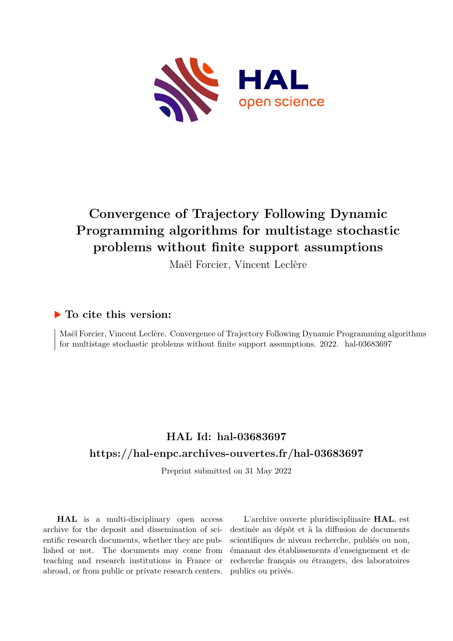

# **Convergence of Trajectory Following Dynamic Programming algorithms for multistage stochastic problems without finite support assumptions**

Maël Forcier, Vincent Leclère

## **To cite this version:**

Maël Forcier, Vincent Leclère. Convergence of Trajectory Following Dynamic Programming algorithms for multistage stochastic problems without finite support assumptions.  $2022$ . hal-03683697

# **HAL Id: hal-03683697 <https://hal-enpc.archives-ouvertes.fr/hal-03683697>**

Preprint submitted on 31 May 2022

**HAL** is a multi-disciplinary open access archive for the deposit and dissemination of scientific research documents, whether they are published or not. The documents may come from teaching and research institutions in France or abroad, or from public or private research centers.

L'archive ouverte pluridisciplinaire **HAL**, est destinée au dépôt et à la diffusion de documents scientifiques de niveau recherche, publiés ou non, émanant des établissements d'enseignement et de recherche français ou étrangers, des laboratoires publics ou privés.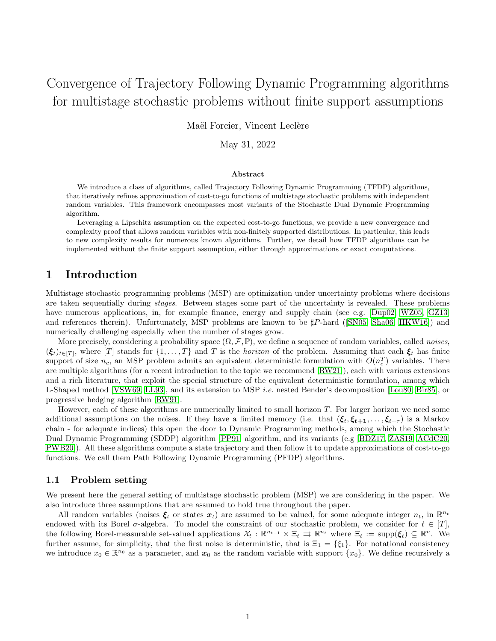# Convergence of Trajectory Following Dynamic Programming algorithms for multistage stochastic problems without finite support assumptions

Maël Forcier, Vincent Leclère

May 31, 2022

#### Abstract

We introduce a class of algorithms, called Trajectory Following Dynamic Programming (TFDP) algorithms, that iteratively refines approximation of cost-to-go functions of multistage stochastic problems with independent random variables. This framework encompasses most variants of the Stochastic Dual Dynamic Programming algorithm.

Leveraging a Lipschitz assumption on the expected cost-to-go functions, we provide a new convergence and complexity proof that allows random variables with non-finitely supported distributions. In particular, this leads to new complexity results for numerous known algorithms. Further, we detail how TFDP algorithms can be implemented without the finite support assumption, either through approximations or exact computations.

## 1 Introduction

Multistage stochastic programming problems (MSP) are optimization under uncertainty problems where decisions are taken sequentially during stages. Between stages some part of the uncertainty is revealed. These problems have numerous applications, in, for example finance, energy and supply chain (see e.g. [Dup02, WZ05, GZ13] and references therein). Unfortunately, MSP problems are known to be  $\sharp P$ -hard ([SN05, Sha06, HKW16]) and numerically challenging especially when the number of stages grow.

More precisely, considering a probability space  $(\Omega, \mathcal{F}, \mathbb{P})$ , we define a sequence of random variables, called noises,  $(\xi_t)_{t\in[T]}$ , where [T] stands for  $\{1,\ldots,T\}$  and T is the *horizon* of the problem. Assuming that each  $\xi_t$  has finite support of size  $n_c$ , an MSP problem admits an equivalent deterministic formulation with  $O(n_c^T)$  variables. There are multiple algorithms (for a recent introduction to the topic we recommend [RW21]), each with various extensions and a rich literature, that exploit the special structure of the equivalent deterministic formulation, among which L-Shaped method [VSW69, LL93], and its extension to MSP i.e. nested Bender's decomposition [Lou80, Bir85], or progressive hedging algorithm [RW91].

However, each of these algorithms are numerically limited to small horizon T. For larger horizon we need some additional assumptions on the noises. If they have a limited memory (i.e. that  $(\xi_t, \xi_{t+1}, \ldots, \xi_{t+\tau})$  is a Markov chain - for adequate indices) this open the door to Dynamic Programming methods, among which the Stochastic Dual Dynamic Programming (SDDP) algorithm [PP91] algorithm, and its variants (e.g [BDZ17, ZAS19, ACdC20, PWB20]). All these algorithms compute a state trajectory and then follow it to update approximations of cost-to-go functions. We call them Path Following Dynamic Programming (PFDP) algorithms.

#### 1.1 Problem setting

We present here the general setting of multistage stochastic problem (MSP) we are considering in the paper. We also introduce three assumptions that are assumed to hold true throughout the paper.

All random variables (noises  $\xi_t$  or states  $x_t$ ) are assumed to be valued, for some adequate integer  $n_t$ , in  $\mathbb{R}^{n_t}$ endowed with its Borel  $\sigma$ -algebra. To model the constraint of our stochastic problem, we consider for  $t \in [T]$ , the following Borel-measurable set-valued applications  $\mathcal{X}_t : \mathbb{R}^{n_{t-1}} \times \Xi_t \implies \mathbb{R}^{n_t}$  where  $\Xi_t := \text{supp}(\xi_t) \subseteq \mathbb{R}^n$ . We further assume, for simplicity, that the first noise is deterministic, that is  $\Xi_1 = \{\xi_1\}$ . For notational consistency we introduce  $x_0 \in \mathbb{R}^{n_0}$  as a parameter, and  $x_0$  as the random variable with support  $\{x_0\}$ . We define recursively a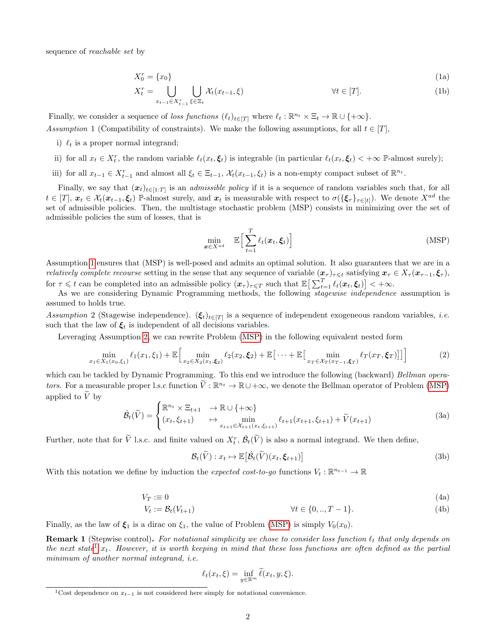sequence of reachable set by

$$
X_0^r = \{x_0\} \tag{1a}
$$

$$
X_t^r = \bigcup_{x_{t-1} \in X_{t-1}^r} \bigcup_{\xi \in \Xi_t} \mathcal{X}_t(x_{t-1}, \xi) \qquad \forall t \in [T]. \tag{1b}
$$

Finally, we consider a sequence of loss functions  $(\ell_t)_{t\in[T]}$  where  $\ell_t : \mathbb{R}^{n_t} \times \Xi_t \to \mathbb{R} \cup \{+\infty\}.$ Assumption 1 (Compatibility of constraints). We make the following assumptions, for all  $t \in [T]$ ,

- i)  $\ell_t$  is a proper normal integrand;
- ii) for all  $x_t \in X_t^r$ , the random variable  $\ell_t(x_t, \xi_t)$  is integrable (in particular  $\ell_t(x_t, \xi_t) < +\infty$  P-almost surely);
- iii) for all  $x_{t-1} \in X_{t-1}^r$  and almost all  $\xi_t \in \Xi_{t-1}$ ,  $\mathcal{X}_t(x_{t-1}, \xi_t)$  is a non-empty compact subset of  $\mathbb{R}^{n_t}$ .

Finally, we say that  $(x_t)_{t\in[1:T]}$  is an *admissible policy* if it is a sequence of random variables such that, for all  $t \in [T], \, \boldsymbol{x}_t \in \mathcal{X}_t(\boldsymbol{x}_{t-1}, \boldsymbol{\xi}_t)$  P-almost surely, and  $\boldsymbol{x}_t$  is measurable with respect to  $\sigma(\{\boldsymbol{\xi}_\tau\}_{\tau \in [t]})$ . We denote  $X^{ad}$  the set of admissible policies. Then, the multistage stochastic problem (MSP) consists in minimizing over the set of admissible policies the sum of losses, that is

$$
\min_{\mathbf{x} \in X^{ad}} \quad \mathbb{E} \Big[ \sum_{t=1}^{T} \ell_t(\mathbf{x}_t, \boldsymbol{\xi}_t) \Big] \tag{MSP}
$$

Assumption 1 ensures that (MSP) is well-posed and admits an optimal solution. It also guarantees that we are in a *relatively complete recourse* setting in the sense that any sequence of variable  $(x_\tau)_{\tau\leqslant t}$  satisfying  $x_\tau \in X_\tau(x_{\tau-1}, \xi_\tau)$ , for  $\tau \leqslant t$  can be completed into an admissible policy  $(\boldsymbol{x}_{\tau})_{\tau \leqslant T}$  such that  $\mathbb{E} \big[ \sum_{t=1}^{T} \ell_t(\boldsymbol{x}_t, \boldsymbol{\xi}_t) \big] < +\infty$ .

As we are considering Dynamic Programming methods, the following stagewise independence assumption is assumed to holds true.

Assumption 2 (Stagewise independence).  $(\xi_t)_{t\in[T]}$  is a sequence of independent exogeneous random variables, *i.e.* such that the law of  $\xi_t$  is independent of all decisions variables.

Leveraging Assumption 2, we can rewrite Problem (MSP) in the following equivalent nested form

$$
\min_{x_1 \in X_1(x_0,\xi_1)} \ell_1(x_1,\xi_1) + \mathbb{E}\Big[\min_{x_2 \in X_2(x_1,\xi_2)} \ell_2(x_2,\xi_2) + \mathbb{E}\big[\cdots + \mathbb{E}\big[\min_{x_T \in \mathcal{X}_T(x_{T-1},\xi_T)} \ell_T(x_T,\xi_T)\big]\big]\Big] \tag{2}
$$

which can be tackled by Dynamic Programming. To this end we introduce the following (backward) Bellman operators. For a measurable proper l.s.c function  $\widetilde{V}: \mathbb{R}^{n_t} \to \mathbb{R} \cup +\infty$ , we denote the Bellman operator of Problem (MSP) applied to  $\widetilde{V}$  by

$$
\hat{\mathcal{B}}_t(\widetilde{V}) = \begin{cases} \mathbb{R}^{n_t} \times \Xi_{t+1} & \to \mathbb{R} \cup \{+\infty\} \\ (x_t, \xi_{t+1}) & \mapsto \min_{x_{t+1} \in \mathcal{X}_{t+1}(x_t, \xi_{t+1})} \ell_{t+1}(x_{t+1}, \xi_{t+1}) + \widetilde{V}(x_{t+1}) \end{cases} \tag{3a}
$$

Further, note that for  $\tilde{V}$  l.s.c. and finite valued on  $X_t^r$ ,  $\hat{\mathcal{B}}_t(\tilde{V})$  is also a normal integrand. We then define,

$$
\mathcal{B}_t(\widetilde{V}) : x_t \mapsto \mathbb{E}\big[\hat{\mathcal{B}}_t(\widetilde{V})(x_t, \xi_{t+1})\big] \tag{3b}
$$

With this notation we define by induction the *expected cost-to-go* functions  $V_t : \mathbb{R}^{n_{t-1}} \to \mathbb{R}$ 

$$
V_T := 0 \tag{4a}
$$

$$
V_t := \mathcal{B}_t(V_{t+1}) \qquad \forall t \in \{0, ..., T-1\}.
$$
 (4b)

Finally, as the law of  $\xi_1$  is a dirac on  $\xi_1$ , the value of Problem (MSP) is simply  $V_0(x_0)$ .

**Remark 1** (Stepwise control). For notational simplicity we chose to consider loss function  $\ell_t$  that only depends on the next state<sup>1</sup>  $x_t$ . However, it is worth keeping in mind that these loss functions are often defined as the partial minimum of another normal integrand, i.e.

$$
\ell_t(x_t, \xi) = \inf_{y \in \mathbb{R}^m} \tilde{\ell}(x_t, y, \xi).
$$

<sup>&</sup>lt;sup>1</sup>Cost dependence on  $x_{t-1}$  is not considered here simply for notational convenience.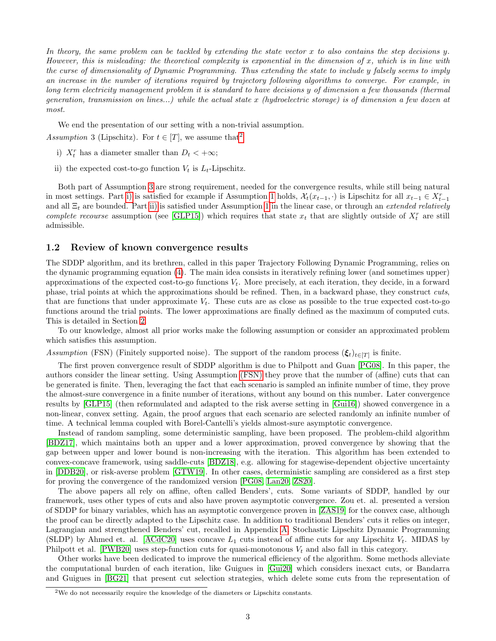In theory, the same problem can be tackled by extending the state vector x to also contains the step decisions y. However, this is misleading: the theoretical complexity is exponential in the dimension of  $x$ , which is in line with the curse of dimensionality of Dynamic Programming. Thus extending the state to include y falsely seems to imply an increase in the number of iterations required by trajectory following algorithms to converge. For example, in long term electricity management problem it is standard to have decisions y of dimension a few thousands (thermal generation, transmission on lines...) while the actual state x (hydroelectric storage) is of dimension a few dozen at most.

We end the presentation of our setting with a non-trivial assumption.

Assumption 3 (Lipschitz). For  $t \in [T]$ , we assume that<sup>2</sup>

- i)  $X_t^r$  has a diameter smaller than  $D_t < +\infty$ ;
- ii) the expected cost-to-go function  $V_t$  is  $L_t$ -Lipschitz.

Both part of Assumption 3 are strong requirement, needed for the convergence results, while still being natural in most settings. Part i) is satisfied for example if Assumption 1 holds,  $\mathcal{X}_t(x_{t-1},\cdot)$  is Lipschitz for all  $x_{t-1} \in X_{t-1}^r$ and all  $\Xi_t$  are bounded. Part ii) is satisfied under Assumption 1 in the linear case, or through an *extended relatively* complete recourse assumption (see [GLP15]) which requires that state  $x_t$  that are slightly outside of  $X_t^r$  are still admissible.

#### 1.2 Review of known convergence results

The SDDP algorithm, and its brethren, called in this paper Trajectory Following Dynamic Programming, relies on the dynamic programming equation (4). The main idea consists in iteratively refining lower (and sometimes upper) approximations of the expected cost-to-go functions  $V_t$ . More precisely, at each iteration, they decide, in a forward phase, trial points at which the approximations should be refined. Then, in a backward phase, they construct cuts, that are functions that under approximate  $V_t$ . These cuts are as close as possible to the true expected cost-to-go functions around the trial points. The lower approximations are finally defined as the maximum of computed cuts. This is detailed in Section 2.

To our knowledge, almost all prior works make the following assumption or consider an approximated problem which satisfies this assumption.

Assumption (FSN) (Finitely supported noise). The support of the random process  $(\xi_t)_{t\in[T]}$  is finite.

The first proven convergence result of SDDP algorithm is due to Philpott and Guan [PG08]. In this paper, the authors consider the linear setting. Using Assumption (FSN) they prove that the number of (affine) cuts that can be generated is finite. Then, leveraging the fact that each scenario is sampled an infinite number of time, they prove the almost-sure convergence in a finite number of iterations, without any bound on this number. Later convergence results by [GLP15] (then reformulated and adapted to the risk averse setting in [Gui16]) showed convergence in a non-linear, convex setting. Again, the proof argues that each scenario are selected randomly an infinite number of time. A technical lemma coupled with Borel-Cantelli's yields almost-sure asymptotic convergence.

Instead of random sampling, some deterministic sampling, have been proposed. The problem-child algorithm [BDZ17], which maintains both an upper and a lower approximation, proved convergence by showing that the gap between upper and lower bound is non-increasing with the iteration. This algorithm has been extended to convex-concave framework, using saddle-cuts [BDZ18], e.g. allowing for stagewise-dependent objective uncertainty in [DDB20], or risk-averse problem [GTW19]. In other cases, deterministic sampling are considered as a first step for proving the convergence of the randomized version [PG08, Lan20, ZS20].

The above papers all rely on affine, often called Benders', cuts. Some variants of SDDP, handled by our framework, uses other types of cuts and also have proven asymptotic convergence. Zou et. al. presented a version of SDDP for binary variables, which has an asymptotic convergence proven in [ZAS19] for the convex case, although the proof can be directly adapted to the Lipschitz case. In addition to traditional Benders' cuts it relies on integer, Lagrangian and strengthened Benders' cut, recalled in Appendix A. Stochastic Lipschitz Dynamic Programming (SLDP) by Ahmed et. al. [ACdC20] uses concave  $L_1$  cuts instead of affine cuts for any Lipschitz  $V_t$ . MIDAS by Philpott et al. [PWB20] uses step-function cuts for quasi-monotonous  $V_t$  and also fall in this category.

Other works have been dedicated to improve the numerical efficiency of the algorithm. Some methods alleviate the computational burden of each iteration, like Guigues in [Gui20] which considers inexact cuts, or Bandarra and Guigues in [BG21] that present cut selection strategies, which delete some cuts from the representation of

<sup>2</sup>We do not necessarily require the knowledge of the diameters or Lipschitz constants.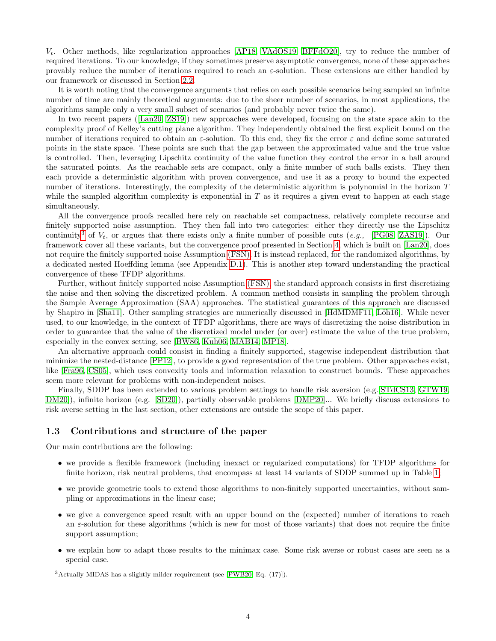$V_t$ . Other methods, like regularization approaches [AP18, VAdOS19, BFFdO20], try to reduce the number of required iterations. To our knowledge, if they sometimes preserve asymptotic convergence, none of these approaches provably reduce the number of iterations required to reach an  $\varepsilon$ -solution. These extensions are either handled by our framework or discussed in Section 2.2.

It is worth noting that the convergence arguments that relies on each possible scenarios being sampled an infinite number of time are mainly theoretical arguments: due to the sheer number of scenarios, in most applications, the algorithms sample only a very small subset of scenarios (and probably never twice the same).

In two recent papers ([Lan20, ZS19]) new approaches were developed, focusing on the state space akin to the complexity proof of Kelley's cutting plane algorithm. They independently obtained the first explicit bound on the number of iterations required to obtain an  $\varepsilon$ -solution. To this end, they fix the error  $\varepsilon$  and define some saturated points in the state space. These points are such that the gap between the approximated value and the true value is controlled. Then, leveraging Lipschitz continuity of the value function they control the error in a ball around the saturated points. As the reachable sets are compact, only a finite number of such balls exists. They then each provide a deterministic algorithm with proven convergence, and use it as a proxy to bound the expected number of iterations. Interestingly, the complexity of the deterministic algorithm is polynomial in the horizon T while the sampled algorithm complexity is exponential in  $T$  as it requires a given event to happen at each stage simultaneously.

All the convergence proofs recalled here rely on reachable set compactness, relatively complete recourse and finitely supported noise assumption. They then fall into two categories: either they directly use the Lipschitz continuity<sup>3</sup> of  $V_t$ , or argues that there exists only a finite number of possible cuts (e.g., [PG08, ZAS19]). Our framework cover all these variants, but the convergence proof presented in Section 4, which is built on [Lan20], does not require the finitely supported noise Assumption (FSN). It is instead replaced, for the randomized algorithms, by a dedicated nested Hoeffding lemma (see Appendix D.1). This is another step toward understanding the practical convergence of these TFDP algorithms.

Further, without finitely supported noise Assumption (FSN), the standard approach consists in first discretizing the noise and then solving the discretized problem. A common method consists in sampling the problem through the Sample Average Approximation (SAA) approaches. The statistical guarantees of this approach are discussed by Shapiro in [Sha11]. Other sampling strategies are numerically discussed in [HdMDMF11, Löh16]. While never used, to our knowledge, in the context of TFDP algorithms, there are ways of discretizing the noise distribution in order to guarantee that the value of the discretized model under (or over) estimate the value of the true problem, especially in the convex setting, see [BW86, Kuh06, MAB14, MP18].

An alternative approach could consist in finding a finitely supported, stagewise independent distribution that minimize the nested-distance [PP12], to provide a good representation of the true problem. Other approaches exist, like [Fra96, CS05], which uses convexity tools and information relaxation to construct bounds. These approaches seem more relevant for problems with non-independent noises.

Finally, SDDP has been extended to various problem settings to handle risk aversion (e.g.[STdCS13, GTW19, DM20]), infinite horizon (e.g. [SD20]), partially observable problems [DMP20]... We briefly discuss extensions to risk averse setting in the last section, other extensions are outside the scope of this paper.

#### 1.3 Contributions and structure of the paper

Our main contributions are the following:

- we provide a flexible framework (including inexact or regularized computations) for TFDP algorithms for finite horizon, risk neutral problems, that encompass at least 14 variants of SDDP summed up in Table 1;
- we provide geometric tools to extend those algorithms to non-finitely supported uncertainties, without sampling or approximations in the linear case;
- we give a convergence speed result with an upper bound on the (expected) number of iterations to reach an  $\varepsilon$ -solution for these algorithms (which is new for most of those variants) that does not require the finite support assumption;
- we explain how to adapt those results to the minimax case. Some risk averse or robust cases are seen as a special case.

<sup>3</sup>Actually MIDAS has a slightly milder requirement (see [PWB20, Eq. (17)]).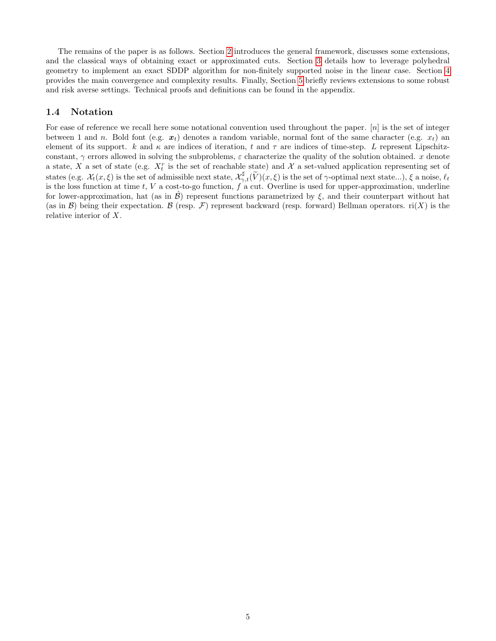The remains of the paper is as follows. Section 2 introduces the general framework, discusses some extensions, and the classical ways of obtaining exact or approximated cuts. Section 3 details how to leverage polyhedral geometry to implement an exact SDDP algorithm for non-finitely supported noise in the linear case. Section 4 provides the main convergence and complexity results. Finally, Section 5 briefly reviews extensions to some robust and risk averse settings. Technical proofs and definitions can be found in the appendix.

#### 1.4 Notation

For ease of reference we recall here some notational convention used throughout the paper.  $[n]$  is the set of integer between 1 and n. Bold font (e.g.  $x_t$ ) denotes a random variable, normal font of the same character (e.g.  $x_t$ ) and element of its support. k and  $\kappa$  are indices of iteration, t and  $\tau$  are indices of time-step. L represent Lipschitzconstant,  $\gamma$  errors allowed in solving the subproblems,  $\varepsilon$  characterize the quality of the solution obtained. x denote a state, X a set of state (e.g.  $X_t^r$  is the set of reachable state) and X a set-valued application representing set of states (e.g.  $\mathcal{X}_t(x,\xi)$  is the set of admissible next state,  $\mathcal{X}_{\gamma,t}^{\sharp}(\widetilde{V})(x,\xi)$  is the set of  $\gamma$ -optimal next state...),  $\xi$  a noise,  $\ell_t$ is the loss function at time t, V a cost-to-go function,  $f \hat{a}$  cut. Overline is used for upper-approximation, underline for lower-approximation, hat (as in  $\mathcal{B}$ ) represent functions parametrized by  $\xi$ , and their counterpart without hat (as in B) being their expectation. B (resp. F) represent backward (resp. forward) Bellman operators.  $r_i(X)$  is the relative interior of X.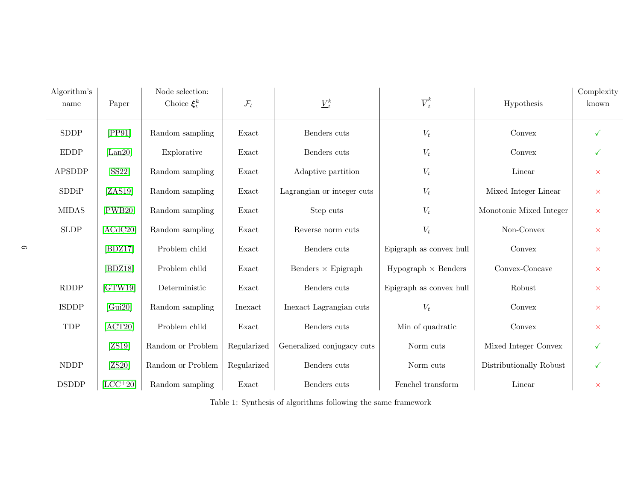| Algorithm's<br>name | Paper                 | Node selection:<br>Choice $\xi_t^k$ | $\mathcal{F}_t$ | $\underline{V}_t^k$        | $\overline{V}_t^k$         | Hypothesis              | Complexity<br>known |
|---------------------|-----------------------|-------------------------------------|-----------------|----------------------------|----------------------------|-------------------------|---------------------|
| <b>SDDP</b>         | [PP91]                | Random sampling                     | Exact           | Benders cuts               | $V_t$                      | Convex                  |                     |
| <b>EDDP</b>         | $\vert$ Lan20 $\vert$ | Explorative                         | Exact           | Benders cuts               | $V_t$                      | Convex                  | ✓                   |
| <b>APSDDP</b>       | [SS22]                | Random sampling                     | Exact           | Adaptive partition         | $V_t$                      | Linear                  | $\times$            |
| SDDiP               | [ZAS19]               | Random sampling                     | Exact           | Lagrangian or integer cuts | $V_t$                      | Mixed Integer Linear    | $\times$            |
| <b>MIDAS</b>        | [PWB20]               | Random sampling                     | Exact           | Step cuts                  | $V_t$                      | Monotonic Mixed Integer | $\times$            |
| <b>SLDP</b>         | [ACdC20]              | Random sampling                     | Exact           | Reverse norm cuts          | $V_t$                      | Non-Convex              | $\times$            |
|                     | [BDZ17]               | Problem child                       | Exact           | Benders cuts               | Epigraph as convex hull    | Convex                  | $\times$            |
|                     | [BDZ18]               | Problem child                       | Exact           | Benders $\times$ Epigraph  | $Hypograph \times Benders$ | Convex-Concave          | $\times$            |
| <b>RDDP</b>         | [GTW19]               | Deterministic                       | Exact           | Benders cuts               | Epigraph as convex hull    | Robust                  | $\times$            |
| <b>ISDDP</b>        | [Gui20]               | Random sampling                     | Inexact         | Inexact Lagrangian cuts    | $V_t$                      | Convex                  | $\times$            |
| TDP                 | [ACT20]               | Problem child                       | Exact           | Benders cuts               | Min of quadratic           | Convex                  | $\times$            |
|                     | [ZS19]                | Random or Problem                   | Regularized     | Generalized conjugacy cuts | Norm cuts                  | Mixed Integer Convex    | ✓                   |
| <b>NDDP</b>         | [ZS20]                | Random or Problem                   | Regularized     | Benders cuts               | Norm cuts                  | Distributionally Robust | $\checkmark$        |
| <b>DSDDP</b>        | $[LCC+20]$            | Random sampling                     | Exact           | Benders cuts               | Fenchel transform          | Linear                  | $\times$            |

Table 1: Synthesis of algorithms following the same framework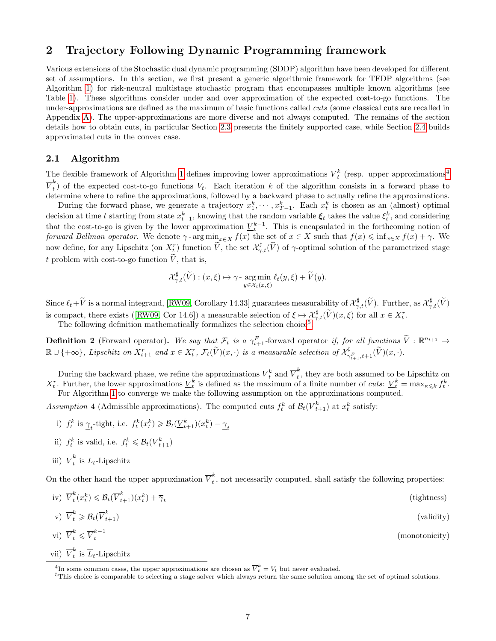## 2 Trajectory Following Dynamic Programming framework

Various extensions of the Stochastic dual dynamic programming (SDDP) algorithm have been developed for different set of assumptions. In this section, we first present a generic algorithmic framework for TFDP algorithms (see Algorithm 1) for risk-neutral multistage stochastic program that encompasses multiple known algorithms (see Table 1). These algorithms consider under and over approximation of the expected cost-to-go functions. The under-approximations are defined as the maximum of basic functions called cuts (some classical cuts are recalled in Appendix A). The upper-approximations are more diverse and not always computed. The remains of the section details how to obtain cuts, in particular Section 2.3 presents the finitely supported case, while Section 2.4 builds approximated cuts in the convex case.

#### 2.1 Algorithm

The flexible framework of Algorithm 1 defines improving lower approximations  $\underline{V}_t^k$  (resp. upper approximations<sup>4</sup>  $\overline{V}^k_t$  $_t$ ) of the expected cost-to-go functions  $V_t$ . Each iteration k of the algorithm consists in a forward phase to determine where to refine the approximations, followed by a backward phase to actually refine the approximations.

During the forward phase, we generate a trajectory  $x_1^k, \dots, x_{T-1}^k$ . Each  $x_t^k$  is chosen as an (almost) optimal decision at time t starting from state  $x_{t-1}^k$ , knowing that the random variable  $\xi_t$  takes the value  $\xi_t^k$ , and considering that the cost-to-go is given by the lower approximation  $\underline{V}_t^{k-1}$ . This is encapsulated in the forthcoming notion of forward Bellman operator. We denote  $\gamma$ -arg min<sub>x∈X</sub>  $f(x)$  the set of  $x \in X$  such that  $f(x) \leq \inf_{x \in X} f(x) + \gamma$ . We now define, for any Lipschitz (on  $X_t^r$ ) function  $\widetilde{V}$ , the set  $\mathcal{X}_{\gamma,t}^{\sharp}(\widetilde{V})$  of  $\gamma$ -optimal solution of the parametrized stage t problem with cost-to-go function  $\tilde{V}$ , that is,

$$
\mathcal{X}_{\gamma,t}^{\sharp}(\widetilde{V}) : (x,\xi) \mapsto \gamma \cdot \argmin_{y \in \mathcal{X}_t(x,\xi)} \ell_t(y,\xi) + \widetilde{V}(y).
$$

Since  $\ell_t + \widetilde{V}$  is a normal integrand, [RW09, Corollary 14.33] guarantees measurability of  $\mathcal{X}_{\gamma,t}^{\sharp}(\widetilde{V})$ . Further, as  $\mathcal{X}_{\gamma,t}^{\sharp}(\widetilde{V})$ is compact, there exists ([RW09, Cor 14.6]) a measurable selection of  $\xi \mapsto \mathcal{X}_{\gamma,t}^{\sharp}(\widetilde{V})(x,\xi)$  for all  $x \in X_t^r$ .

The following definition mathematically formalizes the selection choice<sup>5</sup>.

**Definition 2** (Forward operator). We say that  $\mathcal{F}_t$  is a  $\gamma_{t+1}^F$ -forward operator if, for all functions  $\tilde{V}: \mathbb{R}^{n_{t+1}} \to$  $\mathbb{R}\cup\{+\infty\}$ , Lipschitz on  $X_{t+1}^r$  and  $x\in X_t^r$ ,  $\mathcal{F}_t(\widetilde{V})(x,\cdot)$  is a measurable selection of  $\mathcal{X}_{\gamma}^{\sharp}$  $\gamma^\sharp_{\gamma^F_{t+1},t+1}(V)(x,\cdot).$ 

During the backward phase, we refine the approximations  $\underline{V}_t^k$  and  $\overline{V}_t^k$  $\int_t^{\infty}$ , they are both assumed to be Lipschitz on  $X_t^r$ . Further, the lower approximations  $\underline{V}_t^k$  is defined as the maximum of a finite number of cuts:  $\underline{V}_t^k = \max_{\kappa \leqslant k} f_t^k$ . For Algorithm 1 to converge we make the following assumption on the approximations computed.

Assumption 4 (Admissible approximations). The computed cuts  $f_t^k$  of  $\mathcal{B}_t(\underline{V}_{t+1}^k)$  at  $x_t^k$  satisfy:

- i)  $f_t^k$  is  $\gamma_t$ -tight, i.e.  $f_t^k(x_t^k) \geqslant \mathcal{B}_t(\underline{V}_{t+1}^k)(x_t^k) \gamma_t$
- ii)  $f_t^k$  is valid, i.e.  $f_t^k \leqslant \mathcal{B}_t(\underline{V}_{t+1}^k)$
- iii)  $\overline{V}_t^k$  $\sum_{t}$  is  $\overline{L}_{t}$ -Lipschitz

On the other hand the upper approximation  $\overline{V}_t^k$  $\int_{t}^{\infty}$ , not necessarily computed, shall satisfy the following properties:

iv)  $\overline{V}_t^k$  $t^k_t(x_t^k) \leqslant \mathcal{B}_t(\overline{V}_{t+1}^k)(x_t^k) + \overline{\gamma}_t$ (tightness)

$$
v) \quad \overline{V}_t^k \geqslant \mathcal{B}_t(\overline{V}_{t+1}^k) \tag{validity}
$$

- vi)  $\overline{V}_t^k \leqslant \overline{V}_t^{k-1}$ t (monotonicity)
- vii)  $\overline{V}_t^k$  $\sum_{t}$  is  $\overline{L}_{t}$ -Lipschitz

<sup>&</sup>lt;sup>4</sup>In some common cases, the upper approximations are chosen as  $\overline{V}_t^k = V_t$  but never evaluated.

<sup>&</sup>lt;sup>5</sup>This choice is comparable to selecting a stage solver which always return the same solution among the set of optimal solutions.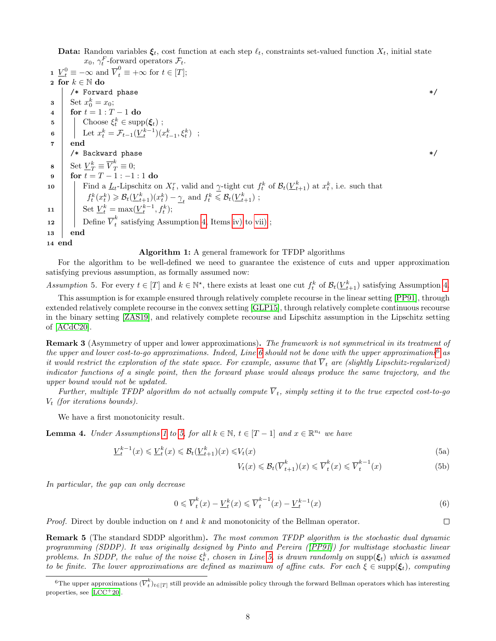Data: Random variables  $\xi_t$ , cost function at each step  $\ell_t$ , constraints set-valued function  $X_t$ , initial state  $x_0, \gamma_t^F$ -forward operators  $\mathcal{F}_t$ .

**1**  $\underline{V}_t^0 \equiv -\infty$  and  $\overline{V}_t^0 \equiv +\infty$  for  $t \in [T];$ 2 for  $k \in \mathbb{N}$  do  $/*$  Forward phase  $*/$  $\mathbf{s} \quad \begin{array}{c} \end{array}$  Set  $x_0^k = x_0;$ 4  $\vert$  for  $t = 1 : T - 1$  do 5 Choose  $\xi_t^k \in \text{supp}(\xi_t)$ ; 6 | Let  $x_t^k = \mathcal{F}_{t-1}(\underline{V}_t^{k-1})(x_{t-1}^k, \xi_t^k)$ ; 7 end  $\hspace{0.1mm}/\ast$  Backward phase  $\hspace{0.1mm}$ 8 Set  $\underline{V}_T^k \equiv \overline{V}_T^k \equiv 0;$ 9  $\vert$  for  $t = T - 1:-1:1$  do 10 Find a  $\underline{L}_t$ -Lipschitz on  $X_t^r$ , valid and  $\gamma$ -tight cut  $f_t^k$  of  $\mathcal{B}_t(\underline{V}_{t+1}^k)$  at  $x_t^k$ , i.e. such that  $f_t^k(x_t^k) \geq \mathcal{B}_t(\underline{V}_{t+1}^k)(x_t^k) - \underline{\gamma}_t$  and  $f_t^k \leq \mathcal{B}_t(\underline{V}_{t+1}^k)$ ; 11 Set  $\underline{V}_t^k = \max(\underline{V}_t^{k-1}, f_t^k);$ **12** Define  $\overline{V}_t^k$  $\int_t^{\infty}$  satisfying Assumption 4, Items iv) to vii); 13 end 14 end

#### Algorithm 1: A general framework for TFDP algorithms

For the algorithm to be well-defined we need to guarantee the existence of cuts and upper approximation satisfying previous assumption, as formally assumed now:

Assumption 5. For every  $t \in [T]$  and  $k \in \mathbb{N}^*$ , there exists at least one cut  $f_t^k$  of  $\mathcal{B}_t(\underline{V}_{t+1}^k)$  satisfying Assumption 4.

This assumption is for example ensured through relatively complete recourse in the linear setting [PP91], through extended relatively complete recourse in the convex setting [GLP15], through relatively complete continuous recourse in the binary setting [ZAS19], and relatively complete recourse and Lipschitz assumption in the Lipschitz setting of [ACdC20].

**Remark 3** (Asymmetry of upper and lower approximations). The framework is not symmetrical in its treatment of the upper and lower cost-to-go approximations. Indeed, Line 6 should not be done with the upper approximations<sup>6</sup> as it would restrict the exploration of the state space. For example, assume that  $\overline{V}_t$  are (slightly Lipschitz-regularized) indicator functions of a single point, then the forward phase would always produce the same trajectory, and the upper bound would not be updated.

Further, multiple TFDP algorithm do not actually compute  $\overline{V}_t$ , simply setting it to the true expected cost-to-go  $V_t$  (for iterations bounds).

We have a first monotonicity result.

**Lemma 4.** Under Assumptions 1 to 5, for all  $k \in \mathbb{N}$ ,  $t \in [T-1]$  and  $x \in \mathbb{R}^{n_t}$  we have

$$
\underline{V}_t^{k-1}(x) \leq \underline{V}_t^k(x) \leq \mathcal{B}_t(\underline{V}_{t+1}^k)(x) \leq V_t(x)
$$
\n(5a)

$$
V_t(x) \leqslant \mathcal{B}_t(\overline{V}_{t+1}^k)(x) \leqslant \overline{V}_t^k(x) \leqslant \overline{V}_t^{k-1}(x)
$$
\n(5b)

In particular, the gap can only decrease

$$
0 \leqslant \overline{V}_t^k(x) - \underline{V}_t^k(x) \leqslant \overline{V}_t^{k-1}(x) - \underline{V}_t^{k-1}(x) \tag{6}
$$

*Proof.* Direct by double induction on t and k and monotonicity of the Bellman operator.

**Remark 5** (The standard SDDP algorithm). The most common TFDP algorithm is the stochastic dual dynamic programming (SDDP). It was originally designed by Pinto and Pereira ([PP91]) for multistage stochastic linear problems. In SDDP, the value of the noise  $\xi_t^k$ , chosen in Line 5, is drawn randomly on supp $(\xi_t)$  which is assumed to be finite. The lower approximations are defined as maximum of affine cuts. For each  $\xi \in \text{supp}(\xi_t)$ , computing

```
\Box
```
<sup>&</sup>lt;sup>6</sup>The upper approximations  $(\overline{V}_t^k)_{t\in[T]}$  still provide an admissible policy through the forward Bellman operators which has interesting properties, see  $[LOC<sup>+</sup>20]$ .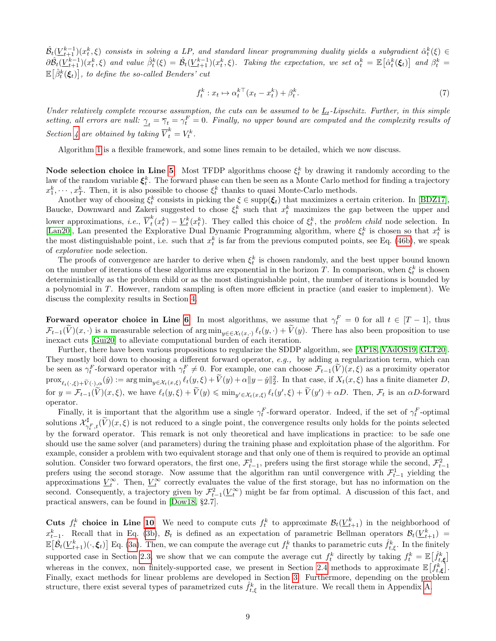$\hat{\mathcal{B}}_t(\underline{V}^{k-1}_{t+1})(x_t^k,\xi)$  consists in solving a LP, and standard linear programming duality yields a subgradient  $\hat{\alpha}_t^k(\xi)\in$  $\frac{\partial \hat{B}_t(\underline{V}_{t+1}^{k-1})(x_t^k,\xi)}{\partial t}$  and value  $\hat{\beta}_t^k(\xi) = \hat{B}_t(\underline{V}_{t+1}^{k-1})(x_t^k,\xi)$ . Taking the expectation, we set  $\alpha_t^k = \mathbb{E}\big[\hat{\alpha}_t^k(\xi_t)\big]$  and  $\beta_t^k =$  $\mathbb{E}\big[\hat{\beta}_t^k(\boldsymbol{\xi}_t)\big]$ , to define the so-called Benders' cut

$$
f_t^k: x_t \mapsto \alpha_t^{k\top} (x_t - x_t^k) + \beta_t^k. \tag{7}
$$

Under relatively complete recourse assumption, the cuts can be assumed to be  $\underline{L}_t$ -Lipschitz. Further, in this simple setting, all errors are null:  $\gamma_t = \overline{\gamma}_t = \gamma_t^F = 0$ . Finally, no upper bound are computed and the complexity results of Section 4 are obtained by taking  $\overline{V}_t^k = V_t^k$ .

Algorithm 1 is a flexible framework, and some lines remain to be detailed, which we now discuss.

Node selection choice in Line 5 Most TFDP algorithms choose  $\xi_t^k$  by drawing it randomly according to the law of the random variable  $\xi_t^k$ . The forward phase can then be seen as a Monte Carlo method for finding a trajectory  $x_1^k, \dots, x_T^k$ . Then, it is also possible to choose  $\xi_t^k$  thanks to quasi Monte-Carlo methods.

Another way of choosing  $\xi_t^k$  consists in picking the  $\xi \in \text{supp}(\xi_t)$  that maximizes a certain criterion. In [BDZ17], Baucke, Downward and Zakeri suggested to chose  $\xi_t^k$  such that  $x_t^k$  maximizes the gap between the upper and lower approximations, *i.e.*,  $\overline{V}_t^k$  $t(t_t^k(t_t^k) - \underline{V}_t^k(x_t^k)$ . They called this choice of  $\xi_t^k$ , the problem child node selection. In [Lan20], Lan presented the Explorative Dual Dynamic Programming algorithm, where  $\xi_t^k$  is chosen so that  $x_t^k$  is the most distinguishable point, i.e. such that  $x_t^k$  is far from the previous computed points, see Eq. (46b), we speak of explorative node selection.

The proofs of convergence are harder to derive when  $\xi_t^k$  is chosen randomly, and the best upper bound known on the number of iterations of these algorithms are exponential in the horizon T. In comparison, when  $\xi_t^k$  is chosen deterministically as the problem child or as the most distinguishable point, the number of iterations is bounded by a polynomial in T. However, random sampling is often more efficient in practice (and easier to implement). We discuss the complexity results in Section 4.

Forward operator choice in Line 6 In most algorithms, we assume that  $\gamma_t^F = 0$  for all  $t \in [T-1]$ , thus  $\mathcal{F}_{t-1}(V)(x, \cdot)$  is a measurable selection of arg min<sub>y∈∈ $\mathcal{X}_t(x, \cdot)$ </sub>  $\ell_t(y, \cdot) + V(y)$ . There has also been proposition to use inexact cuts [Gui20] to alleviate computational burden of each iteration.

Further, there have been various propositions to regularize the SDDP algorithm, see [AP18, VAdOS19, GLT20]. They mostly boil down to choosing a different forward operator, e.g., by adding a regularization term, which can be seen as  $\gamma_t^F$ -forward operator with  $\gamma_t^F \neq 0$ . For example, one can choose  $\mathcal{F}_{t-1}(\tilde{V})(x,\xi)$  as a proximity operator  $\text{prox}_{\ell_t(\cdot,\xi) + \widetilde{V}(\cdot),\alpha}(\check{y}) := \arg \min_{y \in \mathcal{X}_t(x,\xi)} \ell_t(y,\xi) + \widetilde{V}(y) + \alpha \|y - \check{y}\|_2^2$ . In that case, if  $X_t(x,\xi)$  has a finite diameter  $D$ , for  $y = \mathcal{F}_{t-1}(\widetilde{V})(x,\xi)$ , we have  $\ell_t(y,\xi) + \widetilde{V}(y) \leq \min_{y' \in \mathcal{X}_t(x,\xi)} \ell_t(y',\xi) + \widetilde{V}(y') + \alpha D$ . Then,  $\mathcal{F}_t$  is an  $\alpha D$ -forward operator.

Finally, it is important that the algorithm use a single  $\gamma_t^F$ -forward operator. Indeed, if the set of  $\gamma_t^F$ -optimal solutions  $\mathcal{X}_{\alpha}^{\sharp}$  $\gamma_{t,\tau,t}^{\mu}(V)(x,\xi)$  is not reduced to a single point, the convergence results only holds for the points selected by the forward operator. This remark is not only theoretical and have implications in practice: to be safe one should use the same solver (and parameters) during the training phase and exploitation phase of the algorithm. For example, consider a problem with two equivalent storage and that only one of them is required to provide an optimal solution. Consider two forward operators, the first one,  $\mathcal{F}_{t-1}^1$ , prefers using the first storage while the second,  $\mathcal{F}_{t-1}^2$ prefers using the second storage. Now assume that the algorithm ran until convergence with  $\mathcal{F}_{t-1}^1$  yielding the approximations  $\underline{V}_t^{\infty}$ . Then,  $\underline{V}_t^{\infty}$  correctly evaluates the value of the first storage, but has no information on the second. Consequently, a trajectory given by  $\mathcal{F}_{t-1}^2(\underline{V}_t^{\infty})$  might be far from optimal. A discussion of this fact, and practical answers, can be found in [Dow18, §2.7].

**Cuts**  $f_t^k$  choice in Line 10 We need to compute cuts  $f_t^k$  to approximate  $\mathcal{B}_t(\underline{V}_{t+1}^k)$  in the neighborhood of  $x_{t-1}^k$ . Recall that in Eq. (3b),  $\mathcal{B}_t$  is defined as an expectation of parametric Bellman operators  $\mathcal{B}_t(\underline{V}_{t+1}^k)$  $\mathbb{E}\big[\hat{\mathcal{B}}_t(\underline{V}_{t+1}^k)(\cdot,\boldsymbol{\xi}_t)\big]$  Eq. (3a). Then, we can compute the average cut  $f_t^k$  thanks to parametric cuts  $\hat{f}_{t,\xi}^k$ . In the finitely supported case in Section 2.3, we show that we can compute the average cut  $f_t^k$  directly by taking  $f_t^k = \mathbb{E}[\hat{f}_{t,\xi}^k]$ whereas in the convex, non finitely-supported case, we present in Section 2.4 methods to approximate  $\mathbb{E}\left[f_{t,\xi}^{k}\right]$ . Finally, exact methods for linear problems are developed in Section 3. Furthermore, depending on the problem structure, there exist several types of parametrized cuts  $\hat{f}_{t,\xi}^k$  in the literature. We recall them in Appendix A.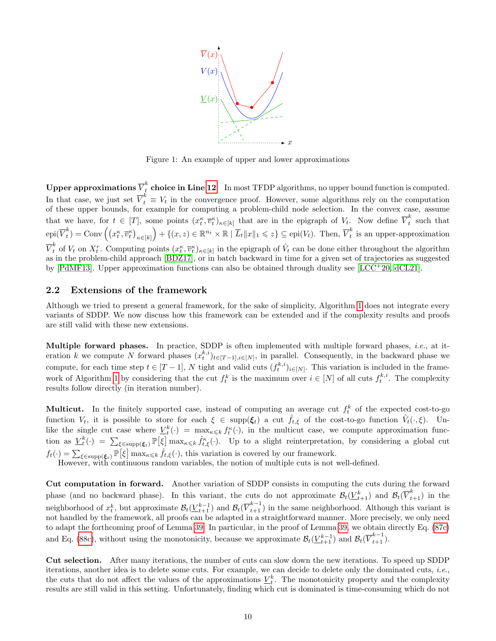

Figure 1: An example of upper and lower approximations

Upper approximations  $\overline{V}_t^k$  choice in Line 12 In most TFDP algorithms, no upper bound function is computed. In that case, we just set  $\overline{V}_t^k \equiv V_t$  in the convergence proof. However, some algorithms rely on the computation of these upper bounds, for example for computing a problem-child node selection. In the convex case, assume that we have, for  $t \in [T]$ , some points  $(x_t^{\kappa}, \overline{v}_t^{\kappa})_{\kappa \in [k]}$  that are in the epigraph of  $V_t$ . Now define  $\overline{V}_t^k$  $\int_{t}^{\pi}$  such that epi $(\overline{V}^k_t)$  $\mathcal{L}_t^k$ ) = Conv  $((x_t^{\kappa}, \overline{v}_t^{\kappa})_{\kappa \in [k]}) + \{(x, z) \in \mathbb{R}^{n_t} \times \mathbb{R} \mid \overline{L}_t ||x||_1 \leqslant z\} \subseteq \text{epi}(V_t)$ . Then,  $\overline{V}_t^k$  $\hat{t}$  is an upper-approximation  $\overline{V}_t^k$  of  $V_t$  on  $X_t^r$ . Computing points  $(x_t^{\kappa}, \overline{v}_t^{\kappa})_{\kappa \in [k]}$  in the epigraph of  $\hat{V}_t$  can be done either throughout the algorithm as in the problem-child approach [BDZ17], or in batch backward in time for a given set of trajectories as suggested by [PdMF13]. Upper approximation functions can also be obtained through duality see [LCC+20, dCL21].

#### 2.2 Extensions of the framework

Although we tried to present a general framework, for the sake of simplicity, Algorithm 1 does not integrate every variants of SDDP. We now discuss how this framework can be extended and if the complexity results and proofs are still valid with these new extensions.

**Multiple forward phases.** In practice, SDDP is often implemented with multiple forward phases, *i.e.*, at iteration k we compute N forward phases  $(x_t^{k,i})_{t\in[T-1],i\in[N]}$ , in parallel. Consequently, in the backward phase we compute, for each time step  $t \in [T-1]$ , N tight and valid cuts  $(f_t^{k,i})_{i \in [N]}$ . This variation is included in the framework of Algorithm 1 by considering that the cut  $f_t^k$  is the maximum over  $i \in [N]$  of all cuts  $f_t^{k,i}$ . The complexity results follow directly (in iteration number).

**Multicut.** In the finitely supported case, instead of computing an average cut  $f_t^k$  of the expected cost-to-go function  $V_t$ , it is possible to store for each  $\xi \in \text{supp}(\xi_t)$  a cut  $\hat{f}_{t,\xi}$  of the cost-to-go function  $\hat{V}_t(\cdot,\xi)$ . Unlike the single cut case where  $\underline{V}_t^k(\cdot) = \max_{\kappa \leq k} f_t^{\kappa}(\cdot)$ , in the multicut case, we compute approximation function as  $\underline{V}_t^k(\cdot) = \sum_{\xi \in \text{supp}(\xi_t)} \mathbb{P}[\xi] \max_{\kappa \leqslant k} \hat{f}_{t,\xi}^{\kappa}(\cdot)$ . Up to a slight reinterpretation, by considering a global cut  $f_t(\cdot) = \sum_{\xi \in \text{supp}(\xi_t)} \mathbb{P}[\xi] \max_{\kappa \leq k} \hat{f}_{t,\xi}(\cdot),$  this variation is covered by our framework.

However, with continuous random variables, the notion of multiple cuts is not well-defined.

Cut computation in forward. Another variation of SDDP consists in computing the cuts during the forward phase (and no backward phase). In this variant, the cuts do not approximate  $\mathcal{B}_t(\underline{V}_{t+1}^k)$  and  $\mathcal{B}_t(\overline{V}_{t+1}^k)$  in the neighborhood of  $x_t^k$ , but approximate  $\mathcal{B}_t(\underline{V}_{t+1}^{k-1})$  and  $\mathcal{B}_t(\overline{V}_{t+1}^{k-1})$  in the same neighborhood. Although this variant is not handled by the framework, all proofs can be adapted in a straightforward manner. More precisely, we only need to adapt the forthcoming proof of Lemma 39. In particular, in the proof of Lemma 39, we obtain directly Eq. (87c) and Eq. (88c), without using the monotonicity, because we approximate  $\mathcal{B}_{t}(\underline{V}_{t+1}^{k-1})$  and  $\mathcal{B}_{t}(\overline{V}_{t+1}^{k-1})$ .

Cut selection. After many iterations, the number of cuts can slow down the new iterations. To speed up SDDP iterations, another idea is to delete some cuts. For example, we can decide to delete only the dominated cuts, i.e., the cuts that do not affect the values of the approximations  $\underline{V}_t^k$ . The monotonicity property and the complexity results are still valid in this setting. Unfortunately, finding which cut is dominated is time-consuming which do not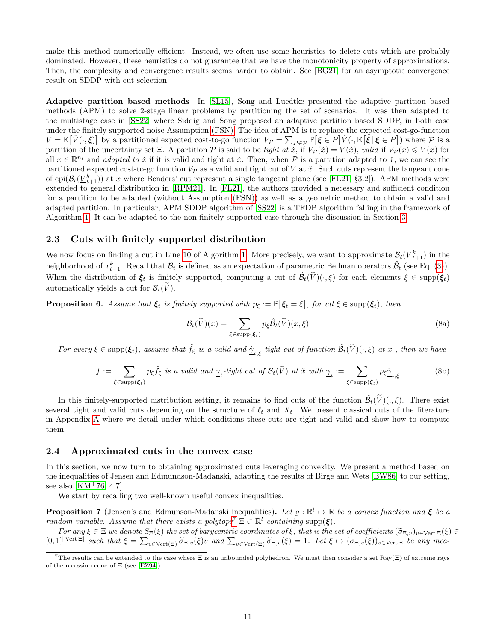make this method numerically efficient. Instead, we often use some heuristics to delete cuts which are probably dominated. However, these heuristics do not guarantee that we have the monotonicity property of approximations. Then, the complexity and convergence results seems harder to obtain. See [BG21] for an asymptotic convergence result on SDDP with cut selection.

Adaptive partition based methods In [SL15], Song and Luedtke presented the adaptive partition based methods (APM) to solve 2-stage linear problems by partitioning the set of scenarios. It was then adapted to the multistage case in [SS22] where Siddig and Song proposed an adaptive partition based SDDP, in both case under the finitely supported noise Assumption (FSN). The idea of APM is to replace the expected cost-go-function  $V = \mathbb{E}[\hat{V}(\cdot,\xi)]$  by a partitioned expected cost-to-go function  $V_{\mathcal{P}} = \sum_{P \in \mathcal{P}} \mathbb{P}[\xi \in P] \hat{V}(\cdot, \mathbb{E}[\xi | \xi \in P])$  where  $\mathcal{P}$  is a partition of the uncertainty set Ξ. A partition P is said to be tight at  $\tilde{x}$ , if  $V_P(\tilde{x}) = V(\tilde{x})$ , valid if  $V_P(x) \le V(x)$  for all  $x \in \mathbb{R}^{n_t}$  and *adapted to*  $\check{x}$  if it is valid and tight at  $\check{x}$ . Then, when  $\mathcal P$  is a partition adapted to  $\check{x}$ , we can see the partitioned expected cost-to-go function  $V_P$  as a valid and tight cut of V at  $\check{x}$ . Such cuts represent the tangeant cone of epi $(\mathcal{B}_t(\underline{V}^k_{t+1}))$  at x where Benders' cut represent a single tangeant plane (see [FL21, §3.2]). APM methods were extended to general distribution in [RPM21]. In [FL21], the authors provided a necessary and sufficient condition for a partition to be adapted (without Assumption (FSN)) as well as a geometric method to obtain a valid and adapted partition. In particular, APM SDDP algorithm of [SS22] is a TFDP algorithm falling in the framework of Algorithm 1. It can be adapted to the non-finitely supported case through the discussion in Section 3.

#### 2.3 Cuts with finitely supported distribution

We now focus on finding a cut in Line 10 of Algorithm 1. More precisely, we want to approximate  $\mathcal{B}_t(\underline{V}_{t+1}^k)$  in the neighborhood of  $x_{t-1}^k$ . Recall that  $\mathcal{B}_t$  is defined as an expectation of parametric Bellman operators  $\hat{\mathcal{B}}_t$  (see Eq. (3)). When the distribution of  $\xi_t$  is finitely supported, computing a cut of  $\hat{\mathcal{B}}_t(\tilde{V})(\cdot,\xi)$  for each elements  $\xi \in \text{supp}(\xi_t)$ automatically yields a cut for  $\mathcal{B}_t(V)$ .

**Proposition 6.** Assume that  $\xi_t$  is finitely supported with  $p_{\xi} := \mathbb{P}[\xi_t = \xi]$ , for all  $\xi \in \text{supp}(\xi_t)$ , then

$$
\mathcal{B}_t(\widetilde{V})(x) = \sum_{\xi \in \text{supp}(\xi_t)} p_{\xi} \widehat{\mathcal{B}}_t(\widetilde{V})(x,\xi)
$$
\n(8a)

For every  $\xi \in \text{supp}(\xi_t)$ , assume that  $\hat{f}_{\xi}$  is a valid and  $\hat{\gamma}_{t,\xi}$ -tight cut of function  $\hat{\mathcal{B}}_t(\widetilde{V})(\cdot,\xi)$  at  $\check{x}$  , then we have

$$
f := \sum_{\xi \in \text{supp}(\xi_t)} p_{\xi} \hat{f}_{\xi} \text{ is a valid and } \underline{\gamma}_t\text{-tight cut of } \mathcal{B}_t(\widetilde{V}) \text{ at } \check{x} \text{ with } \underline{\gamma}_t := \sum_{\xi \in \text{supp}(\xi_t)} p_{\xi} \hat{\underline{\gamma}}_{t,\xi}
$$
(8b)

In this finitely-supported distribution setting, it remains to find cuts of the function  $\hat{\mathcal{B}}_t(\tilde{V})(.,\xi)$ . There exist several tight and valid cuts depending on the structure of  $\ell_t$  and  $X_t$ . We present classical cuts of the literature in Appendix A where we detail under which conditions these cuts are tight and valid and show how to compute them.

#### 2.4 Approximated cuts in the convex case

In this section, we now turn to obtaining approximated cuts leveraging convexity. We present a method based on the inequalities of Jensen and Edmundson-Madanski, adapting the results of Birge and Wets [BW86] to our setting, see also [ $KM^+76, 4.7$ ].

We start by recalling two well-known useful convex inequalities.

**Proposition 7** (Jensen's and Edmunson-Madanski inequalities). Let  $g : \mathbb{R}^l \to \mathbb{R}$  be a convex function and  $\xi$  be a random variable. Assume that there exists a polytope<sup>7</sup>  $\Xi \subset \mathbb{R}^l$  containing supp( $\xi$ ).

For any  $\xi \in \Xi$  we denote  $S_{\Xi}(\xi)$  the set of barycentric coordinates of  $\xi$ , that is the set of coefficients  $(\widetilde{\sigma}_{\Xi,v})_{v \in \text{Vert}} \Xi(\xi) \in$ <br> $\Xi$   $\Xi$  and that  $\xi = \sum_{\widetilde{\sigma}_{\Xi,v}} (\xi)_{v \in \text{Vert}} \sum_{\widetilde{\sigma}_{\Xi,v}} (\xi)_{v \in \widetilde{\sigma}_{$  $[0,1]^{|\text{Vert }\Xi|}$  such that  $\xi = \sum_{v \in \text{Vert}(\Xi)} \widetilde{\sigma}_{\Xi,v}(\xi)v$  and  $\sum_{v \in \text{Vert}(\Xi)} \widetilde{\sigma}_{\Xi,v}(\xi) = 1$ . Let  $\xi \mapsto (\sigma_{\Xi,v}(\xi))_{v \in \text{Vert }\Xi}$  be any mea-

<sup>&</sup>lt;sup>7</sup>The results can be extended to the case where  $\Xi$  is an unbounded polyhedron. We must then consider a set Ray( $\Xi$ ) of extreme rays of the recession cone of Ξ (see [EZ94])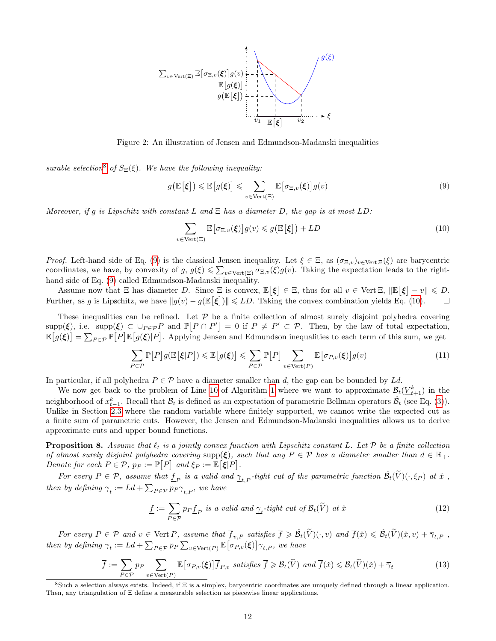

Figure 2: An illustration of Jensen and Edmundson-Madanski inequalities

surable selection<sup>8</sup> of  $S_{\Xi}(\xi)$ . We have the following inequality:

$$
g\left(\mathbb{E}\left[\xi\right]\right) \leqslant \mathbb{E}\left[g(\xi)\right] \leqslant \sum_{v \in \text{Vert}(\Xi)} \mathbb{E}\left[\sigma_{\Xi,v}(\xi)\right] g(v) \tag{9}
$$

Moreover, if g is Lipschitz with constant L and  $\Xi$  has a diameter D, the gap is at most LD:

$$
\sum_{v \in \text{Vert}(\Xi)} \mathbb{E}\big[\sigma_{\Xi,v}(\xi)\big] g(v) \leqslant g\big(\mathbb{E}\big[\xi\big]\big) + LD \tag{10}
$$

Proof. Left-hand side of Eq. (9) is the classical Jensen inequality. Let  $\xi \in \Xi$ , as  $(\sigma_{\Xi,v})_{v \in \text{Vert}} \Xi(\xi)$  are barycentric coordinates, we have, by convexity of  $g, g(\xi) \leq \sum_{v \in \text{Vert}(\Xi)} \sigma_{\Xi,v}(\xi) g(v)$ . Taking the expectation leads to the righthand side of Eq. (9) called Edmundson-Madanski inequality.

Assume now that  $\Xi$  has diameter D. Since  $\Xi$  is convex,  $\mathbb{E}[\xi] \in \Xi$ , thus for all  $v \in \text{Vert } \Xi$ ,  $\|\mathbb{E}[\xi] - v\| \leq D$ . Further, as g is Lipschitz, we have  $||g(v) - g(E[\xi])|| \leq L D$ . Taking the convex combination yields Eq. (10).  $\Box$ 

These inequalities can be refined. Let  $P$  be a finite collection of almost surely disjoint polyhedra covering  $\text{supp}(\xi)$ , i.e.  $\text{supp}(\xi) \subset \bigcup_{P \in \mathcal{P}} P$  and  $\mathbb{P}[P \cap P'] = 0$  if  $P \neq P' \subset \mathcal{P}$ . Then, by the law of total expectation,  $\mathbb{E}[g(\xi)]=\sum_{P\in\mathcal{P}}\mathbb{P}[P]\mathbb{E}[g(\xi)|P]$ . Applying Jensen and Edmundson inequalities to each term of this sum, we get

$$
\sum_{P \in \mathcal{P}} \mathbb{P}[P] g(\mathbb{E}[\xi|P]) \leq \mathbb{E}[g(\xi)] \leq \sum_{P \in \mathcal{P}} \mathbb{P}[P] \sum_{v \in \text{Vert}(P)} \mathbb{E}[\sigma_{P,v}(\xi)] g(v) \tag{11}
$$

In particular, if all polyhedra  $P \in \mathcal{P}$  have a diameter smaller than d, the gap can be bounded by Ld.

We now get back to the problem of Line 10 of Algorithm 1 where we want to approximate  $\mathcal{B}_t(\underline{V}_{t+1}^k)$  in the neighborhood of  $x_{t-1}^k$ . Recall that  $\mathcal{B}_t$  is defined as an expectation of parametric Bellman operators  $\hat{\mathcal{B}}_t$  (see Eq. (3)). Unlike in Section 2.3 where the random variable where finitely supported, we cannot write the expected cut as a finite sum of parametric cuts. However, the Jensen and Edmundson-Madanski inequalities allows us to derive approximate cuts and upper bound functions.

**Proposition 8.** Assume that  $\ell_t$  is a jointly convex function with Lipschitz constant L. Let P be a finite collection of almost surely disjoint polyhedra covering supp $(\xi)$ , such that any  $P \in \mathcal{P}$  has a diameter smaller than  $d \in \mathbb{R}_+$ . Denote for each  $P \in \mathcal{P}$ ,  $p_P := \mathbb{P}[P]$  and  $\xi_P := \mathbb{E}[\xi|P]$ .

For every  $P \in \mathcal{P}$ , assume that  $\underline{f}_P$  is a valid and  $\underline{\gamma}_{t,P}$ -tight cut of the parametric function  $\hat{\mathcal{B}}_t(\widetilde{V})(\cdot,\xi_P)$  at  $\check{x}$ , then by defining  $\underline{\gamma}_t := Ld + \sum_{P \in \mathcal{P}} p_P \underline{\gamma}_{t,P}$ , we have

$$
\underline{f} := \sum_{P \in \mathcal{P}} p_P \underline{f}_P \text{ is a valid and } \underline{\gamma}_t\text{-tight cut of } \mathcal{B}_t(\widetilde{V}) \text{ at } \check{x}
$$
\n
$$
\tag{12}
$$

For every  $P \in \mathcal{P}$  and  $v \in \text{Vert } P$ , assume that  $\overline{f}_{v,P}$  satisfies  $\overline{f} \geqslant \hat{\mathcal{B}}_t(\widetilde{V})(\cdot,v)$  and  $\overline{f}(\check{x}) \leqslant \hat{\mathcal{B}}_t(\widetilde{V})(\check{x},v) + \overline{\gamma}_{t,P}$ , then by defining  $\overline{\gamma}_t := Ld + \sum_{P \in \mathcal{P}} p_P \sum_{v \in \text{Vert}(P)} \mathbb{E} \big[ \sigma_{P,v}(\boldsymbol{\xi}) \big] \overline{\gamma}_{t,P}$ , we have

$$
\overline{f} := \sum_{P \in \mathcal{P}} p_P \sum_{v \in \text{Vert}(P)} \mathbb{E}\left[\sigma_{P,v}(\xi)\right] \overline{f}_{P,v} \ \ satisfies \ \overline{f} \geqslant \mathcal{B}_t(\widetilde{V}) \ \ and \ \overline{f}(\check{x}) \leqslant \mathcal{B}_t(\widetilde{V})(\check{x}) + \overline{\gamma}_t \tag{13}
$$

<sup>&</sup>lt;sup>8</sup>Such a selection always exists. Indeed, if  $\Xi$  is a simplex, barycentric coordinates are uniquely defined through a linear application. Then, any triangulation of Ξ define a measurable selection as piecewise linear applications.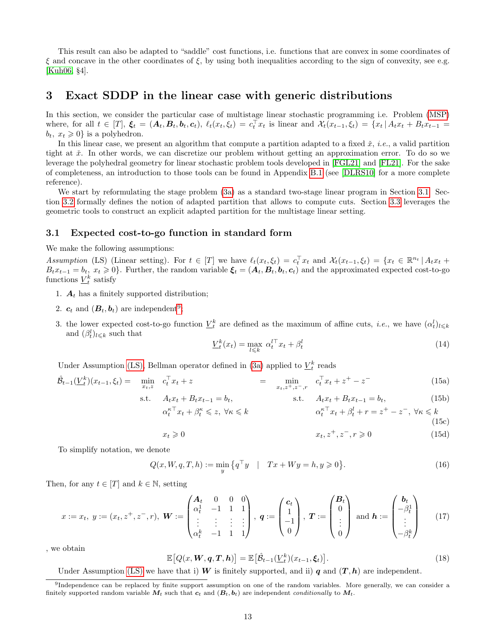This result can also be adapted to "saddle" cost functions, i.e. functions that are convex in some coordinates of  $\xi$  and concave in the other coordinates of  $\xi$ , by using both inequalities according to the sign of convexity, see e.g. [Kuh06, §4].

### 3 Exact SDDP in the linear case with generic distributions

In this section, we consider the particular case of multistage linear stochastic programming i.e. Problem (MSP) where, for all  $t \in [T]$ ,  $\xi_t = (A_t, B_t, b_t, c_t)$ ,  $\ell_t(x_t, \xi_t) = c_t^\top x_t$  is linear and  $\mathcal{X}_t(x_{t-1}, \xi_t) = \{x_t | A_t x_t + B_t x_{t-1} =$  $b_t$ ,  $x_t \geq 0$  is a polyhedron.

In this linear case, we present an algorithm that compute a partition adapted to a fixed  $\check{x}$ , *i.e.*, a valid partition tight at  $\check{x}$ . In other words, we can discretize our problem without getting an approximation error. To do so we leverage the polyhedral geometry for linear stochastic problem tools developed in [FGL21] and [FL21]. For the sake of completeness, an introduction to those tools can be found in Appendix B.1 (see [DLRS10] for a more complete reference).

We start by reformulating the stage problem (3a) as a standard two-stage linear program in Section 3.1. Section 3.2 formally defines the notion of adapted partition that allows to compute cuts. Section 3.3 leverages the geometric tools to construct an explicit adapted partition for the multistage linear setting.

#### 3.1 Expected cost-to-go function in standard form

We make the following assumptions:

Assumption (LS) (Linear setting). For  $t \in [T]$  we have  $\ell_t(x_t, \xi_t) = c_t^\top x_t$  and  $\mathcal{X}_t(x_{t-1}, \xi_t) = \{x_t \in \mathbb{R}^{n_t} \mid A_t x_t +$  $B_t x_{t-1} = b_t$ ,  $x_t \ge 0$ . Further, the random variable  $\xi_t = (A_t, B_t, b_t, c_t)$  and the approximated expected cost-to-go functions  $\underline{V}_t^k$  satisfy

- 1.  $A_t$  has a finitely supported distribution;
- 2.  $c_t$  and  $(B_t, b_t)$  are independent<sup>9</sup>;
- 3. the lower expected cost-to-go function  $\underline{V}_t^k$  are defined as the maximum of affine cuts, *i.e.*, we have  $(\alpha_t^l)_{l \leq k}$ and  $(\beta_t^l)_{l \leq k}$  such that

$$
\underline{V}_t^k(x_t) = \max_{l \le k} \ \alpha_t^{l \top} x_t + \beta_t^l \tag{14}
$$

Under Assumption (LS), Bellman operator defined in (3a) applied to  $\underline{V}_t^k$  reads

$$
\hat{\mathcal{B}}_{t-1}(\underline{V}_t^k)(x_{t-1}, \xi_t) = \min_{x_t, z} c_t^{\top} x_t + z \qquad \qquad = \min_{x_t, z^+, z^-, r} c_t^{\top} x_t + z^+ - z^- \qquad (15a)
$$

s.t. 
$$
A_t x_t + B_t x_{t-1} = b_t
$$
,  
\n $\alpha_t^{\kappa \top} x_t + \beta_t^{\kappa} \leq z$ ,  $\forall \kappa \leq k$   
\n $\alpha_t^{\kappa \top} x_t + \beta_t^{\kappa} \leq z$ ,  $\forall \kappa \leq k$   
\n $\alpha_t^{\kappa \top} x_t + \beta_t^l + r = z^+ - z^-$ ,  $\forall \kappa \leq k$   
\n(15c)

$$
x_t \geq 0 \qquad \qquad x_t, z^+, z^-, r \geq 0 \qquad (15d)
$$

To simplify notation, we denote

$$
Q(x, W, q, T, h) := \min_{y} \{ q^{\top} y \quad | \quad Tx + Wy = h, y \geq 0 \}.
$$
 (16)

Then, for any  $t \in [T]$  and  $k \in \mathbb{N}$ , setting

$$
x := x_t, y := (x_t, z^+, z^-, r), \quad \mathbf{W} := \begin{pmatrix} \mathbf{A}_t & 0 & 0 & 0 \\ \alpha_t^1 & -1 & 1 & 1 \\ \vdots & \vdots & \vdots & \vdots \\ \alpha_t^k & -1 & 1 & 1 \end{pmatrix}, \quad \mathbf{q} := \begin{pmatrix} \mathbf{c}_t \\ 1 \\ -1 \\ 0 \end{pmatrix}, \quad \mathbf{T} := \begin{pmatrix} \mathbf{B}_t \\ 0 \\ \vdots \\ 0 \end{pmatrix} \quad \text{and} \quad \mathbf{h} := \begin{pmatrix} \mathbf{b}_t \\ -\beta_t^1 \\ \vdots \\ -\beta_t^k \end{pmatrix} \tag{17}
$$

, we obtain

$$
\mathbb{E}\left[Q(x, \mathbf{W}, \mathbf{q}, \mathbf{T}, \mathbf{h})\right] = \mathbb{E}\left[\hat{\mathcal{B}}_{t-1}(\underline{V}_t^k)(x_{t-1}, \xi_t)\right].\tag{18}
$$

Under Assumption (LS) we have that i) W is finitely supported, and ii) q and  $(T, h)$  are independent.

<sup>&</sup>lt;sup>9</sup>Independence can be replaced by finite support assumption on one of the random variables. More generally, we can consider a finitely supported random variable  $\dot{M}_t$  such that  $c_t$  and  $(\dot{B}_t, b_t)$  are independent *conditionally* to  $M_t$ .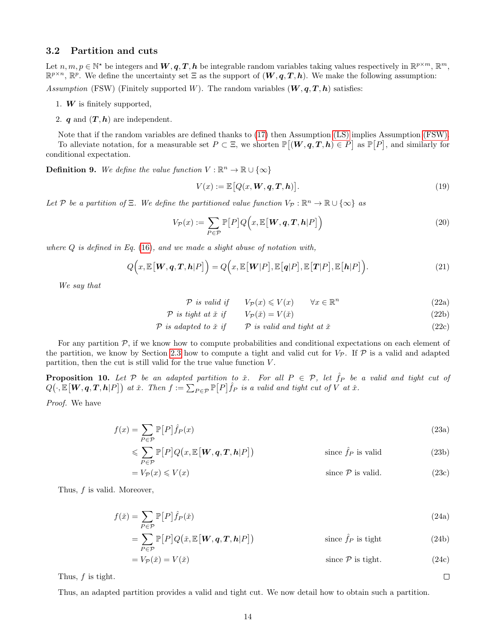#### 3.2 Partition and cuts

Let  $n, m, p \in \mathbb{N}^*$  be integers and  $W, q, T, h$  be integrable random variables taking values respectively in  $\mathbb{R}^{p \times m}$ ,  $\mathbb{R}^m$ ,  $\mathbb{R}^{p \times n}$ ,  $\mathbb{R}^p$ . We define the uncertainty set  $\Xi$  as the support of  $(W, q, T, h)$ . We make the following assumption:

Assumption (FSW) (Finitely supported W). The random variables  $(W, q, T, h)$  satisfies:

- 1.  $W$  is finitely supported,
- 2. q and  $(T, h)$  are independent.

Note that if the random variables are defined thanks to (17) then Assumption (LS) implies Assumption (FSW). To alleviate notation, for a measurable set  $P \subset \Xi$ , we shorten  $\mathbb{P}[(\mathbf{W}, \mathbf{q}, \mathbf{T}, \mathbf{h}) \in P]$  as  $\mathbb{P}[P]$ , and similarly for conditional expectation.

**Definition 9.** We define the value function  $V : \mathbb{R}^n \to \mathbb{R} \cup \{\infty\}$ 

$$
V(x) := \mathbb{E}\big[Q(x, \boldsymbol{W}, \boldsymbol{q}, \boldsymbol{T}, \boldsymbol{h})\big].\tag{19}
$$

Let P be a partition of  $\Xi$ . We define the partitioned value function  $V_P : \mathbb{R}^n \to \mathbb{R} \cup \{\infty\}$  as

$$
V_{\mathcal{P}}(x) := \sum_{P \in \mathcal{P}} \mathbb{P}[P] Q\Big(x, \mathbb{E}\big[\boldsymbol{W}, \boldsymbol{q}, \boldsymbol{T}, \boldsymbol{h} | P\big]\Big) \tag{20}
$$

where  $Q$  is defined in Eq. (16), and we made a slight abuse of notation with,

$$
Q\Big(x,\mathbb{E}\big[\boldsymbol{W},\boldsymbol{q},\boldsymbol{T},\boldsymbol{h}|P\big]\Big) = Q\Big(x,\mathbb{E}\big[\boldsymbol{W}|P\big],\mathbb{E}\big[\boldsymbol{q}|P\big],\mathbb{E}\big[\boldsymbol{T}|P\big],\mathbb{E}\big[\boldsymbol{h}|P\big]\Big). \tag{21}
$$

We say that

 $P$  is valid if  $V_P(x) \leqslant V(x)$   $\forall x \in \mathbb{R}^n$ (22a)

$$
\mathcal{P} \text{ is tight at } \check{x} \text{ if } V_{\mathcal{P}}(\check{x}) = V(\check{x}) \tag{22b}
$$

$$
\mathcal{P} \text{ is adapted to } \check{x} \text{ if } \qquad \mathcal{P} \text{ is valid and tight at } \check{x} \tag{22c}
$$

For any partition  $P$ , if we know how to compute probabilities and conditional expectations on each element of the partition, we know by Section 2.3 how to compute a tight and valid cut for  $V_{\mathcal{P}}$ . If  $\mathcal{P}$  is a valid and adapted partition, then the cut is still valid for the true value function  $V$ .

**Proposition 10.** Let P be an adapted partition to  $\check{x}$ . For all  $P \in \mathcal{P}$ , let  $\hat{f}_P$  be a valid and tight cut of  $Q(\cdot, \mathbb{E}[{\boldsymbol W}, {\boldsymbol q}, {\boldsymbol T}, {\boldsymbol h}|P])$  at  $\check x$ . Then  $f := \sum_{P \in \mathcal{P}} \mathbb{P}[P] \hat f_P$  is a valid and tight cut of  $V$  at  $\check x$ .

Proof. We have

$$
f(x) = \sum_{P \in \mathcal{P}} \mathbb{P}[P]\hat{f}_P(x) \tag{23a}
$$

$$
\leqslant \sum_{P \in \mathcal{P}} \mathbb{P}[P] Q(x, \mathbb{E}[W, q, T, h | P]) \qquad \text{since } \hat{f}_P \text{ is valid} \tag{23b}
$$

$$
= V_{\mathcal{P}}(x) \leqslant V(x) \qquad \qquad \text{since } \mathcal{P} \text{ is valid.} \tag{23c}
$$

Thus, f is valid. Moreover,

$$
f(\check{x}) = \sum_{P \in \mathcal{P}} \mathbb{P}[P]\hat{f}_P(\check{x})
$$
\n(24a)

$$
= \sum_{P \in \mathcal{P}} \mathbb{P}[P] Q(\check{x}, \mathbb{E}[W, q, T, h | P]) \qquad \text{since } \hat{f}_P \text{ is tight} \tag{24b}
$$

$$
= V_{\mathcal{P}}(\check{x}) = V(\check{x}) \qquad \text{since } \mathcal{P} \text{ is tight.} \tag{24c}
$$

 $\Box$ 

Thus, f is tight.

Thus, an adapted partition provides a valid and tight cut. We now detail how to obtain such a partition.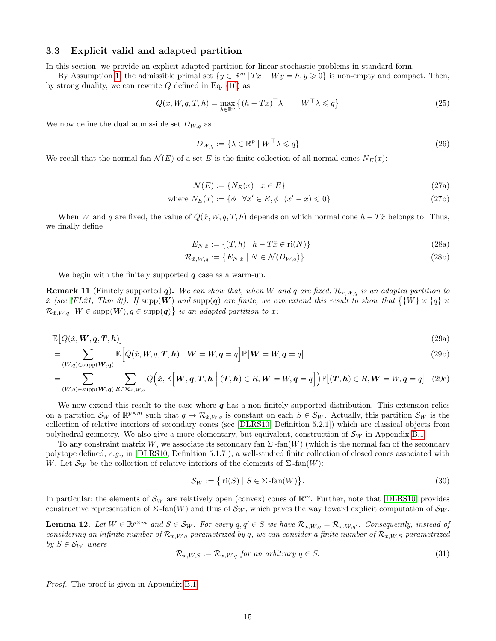#### 3.3 Explicit valid and adapted partition

In this section, we provide an explicit adapted partition for linear stochastic problems in standard form.

By Assumption 1, the admissible primal set  $\{y \in \mathbb{R}^m | Tx + Wy = h, y \geq 0\}$  is non-empty and compact. Then, by strong duality, we can rewrite  $Q$  defined in Eq. (16) as

$$
Q(x, W, q, T, h) = \max_{\lambda \in \mathbb{R}^p} \left\{ (h - Tx)^{\top} \lambda \mid W^{\top} \lambda \leq q \right\}
$$
 (25)

We now define the dual admissible set  $D_{W,q}$  as

$$
D_{W,q} := \{ \lambda \in \mathbb{R}^p \mid W^\top \lambda \leqslant q \} \tag{26}
$$

We recall that the normal fan  $\mathcal{N}(E)$  of a set E is the finite collection of all normal cones  $N_E(x)$ :

$$
\mathcal{N}(E) := \{ N_E(x) \mid x \in E \} \tag{27a}
$$

where 
$$
N_E(x) := \{ \phi \mid \forall x' \in E, \phi^\top(x' - x) \leq 0 \}
$$
 (27b)

When W and q are fixed, the value of  $Q(\tilde{x}, W, q, T, h)$  depends on which normal cone  $h - T\tilde{x}$  belongs to. Thus, we finally define

$$
E_{N, \tilde{x}} := \{(T, h) \mid h - T\tilde{x} \in \text{ri}(N)\}\
$$
\n(28a)

$$
\mathcal{R}_{\check{x},W,q} := \{ E_{N,\check{x}} \mid N \in \mathcal{N}(D_{W,q}) \}
$$
\n
$$
(28b)
$$

We begin with the finitely supported  $q$  case as a warm-up.

**Remark 11** (Finitely supported q). We can show that, when W and q are fixed,  $\mathcal{R}_{x,W,q}$  is an adapted partition to  $\check{x}$  (see [FL21, Thm 3]). If supp(W) and supp(q) are finite, we can extend this result to show that  $\{W\}\times\{q\}\times\{q\}$  $\mathcal{R}_{\check{x},W,q} \, | \, W \in \text{supp}(\boldsymbol{W}), q \in \text{supp}(\boldsymbol{q}) \big\}$  is an adapted partition to  $\check{x}$ :

$$
\mathbb{E}\big[Q(\check{x},\boldsymbol{W},\boldsymbol{q},\boldsymbol{T},\boldsymbol{h})\big] \tag{29a}
$$

$$
= \sum_{(W,q)\in \text{supp}(\mathbf{W},\mathbf{q})} \mathbb{E}\left[Q(\tilde{x},W,q,\mathbf{T},\mathbf{h}) \middle| \mathbf{W} = W, \mathbf{q} = q\right] \mathbb{P}[\mathbf{W} = W, \mathbf{q} = q] \tag{29b}
$$

$$
=\sum_{(W,q)\in \text{supp}(\mathbf{W},\mathbf{q})} \sum_{R\in \mathcal{R}_{\tilde{x},W,q}} Q\Big(\tilde{x},\mathbb{E}\Big[\mathbf{W},\mathbf{q},\mathbf{T},\mathbf{h} \Big| (\mathbf{T},\mathbf{h})\in R,\mathbf{W}=W,\mathbf{q}=q \Big] \Big) \mathbb{P}\big[(\mathbf{T},\mathbf{h})\in R,\mathbf{W}=W,\mathbf{q}=q \big] \tag{29c}
$$

We now extend this result to the case where  $q$  has a non-finitely supported distribution. This extension relies on a partition  $\mathcal{S}_W$  of  $\mathbb{R}^{p \times m}$  such that  $q \mapsto \mathcal{R}_{x,W,q}$  is constant on each  $S \in \mathcal{S}_W$ . Actually, this partition  $\mathcal{S}_W$  is the collection of relative interiors of secondary cones (see [DLRS10, Definition 5.2.1]) which are classical objects from polyhedral geometry. We also give a more elementary, but equivalent, construction of  $\mathcal{S}_W$  in Appendix B.1.

To any constraint matrix W, we associate its secondary fan  $\Sigma$ -fan(W) (which is the normal fan of the secondary polytope defined, e.g., in [DLRS10, Definition 5.1.7]), a well-studied finite collection of closed cones associated with W. Let  $\mathcal{S}_W$  be the collection of relative interiors of the elements of  $\Sigma$ -fan $(W)$ :

$$
\mathcal{S}_W := \{ \text{ri}(S) \mid S \in \Sigma \text{-fan}(W) \}. \tag{30}
$$

In particular; the elements of  $\mathcal{S}_W$  are relatively open (convex) cones of  $\mathbb{R}^m$ . Further, note that [DLRS10] provides constructive representation of  $\Sigma$ -fan(W) and thus of  $\mathcal{S}_W$ , which paves the way toward explicit computation of  $\mathcal{S}_W$ .

**Lemma 12.** Let  $W \in \mathbb{R}^{p \times m}$  and  $S \in \mathcal{S}_W$ . For every  $q, q' \in S$  we have  $\mathcal{R}_{x,W,q} = \mathcal{R}_{x,W,q'}$ . Consequently, instead of considering an infinite number of  $\mathcal{R}_{x,W,q}$  parametrized by q, we can consider a finite number of  $\mathcal{R}_{x,W,S}$  parametrized by  $S \in \mathcal{S}_W$  where

$$
\mathcal{R}_{x,W,S} := \mathcal{R}_{x,W,q} \text{ for an arbitrary } q \in S. \tag{31}
$$

Proof. The proof is given in Appendix B.1.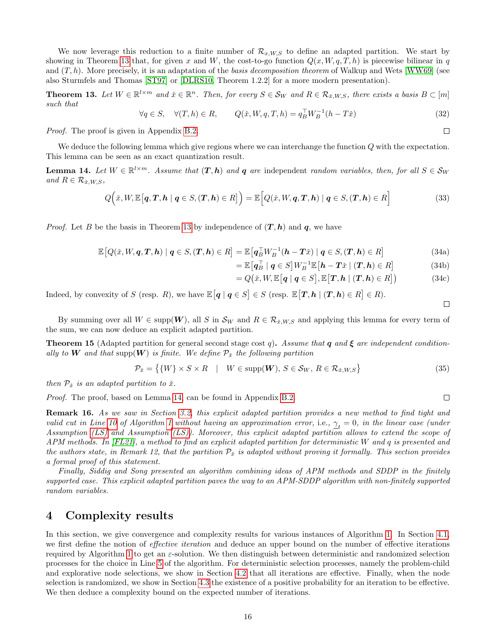We now leverage this reduction to a finite number of  $\mathcal{R}_{x,W,S}$  to define an adapted partition. We start by showing in Theorem 13 that, for given x and W, the cost-to-go function  $Q(x, W, q, T, h)$  is piecewise bilinear in q and  $(T, h)$ . More precisely, it is an adaptation of the basis decomposition theorem of Walkup and Wets [WW69] (see also Sturmfels and Thomas [ST97] or [DLRS10, Theorem 1.2.2] for a more modern presentation).

**Theorem 13.** Let  $W \in \mathbb{R}^{l \times m}$  and  $\check{x} \in \mathbb{R}^n$ . Then, for every  $S \in \mathcal{S}_W$  and  $R \in \mathcal{R}_{\check{x},W,S}$ , there exists a basis  $B \subset [m]$ such that

$$
\forall q \in S, \quad \forall (T, h) \in R, \qquad Q(\tilde{x}, W, q, T, h) = q_B^{\top} W_B^{-1} (h - T\tilde{x}) \tag{32}
$$

Proof. The proof is given in Appendix B.2.

We deduce the following lemma which give regions where we can interchange the function Q with the expectation. This lemma can be seen as an exact quantization result.

**Lemma 14.** Let  $W \in \mathbb{R}^{l \times m}$ . Assume that  $(T, h)$  and q are independent random variables, then, for all  $S \in \mathcal{S}_W$ and  $R \in \mathcal{R}_{\check{x},W,S}$ ,

$$
Q\Big(\check{x},W,\mathbb{E}\big[q,\boldsymbol{T},\boldsymbol{h}\mid\boldsymbol{q}\in S,(\boldsymbol{T},\boldsymbol{h})\in R\big]\Big)=\mathbb{E}\Big[Q(\check{x},W,\boldsymbol{q},\boldsymbol{T},\boldsymbol{h})\mid\boldsymbol{q}\in S,(\boldsymbol{T},\boldsymbol{h})\in R\Big]
$$
(33)

*Proof.* Let B be the basis in Theorem 13 by independence of  $(T, h)$  and q, we have

$$
\mathbb{E}\left[Q(\tilde{x},W,\boldsymbol{q},\boldsymbol{T},\boldsymbol{h})\mid\boldsymbol{q}\in S,(\boldsymbol{T},\boldsymbol{h})\in R\right]=\mathbb{E}\left[\boldsymbol{q}_{B}^{\top}W_{B}^{-1}(\boldsymbol{h}-\boldsymbol{T}\tilde{x})\mid\boldsymbol{q}\in S,(\boldsymbol{T},\boldsymbol{h})\in R\right]
$$
\n(34a)

$$
= \mathbb{E}\left[q_B^{\top} \mid q \in S\right] W_B^{-1} \mathbb{E}\left[\boldsymbol{h} - \boldsymbol{T} \check{x} \mid (\boldsymbol{T}, \boldsymbol{h}) \in R\right]
$$
 (34b)

$$
= Q(\tilde{x}, W, \mathbb{E}\big[q \mid q \in S\big], \mathbb{E}\big[T, h \mid (T, h) \in R\big]\big) \tag{34c}
$$

Indeed, by convexity of S (resp. R), we have  $\mathbb{E}[q | q \in S] \in S$  (resp.  $\mathbb{E}[T, h | (T, h) \in R] \in R$ ).

By summing over all  $W \in \text{supp}(\boldsymbol{W})$ , all S in  $\mathcal{S}_W$  and  $R \in \mathcal{R}_{\tilde{x},W,S}$  and applying this lemma for every term of the sum, we can now deduce an explicit adapted partition.

**Theorem 15** (Adapted partition for general second stage cost q). Assume that q and  $\xi$  are independent conditionally to W and that supp $(W)$  is finite. We define  $\mathcal{P}_{\tilde{x}}$  the following partition

$$
\mathcal{P}_{\check{x}} = \{ \{W\} \times S \times R \quad | \quad W \in \text{supp}(\boldsymbol{W}), \, S \in \mathcal{S}_W, \, R \in \mathcal{R}_{\check{x},W,S} \} \tag{35}
$$

then  $\mathcal{P}_{\check{x}}$  is an adapted partition to  $\check{x}$ .

Proof. The proof, based on Lemma 14, can be found in Appendix B.2.

**Remark 16.** As we saw in Section 3.2, this explicit adapted partition provides a new method to find tight and valid cut in Line 10 of Algorithm 1 without having an approximation error, i.e.,  $\gamma_t = 0$ , in the linear case (under Assumption (LS) and Assumption (LS)). Moreover, this explicit adapted partition allows to extend the scope of APM methods. In  $[FL21]$ , a method to find an explicit adapted partition for deterministic W and q is presented and the authors state, in Remark 12, that the partition  $\mathcal{P}_{\tilde{x}}$  is adapted without proving it formally. This section provides a formal proof of this statement.

Finally, Siddig and Song presented an algorithm combining ideas of APM methods and SDDP in the finitely supported case. This explicit adapted partition paves the way to an APM-SDDP algorithm with non-finitely supported random variables.

## 4 Complexity results

In this section, we give convergence and complexity results for various instances of Algorithm 1. In Section 4.1, we first define the notion of *effective iteration* and deduce an upper bound on the number of effective iterations required by Algorithm 1 to get an  $\varepsilon$ -solution. We then distinguish between deterministic and randomized selection processes for the choice in Line 5 of the algorithm. For deterministic selection processes, namely the problem-child and explorative node selections, we show in Section 4.2 that all iterations are effective. Finally, when the node selection is randomized, we show in Section 4.3 the existence of a positive probability for an iteration to be effective. We then deduce a complexity bound on the expected number of iterations.

 $\Box$ 

 $\Box$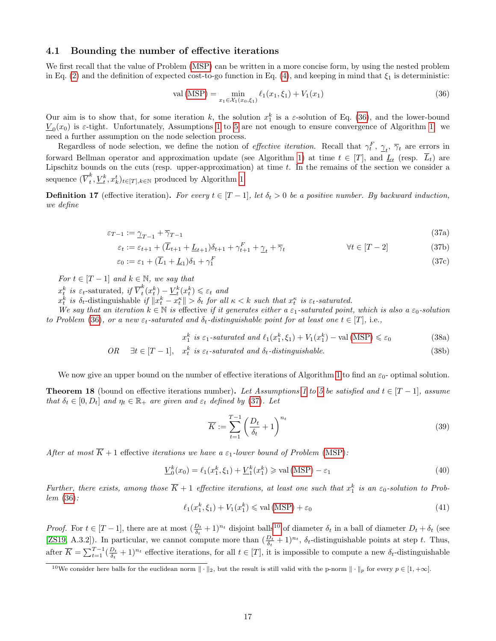#### 4.1 Bounding the number of effective iterations

We first recall that the value of Problem (MSP) can be written in a more concise form, by using the nested problem in Eq. (2) and the definition of expected cost-to-go function in Eq. (4), and keeping in mind that  $\xi_1$  is deterministic:

$$
val(MSP) = \min_{x_1 \in \mathcal{X}_1(x_0, \xi_1)} \ell_1(x_1, \xi_1) + V_1(x_1)
$$
\n(36)

Our aim is to show that, for some iteration k, the solution  $x_1^k$  is a  $\varepsilon$ -solution of Eq. (36), and the lower-bound  $\underline{V}_0(x_0)$  is  $\varepsilon$ -tight. Unfortunately, Assumptions 1 to 5 are not enough to ensure convergence of Algorithm 1: we need a further assumption on the node selection process.

Regardless of node selection, we define the notion of *effective iteration*. Recall that  $\gamma_t^F$ ,  $\gamma_t$ ,  $\overline{\gamma}_t$  are errors in forward Bellman operator and approximation update (see Algorithm 1) at time  $t \in [T]$ , and  $\underline{L}_t$  (resp.  $L_t$ ) are Lipschitz bounds on the cuts (resp. upper-approximation) at time  $t$ . In the remains of the section we consider a sequence  $(\overline{V}^k_t)$  $_{t}^{k},\underline{V}_{t}^{k},x_{k}^{t})_{t\in[T],k\in\mathbb{N}}$  produced by Algorithm 1.

**Definition 17** (effective iteration). For every  $t \in [T-1]$ , let  $\delta_t > 0$  be a positive number. By backward induction, we define

$$
\varepsilon_{T-1} := \underline{\gamma}_{T-1} + \overline{\gamma}_{T-1} \tag{37a}
$$

$$
\varepsilon_t := \varepsilon_{t+1} + (\overline{L}_{t+1} + \underline{L}_{t+1})\delta_{t+1} + \gamma_{t+1}^F + \gamma_t + \overline{\gamma}_t \qquad \qquad \forall t \in [T-2]
$$
\n(37b)

$$
\varepsilon_0 := \varepsilon_1 + (\overline{L}_1 + \underline{L}_1)\delta_1 + \gamma_1^F \tag{37c}
$$

For  $t \in [T-1]$  and  $k \in \mathbb{N}$ , we say that

 $x_t^k$  is  $\varepsilon_t$ -saturated, if  $\overline{V}_t^k$  $\frac{k}{t}(x_t^k) - \underline{V}_t^k(x_t^k) \leqslant \varepsilon_t$  and

 $x_t^k$  is  $\delta_t$ -distinguishable if  $||x_t^k - x_t^{\kappa}|| > \delta_t$  for all  $\kappa < k$  such that  $x_t^{\kappa}$  is  $\varepsilon_t$ -saturated.

We say that an iteration  $k \in \mathbb{N}$  is effective if it generates either a  $\varepsilon_1$ -saturated point, which is also a  $\varepsilon_0$ -solution to Problem (36), or a new  $\varepsilon_t$ -saturated and  $\delta_t$ -distinguishable point for at least one  $t \in [T]$ , i.e.,

$$
x_1^k \text{ is } \varepsilon_1\text{-}saturated \text{ and } \ell_1(x_1^k, \xi_1) + V_1(x_1^k) - \text{val (MSP)} \leq \varepsilon_0 \tag{38a}
$$

OR 
$$
\exists t \in [T-1], \quad x_t^k \text{ is } \varepsilon_t\text{-saturated and } \delta_t\text{-distinguishable.}
$$
 (38b)

We now give an upper bound on the number of effective iterations of Algorithm 1 to find an  $\varepsilon_0$ - optimal solution.

**Theorem 18** (bound on effective iterations number). Let Assumptions 1 to 5 be satisfied and  $t \in [T-1]$ , assume that  $\delta_t \in [0, D_t]$  and  $\eta_t \in \mathbb{R}_+$  are given and  $\varepsilon_t$  defined by (37). Let

$$
\overline{K} := \sum_{t=1}^{T-1} \left( \frac{D_t}{\delta_t} + 1 \right)^{n_t} \tag{39}
$$

After at most  $\overline{K} + 1$  effective iterations we have a  $\varepsilon_1$ -lower bound of Problem (MSP):

$$
\underline{V}_0^k(x_0) = \ell_1(x_1^k, \xi_1) + \underline{V}_1^k(x_1^k) \geq \text{val}(\text{MSP}) - \varepsilon_1 \tag{40}
$$

Further, there exists, among those  $\overline{K}+1$  effective iterations, at least one such that  $x_1^k$  is an  $\varepsilon_0$ -solution to Problem (36):

$$
\ell_1(x_1^k, \xi_1) + V_1(x_1^k) \leqslant \text{val}\left(\text{MSP}\right) + \varepsilon_0 \tag{41}
$$

*Proof.* For  $t \in [T-1]$ , there are at most  $(\frac{D_t}{\delta_t} + 1)^{n_t}$  disjoint balls<sup>10</sup> of diameter  $\delta_t$  in a ball of diameter  $D_t + \delta_t$  (see [ZS19, A.3.2]). In particular, we cannot compute more than  $(\frac{D_t}{\delta_t}+1)^{n_t}$ ,  $\delta_t$ -distinguishable points at step t. Thus, after  $\overline{K} = \sum_{t=1}^{T-1} (\frac{D_t}{\delta_t} + 1)^{n_t}$  effective iterations, for all  $t \in [T]$ , it is impossible to compute a new  $\delta_t$ -distinguishable

<sup>&</sup>lt;sup>10</sup>We consider here balls for the euclidean norm  $\|\cdot\|_2$ , but the result is still valid with the p-norm  $\|\cdot\|_p$  for every  $p \in [1, +\infty]$ .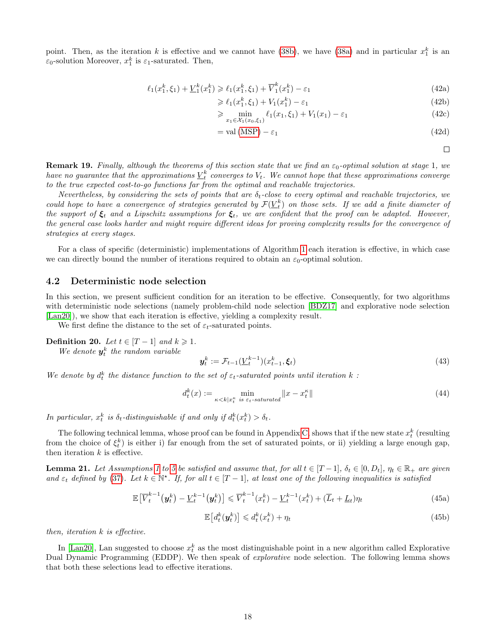point. Then, as the iteration k is effective and we cannot have (38b), we have (38a) and in particular  $x_1^k$  is an  $\varepsilon_0$ -solution Moreover,  $x_1^k$  is  $\varepsilon_1$ -saturated. Then,

$$
\ell_1(x_1^k, \xi_1) + \underline{V}_1^k(x_1^k) \ge \ell_1(x_1^k, \xi_1) + \overline{V}_1^k(x_1^k) - \varepsilon_1 \tag{42a}
$$

$$
\geq \ell_1(x_1^k, \xi_1) + V_1(x_1^k) - \varepsilon_1 \tag{42b}
$$

$$
\geq \min_{x_1 \in \mathcal{X}_1(x_0, \xi_1)} \ell_1(x_1, \xi_1) + V_1(x_1) - \varepsilon_1 \tag{42c}
$$

$$
= val(MSP) - \varepsilon_1 \tag{42d}
$$

 $\Box$ 

**Remark 19.** Finally, although the theorems of this section state that we find an  $\varepsilon_0$ -optimal solution at stage 1, we have no guarantee that the approximations  $\underline{V}_t^k$  converges to  $V_t$ . We cannot hope that these approximations converge to the true expected cost-to-go functions far from the optimal and reachable trajectories.

Nevertheless, by considering the sets of points that are  $\delta_t$ -close to every optimal and reachable trajectories, we could hope to have a convergence of strategies generated by  $\mathcal{F}(\underline{V}_t^k)$  on those sets. If we add a finite diameter of the support of  $\xi_t$  and a Lipschitz assumptions for  $\xi_t$ , we are confident that the proof can be adapted. However, the general case looks harder and might require different ideas for proving complexity results for the convergence of strategies at every stages.

For a class of specific (deterministic) implementations of Algorithm 1 each iteration is effective, in which case we can directly bound the number of iterations required to obtain an  $\varepsilon_0$ -optimal solution.

#### 4.2 Deterministic node selection

In this section, we present sufficient condition for an iteration to be effective. Consequently, for two algorithms with deterministic node selections (namely problem-child node selection [BDZ17] and explorative node selection [Lan20]), we show that each iteration is effective, yielding a complexity result.

We first define the distance to the set of  $\varepsilon_t$ -saturated points.

Definition 20. Let  $t \in [T-1]$  and  $k \geq 1$ .

We denote  $y_t^k$  the random variable

$$
\mathbf{y}_t^k := \mathcal{F}_{t-1}(\underline{V}_t^{k-1})(x_{t-1}^k, \xi_t) \tag{43}
$$

We denote by  $d_t^k$  the distance function to the set of  $\varepsilon_t$ -saturated points until iteration  $k$ :

$$
d_t^k(x) := \min_{\kappa < k | x_t^{\kappa} \text{ is } \varepsilon_t\text{-saturated}} \|x - x_t^{\kappa}\| \tag{44}
$$

In particular,  $x_t^k$  is  $\delta_t$ -distinguishable if and only if  $d_t^k(x_t^k) > \delta_t$ .

The following technical lemma, whose proof can be found in Appendix C, shows that if the new state  $x_t^k$  (resulting from the choice of  $\xi_t^k$ ) is either i) far enough from the set of saturated points, or ii) yielding a large enough gap, then iteration  $k$  is effective.

**Lemma 21.** Let Assumptions 1 to 5 be satisfied and assume that, for all  $t \in [T-1]$ ,  $\delta_t \in [0, D_t]$ ,  $\eta_t \in \mathbb{R}_+$  are given and  $\varepsilon_t$  defined by (37). Let  $k \in \mathbb{N}^*$ . If, for all  $t \in [T-1]$ , at least one of the following inequalities is satisfied

$$
\mathbb{E}\left[\overline{V}_t^{k-1}\left(\mathbf{y}_t^k\right) - \underline{V}_t^{k-1}\left(\mathbf{y}_t^k\right)\right] \leqslant \overline{V}_t^{k-1}(x_t^k) - \underline{V}_t^{k-1}(x_t^k) + (\overline{L}_t + \underline{L}_t)\eta_t
$$
\n(45a)

$$
\mathbb{E}\left[d_t^k(\mathbf{y}_t^k)\right] \leqslant d_t^k(x_t^k) + \eta_t \tag{45b}
$$

then, iteration k is effective.

In [Lan20], Lan suggested to choose  $x_t^k$  as the most distinguishable point in a new algorithm called Explorative Dual Dynamic Programming (EDDP). We then speak of *explorative* node selection. The following lemma shows that both these selections lead to effective iterations.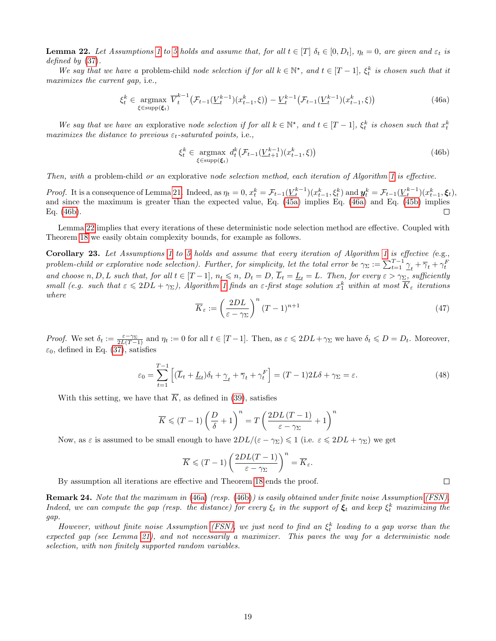**Lemma 22.** Let Assumptions 1 to 5 holds and assume that, for all  $t \in [T]$   $\delta_t \in [0, D_t]$ ,  $\eta_t = 0$ , are given and  $\varepsilon_t$  is defined by (37).

We say that we have a problem-child node selection if for all  $k \in \mathbb{N}^*$ , and  $t \in [T-1]$ ,  $\xi_t^k$  is chosen such that it maximizes the current gap, i.e.,

$$
\xi_t^k \in \underset{\xi \in \text{supp}(\xi_t)}{\text{argmax}} \ \overline{V}_t^{k-1} \left( \mathcal{F}_{t-1}(\underline{V}_t^{k-1})(x_{t-1}^k, \xi) \right) - \underline{V}_t^{k-1} \left( \mathcal{F}_{t-1}(\underline{V}_t^{k-1})(x_{t-1}^k, \xi) \right) \tag{46a}
$$

We say that we have an explorative node selection if for all  $k \in \mathbb{N}^*$ , and  $t \in [T-1]$ ,  $\xi_t^k$  is chosen such that  $x_t^k$ maximizes the distance to previous  $\varepsilon_t$ -saturated points, i.e.,

$$
\xi_t^k \in \underset{\xi \in \text{supp}(\xi_t)}{\text{argmax}} d_t^k \big(\mathcal{F}_{t-1}(\underline{V}_{t+1}^{k-1})(x_{t-1}^k, \xi)\big) \tag{46b}
$$

Then, with a problem-child or an explorative node selection method, each iteration of Algorithm 1 is effective.

*Proof.* It is a consequence of Lemma 21. Indeed, as  $\eta_t = 0$ ,  $x_t^k = \mathcal{F}_{t-1}(\underline{V}_t^{k-1})(x_{t-1}^k, \xi_t^k)$  and  $\mathbf{y}_t^k = \mathcal{F}_{t-1}(\underline{V}_t^{k-1})(x_{t-1}^k, \xi_t)$ , and since the maximum is greater than the expected value, Eq. (45a) implies Eq. (46a) and Eq. (45b) implies Eq. (46b). □

Lemma 22 implies that every iterations of these deterministic node selection method are effective. Coupled with Theorem 18 we easily obtain complexity bounds, for example as follows.

**Corollary 23.** Let Assumptions 1 to 5 holds and assume that every iteration of Algorithm 1 is effective (e.g., problem-child or explorative node selection). Further, for simplicity, let the total error be  $\gamma_{\Sigma} := \sum_{t=1}^{T-1} \frac{\gamma_t}{\gamma_t} + \overline{\gamma}_t + \gamma_t^F$ and choose n, D, L such that, for all  $t \in [T-1]$ ,  $n_t \leq n$ ,  $D_t = D$ ,  $\overline{L}_t = \underline{L}_t = L$ . Then, for every  $\varepsilon > \gamma_{\Sigma}$ , sufficiently small (e.g. such that  $\varepsilon \leq 2DL + \gamma_{\Sigma}$ ), Algorithm 1 finds an  $\varepsilon$ -first stage solution  $x_1^k$  within at most  $\overline{K}_{\varepsilon}$  iterations where

$$
\overline{K}_{\varepsilon} := \left(\frac{2DL}{\varepsilon - \gamma_{\Sigma}}\right)^n (T - 1)^{n+1}
$$
\n(47)

Proof. We set  $\delta_t := \frac{\varepsilon - \gamma_{\Sigma}}{2L(T-1)}$  and  $\eta_t := 0$  for all  $t \in [T-1]$ . Then, as  $\varepsilon \leq 2DL + \gamma_{\Sigma}$  we have  $\delta_t \leq D = D_t$ . Moreover,  $\varepsilon_0$ , defined in Eq. (37), satisfies

$$
\varepsilon_0 = \sum_{t=1}^{T-1} \left[ (\overline{L}_t + \underline{L}_t) \delta_t + \underline{\gamma}_t + \overline{\gamma}_t + \gamma_t^F \right] = (T-1)2L\delta + \gamma_\Sigma = \varepsilon. \tag{48}
$$

With this setting, we have that  $\overline{K}$ , as defined in (39), satisfies

$$
\overline{K} \leqslant (T-1)\left(\frac{D}{\delta}+1\right)^n = T\left(\frac{2DL\left(T-1\right)}{\varepsilon-\gamma_\Sigma}+1\right)^n
$$

Now, as  $\varepsilon$  is assumed to be small enough to have  $2DL/(\varepsilon - \gamma_{\Sigma}) \leq 1$  (i.e.  $\varepsilon \leq 2DL + \gamma_{\Sigma}$ ) we get

$$
\overline{K} \leqslant (T-1)\left(\frac{2DL(T-1)}{\varepsilon - \gamma_{\Sigma}}\right)^n = \overline{K}_{\varepsilon}.
$$

By assumption all iterations are effective and Theorem 18 ends the proof.

Remark 24. Note that the maximum in (46a) (resp. (46b)) is easily obtained under finite noise Assumption (FSN). Indeed, we can compute the gap (resp. the distance) for every  $\xi_t$  in the support of  $\xi_t$  and keep  $\xi_t^k$  maximizing the gap.

However, without finite noise Assumption (FSN), we just need to find an  $\xi_t^k$  leading to a gap worse than the expected gap (see Lemma 21), and not necessarily a maximizer. This paves the way for a deterministic node selection, with non finitely supported random variables.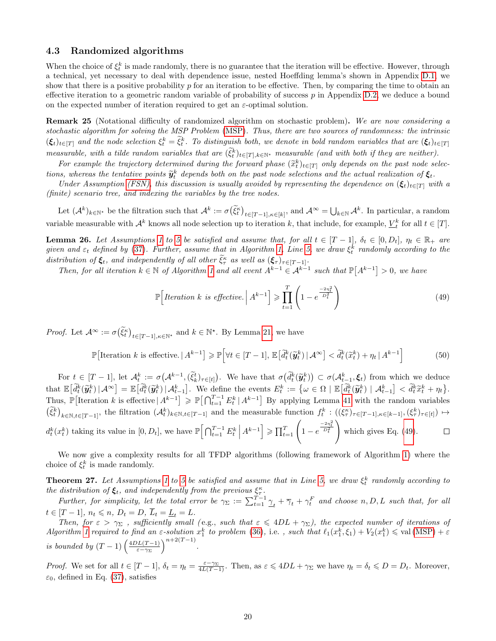#### 4.3 Randomized algorithms

When the choice of  $\xi_t^k$  is made randomly, there is no guarantee that the iteration will be effective. However, through a technical, yet necessary to deal with dependence issue, nested Hoeffding lemma's shown in Appendix D.1, we show that there is a positive probability p for an iteration to be effective. Then, by comparing the time to obtain an effective iteration to a geometric random variable of probability of success  $p$  in Appendix D.2, we deduce a bound on the expected number of iteration required to get an  $\varepsilon$ -optimal solution.

Remark 25 (Notational difficulty of randomized algorithm on stochastic problem). We are now considering a stochastic algorithm for solving the MSP Problem (MSP). Thus, there are two sources of randomness: the intrinsic  $(\xi_t)_{t\in[T]}$  and the node selection  $\xi_t^k = \tilde{\xi}_t^k$ . To distinguish both, we denote in bold random variables that are  $(\xi_t)_{t\in[T]}$ measurable, with a tilde random variables that are  $(\tilde{\xi}_t^k)_{t \in [T], k \in \mathbb{N}^*}$  measurable (and with both if they are neither).

For example the trajectory determined during the forward phase  $(\tilde{x}_t^k)_{t \in [T]}$  only depends on the past node selec-<br>see whence the tentative points  $\tilde{x}_k^k$  depends hath on the past node selections and the actual pos tions, whereas the tentative points  $\widetilde{\mathbf{y}}_t^k$  depends both on the past node selections and the actual realization of  $\xi_t$ .<br>Linder Aggregation (ESN), this discussion is usually avoided by representing the dependenc

Under Assumption (FSN), this discussion is usually avoided by representing the dependence on  $(\xi_t)_{t \in [T]}$  with a (finite) scenario tree, and indexing the variables by the tree nodes.

Let  $(A^k)_{k \in \mathbb{N}^*}$  be the filtration such that  $A^k := \sigma(\tilde{\xi}_t^k)_{t \in [T-1], \kappa \in [k]},$  and  $A^\infty = \bigcup_{k \in \mathbb{N}} A^k$ . In particular, a random variable measurable with  $\mathcal{A}^k$  knows all node selection up to iteration k, that include, for example,  $\underline{V}_t^k$  for all  $t \in [T]$ .

**Lemma 26.** Let Assumptions 1 to 5 be satisfied and assume that, for all  $t \in [T-1]$ ,  $\delta_t \in [0, D_t]$ ,  $\eta_t \in \mathbb{R}_+$  are given and  $\varepsilon_t$  defined by (37). Further, assume that in Algorithm 1, Line 5, we draw  $\xi_t^k$  randomly according to the distribution of  $\xi_t$ , and independently of all other  $\tilde{\xi}_\tau^{\kappa}$  as well as  $(\xi_\tau)_{\tau \in [T-1]}$ .

Then, for all iteration  $k \in \mathbb{N}$  of Algorithm 1 and all event  $A^{k-1} \in A^{k-1}$  such that  $\mathbb{P}[A^{k-1}] > 0$ , we have

$$
\mathbb{P}\left[Iteration\ k\ is\ effective.\ \Big|\ A^{k-1}\right] \geqslant \prod_{t=1}^{T} \left(1 - e^{\frac{-2\eta_t^2}{D_t^2}}\right) \tag{49}
$$

*Proof.* Let  $\mathcal{A}^{\infty} := \sigma(\tilde{\xi}_t^{\kappa})_{t \in [T-1], \kappa \in \mathbb{N}^*}$  and  $k \in \mathbb{N}^*$ . By Lemma 21, we have

$$
\mathbb{P}\left[\text{Iteration } k \text{ is effective.} \mid A^{k-1}\right] \ge \mathbb{P}\left[\forall t \in [T-1], \mathbb{E}\left[\tilde{d}_t^k(\tilde{\mathbf{y}}_t^k) \mid \mathcal{A}^{\infty}\right] < \tilde{d}_t^k(\tilde{x}_t^k) + \eta_t \mid A^{k-1}\right] \tag{50}
$$

For  $t \in [T-1]$ , let  $\mathcal{A}_t^k := \sigma(\mathcal{A}^{k-1}, (\xi_t^t)_{\tau \in [t]})$ . We have that  $\sigma(\mathcal{d}_t^k(\widetilde{y}_t^k)) \subset \sigma(\mathcal{A}_{t-1}^k, \xi_t)$  from which we deduce that  $\mathbb{E}\left[\tilde{d}_t^k(\tilde{y}_t^k) \mid \mathcal{A}^\infty\right] = \mathbb{E}\left[\tilde{d}_t^k(\tilde{y}_t^k) \mid \mathcal{A}_{t-1}^k\right].$  We define the events  $E_t^k := \{\omega \in \Omega \mid \mathbb{E}\left[\tilde{d}_t^k(\tilde{y}_t^k) \mid \mathcal{A}_{t-1}^k\right] < \tilde{d}_t^k \tilde{x}_t^k + \eta_t\}.$ Thus,  $\mathbb{P}[\text{Iteration } k \text{ is effective } | A^{k-1}] \ge \mathbb{P}[\bigcap_{t=1}^{T-1} E_t^k | A^{k-1}]$  By applying Lemma 41 with the random variables  $(\tilde{\xi}_t^k)_{k \in \mathbb{N}, t \in [T-1]}$ , the filtration  $(\mathcal{A}_t^k)_{k \in \mathbb{N}, t \in [T-1]}$  and the measurable function  $f_t^k : ((\xi_\tau^{\kappa})_{\tau \in [T-1], \kappa \in [k-1]}, (\xi_\tau^k)_{\tau \in [t]}) \mapsto$  $d_t^k(x_t^k)$  taking its value in  $[0, D_t]$ , we have  $\mathbb{P}\Big[\bigcap_{t=1}^{T-1} E_t^k \Big| A^{k-1}\Big] \geq \prod_{t=1}^{T} \left(1 - e^{\frac{-2\eta_t^2}{D_t^2}}\right)$  $\Box$ which gives Eq. (49).

We now give a complexity results for all TFDP algorithms (following framework of Algorithm 1) where the choice of  $\xi_t^k$  is made randomly.

**Theorem 27.** Let Assumptions 1 to 5 be satisfied and assume that in Line 5, we draw  $\xi_t^k$  randomly according to **Theorem 21.** Let Assumptions 1 to 5 be subspect and assume that in Line 5, we araw  $\zeta_t$  the distribution of  $\xi_t$ , and independently from the previous  $\xi_t^{\kappa}$ .

Further, for simplicity, let the total error be  $\gamma_{\Sigma} := \sum_{t=1}^{T-1} \gamma_t + \overline{\gamma}_t + \gamma_t^F$  and choose  $n, D, L$  such that, for all  $t \in [T-1], n_t \leqslant n, D_t = D, \overline{L}_t = \underline{L}_t = L.$ 

Then, for  $\varepsilon > \gamma_{\Sigma}$ , sufficiently small (e.g., such that  $\varepsilon \le 4DL + \gamma_{\Sigma}$ ), the expected number of iterations of Algorithm 1 required to find an  $\varepsilon$ -solution  $x_1^k$  to problem (36), i.e., such that  $\ell_1(x_1^k, \xi_1) + V_2(x_1^k) \leq \text{val}(\text{MSP}) + \varepsilon$ is bounded by  $(T-1)$   $\left(\frac{4DL(T-1)}{5-\gamma_T}\right)$  $\frac{D_L(T-1)}{\varepsilon-\gamma\Sigma}$ <sup>n+2(T-1)</sup>.

Proof. We set for all  $t \in [T-1]$ ,  $\delta_t = \eta_t = \frac{\varepsilon - \gamma_{\Sigma}}{4L(T-1)}$ . Then, as  $\varepsilon \le 4DL + \gamma_{\Sigma}$  we have  $\eta_t = \delta_t \le D = D_t$ . Moreover,  $\varepsilon_0$ , defined in Eq. (37), satisfies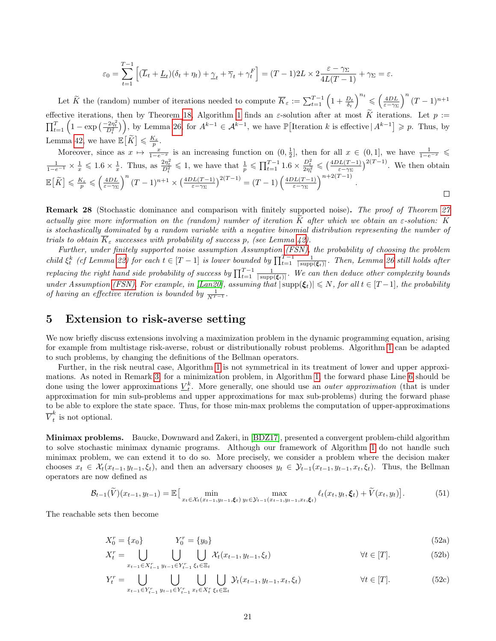$$
\varepsilon_0 = \sum_{t=1}^{T-1} \left[ (\overline{L}_t + \underline{L}_t)(\delta_t + \eta_t) + \underline{\gamma}_t + \overline{\gamma}_t + \gamma_t^F \right] = (T-1)2L \times 2 \frac{\varepsilon - \gamma_{\Sigma}}{4L(T-1)} + \gamma_{\Sigma} = \varepsilon.
$$

Let  $\widetilde{K}$  the (random) number of iterations needed to compute  $\overline{K}_{\varepsilon} := \sum_{t=1}^{T-1} \left(1 + \frac{D_t}{\delta_t}\right)^{n_t} \leqslant \left(\frac{4DL}{\varepsilon - \gamma \Sigma}\right)^n (T-1)^{n+1}$ effective iterations, then by Theorem 18, Algorithm 1 finds an  $\varepsilon$ -solution after at most K iterations. Let  $p := \prod_{t=1}^T \left(1 - \exp\left(\frac{-2\eta_t^2}{D_t^2}\right)\right)$ , by Lemma 26, for  $A^{k-1} \in A^{k-1}$ , we have  $\mathbb{P}\left[\text{Iteration } k \text{ is effective } | A^{k-$ Lemma 42, we have  $\mathbb{E}[\widetilde{K}] \leq \frac{K_{\varepsilon}}{p}$ .

Moreover, since as  $x \mapsto \frac{x}{1-e^{-x}}$  is an increasing function on  $(0, \frac{1}{2}]$ , then for all  $x \in (0, 1]$ , we have  $\frac{1}{1-e^{-x}} \le$  $\frac{1}{1-e^{-1}} \times \frac{1}{x} \leq 1.6 \times \frac{1}{x}$ . Thus, as  $\frac{2\eta_t^2}{D_t^2} \leq 1$ , we have that  $\frac{1}{p} \leq \prod_{t=1}^{T-1} 1.6 \times \frac{D_t^2}{2\eta_t^2} \leq (\frac{4DL(T-1)}{\varepsilon-\gamma\Sigma})^{2(T-1)}$ . We then obtain  $\mathbb{E}\left[\widetilde{K}\right] \leqslant \frac{K_{\varepsilon}}{p} \leqslant \left(\frac{4DL}{\varepsilon-\gamma_{\Sigma}}\right)^n (T-1)^{n+1} \times \left(\frac{4DL(T-1)}{\varepsilon-\gamma_{\Sigma}}\right)^{2(T-1)} = (T-1)\left(\frac{4DL(T-1)}{\varepsilon-\gamma_{\Sigma}}\right)$  $\frac{p_L(T-1)}{\varepsilon-\gamma_\Sigma}$  )<sup>n+2(T-1)</sup>.  $\Box$ 

Remark 28 (Stochastic dominance and comparison with finitely supported noise). The proof of Theorem 27 actually give more information on the (random) number of iteration  $\tilde{K}$  after which we obtain an  $\varepsilon$ -solution:  $\tilde{K}$ is stochastically dominated by a random variable with a negative binomial distribution representing the number of trials to obtain  $\overline{K}_{\varepsilon}$  successes with probability of success p, (see Lemma 42).

Further, under finitely supported noise assumption Assumption (FSN), the probability of choosing the problem child  $\xi_t^k$  (cf Lemma 22) for each  $t \in [T-1]$  is lower bounded by  $\prod_{t=1}^{T-1} \frac{1}{|\text{supp}(\xi_t)|}$ . Then, Lemma 26 still holds after replacing the right hand side probability of success by  $\prod_{t=1}^{T-1} \frac{1}{|\text{supp}(\xi_t)|}$ . We can then deduce other complexity bounds under Assumption (FSN). For example, in [Lan20], assuming that  $|\text{supp}(\xi_t)| \leq N$ , for all  $t \in [T-1]$ , the probability of having an effective iteration is bounded by  $\frac{1}{N^{T-1}}$ .

## 5 Extension to risk-averse setting

We now briefly discuss extensions involving a maximization problem in the dynamic programming equation, arising for example from multistage risk-averse, robust or distributionally robust problems. Algorithm 1 can be adapted to such problems, by changing the definitions of the Bellman operators.

Further, in the risk neutral case, Algorithm 1 is not symmetrical in its treatment of lower and upper approximations. As noted in Remark 3, for a minimization problem, in Algorithm 1, the forward phase Line 6 should be done using the lower approximations  $\underline{V}_t^k$ . More generally, one should use an *outer approximation* (that is under approximation for min sub-problems and upper approximations for max sub-problems) during the forward phase to be able to explore the state space. Thus, for those min-max problems the computation of upper-approximations  $\overline{V}^k_t$  $\int_t^n$  is not optional.

Minimax problems. Baucke, Downward and Zakeri, in [BDZ17], presented a convergent problem-child algorithm to solve stochastic minimax dynamic programs. Although our framework of Algorithm 1 do not handle such minimax problem, we can extend it to do so. More precisely, we consider a problem where the decision maker chooses  $x_t \in \mathcal{X}_t(x_{t-1}, y_{t-1}, \xi_t)$ , and then an adversary chooses  $y_t \in \mathcal{Y}_{t-1}(x_{t-1}, y_{t-1}, x_t, \xi_t)$ . Thus, the Bellman operators are now defined as

$$
\mathcal{B}_{t-1}(\widetilde{V})(x_{t-1}, y_{t-1}) = \mathbb{E}\big[\min_{x_t \in \mathcal{X}_t(x_{t-1}, y_{t-1}, \xi_t)} \max_{y_t \in \mathcal{Y}_{t-1}(x_{t-1}, y_{t-1}, x_t, \xi_t)} \ell_t(x_t, y_t, \xi_t) + \widetilde{V}(x_t, y_t)\big].
$$
\n(51)

The reachable sets then become

$$
X_0^r = \{x_0\} \qquad Y_0^r = \{y_0\} \tag{52a}
$$

$$
X_t^r = \bigcup_{x_{t-1} \in X_{t-1}^r} \bigcup_{y_{t-1} \in Y_{t-1}^r} \bigcup_{\xi_t \in \Xi_t} \mathcal{X}_t(x_{t-1}, y_{t-1}, \xi_t) \qquad \forall t \in [T]. \tag{52b}
$$

$$
Y_t^r = \bigcup_{x_{t-1} \in Y_{t-1}^r} \bigcup_{y_{t-1} \in Y_{t-1}^r} \bigcup_{x_t \in X_t^r} \bigcup_{\xi_t \in \Xi_t} \mathcal{Y}_t(x_{t-1}, y_{t-1}, x_t, \xi_t) \qquad \forall t \in [T].
$$
\n
$$
(52c)
$$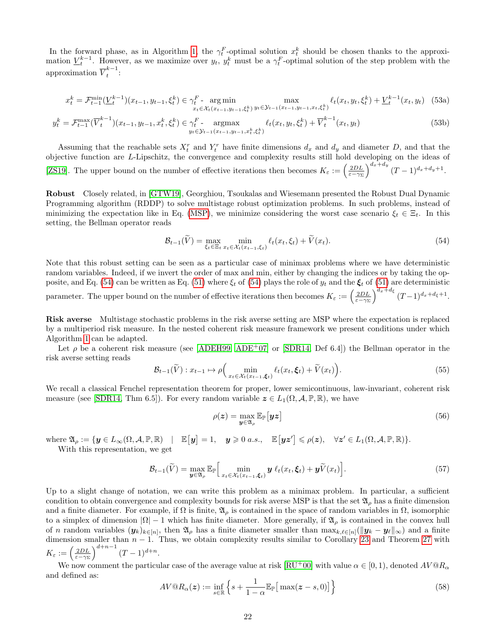In the forward phase, as in Algorithm 1, the  $\gamma_t^F$ -optimal solution  $x_t^k$  should be chosen thanks to the approximation  $\underline{V}_t^{k-1}$ . However, as we maximize over  $y_t$ ,  $y_t^k$  must be a  $\gamma_t^F$ -optimal solution of the step problem with the approximation  $\overline{V}_t^{k-1}$  $\frac{1}{t}$ :

$$
x_t^k = \mathcal{F}_{t-1}^{\min}(\underline{V}_t^{k-1})(x_{t-1}, y_{t-1}, \xi_t^k) \in \gamma_t^F - \underset{x_t \in \mathcal{X}_t(x_{t-1}, y_{t-1}, \xi_t^k)}{\arg \min} \max_{y_t \in \mathcal{Y}_{t-1}(x_{t-1}, y_{t-1}, x_t, \xi_t^k)} \ell_t(x_t, y_t, \xi_t^k) + \underline{V}_t^{k-1}(x_t, y_t) \tag{53a}
$$

$$
y_t^k = \mathcal{F}_{t-1}^{\max}(\overline{V}_t^{k-1})(x_{t-1}, y_{t-1}, x_t^k, \xi_t^k) \in \gamma_t^F - \underset{y_t \in \mathcal{Y}_{t-1}}{\text{argmax}} \ell_t(x_t, y_t, \xi_t^k) + \overline{V}_t^{k-1}(x_t, y_t)
$$
(53b)

Assuming that the reachable sets  $X_t^r$  and  $Y_t^r$  have finite dimensions  $d_x$  and  $d_y$  and diameter D, and that the objective function are L-Lipschitz, the convergence and complexity results still hold developing on the ideas of [ZS19]. The upper bound on the number of effective iterations then becomes  $K_{\varepsilon} := \left(\frac{2DL}{\varepsilon-\gamma\Sigma}\right)^{d_x+d_y} (T-1)^{d_x+d_y+1}$ .

Robust Closely related, in [GTW19], Georghiou, Tsoukalas and Wiesemann presented the Robust Dual Dynamic Programming algorithm (RDDP) to solve multistage robust optimization problems. In such problems, instead of minimizing the expectation like in Eq. (MSP), we minimize considering the worst case scenario  $\xi_t \in \Xi_t$ . In this setting, the Bellman operator reads

$$
\mathcal{B}_{t-1}(\widetilde{V}) = \max_{\xi_t \in \Xi_t} \min_{x_t \in \mathcal{X}_t(x_{t-1}, \xi_t)} \ell_t(x_t, \xi_t) + \widetilde{V}(x_t). \tag{54}
$$

Note that this robust setting can be seen as a particular case of minimax problems where we have deterministic random variables. Indeed, if we invert the order of max and min, either by changing the indices or by taking the opposite, and Eq. (54) can be written as Eq. (51) where  $\xi_t$  of (54) plays the role of  $y_t$  and the  $\xi_t$  of (51) are deterministic parameter. The upper bound on the number of effective iterations then becomes  $K_{\varepsilon} := \left(\frac{2DL}{\varepsilon - \gamma \Sigma}\right)^{d_x + d_{\xi}} (T-1)^{d_x + d_{\xi} + 1}$ .

Risk averse Multistage stochastic problems in the risk averse setting are MSP where the expectation is replaced by a multiperiod risk measure. In the nested coherent risk measure framework we present conditions under which Algorithm 1 can be adapted.

Let  $\rho$  be a coherent risk measure (see [ADEH99, ADE<sup>+</sup>07] or [SDR14, Def 6.4]) the Bellman operator in the risk averse setting reads

$$
\mathcal{B}_{t-1}(\widetilde{V}) : x_{t-1} \mapsto \rho \Big( \min_{x_t \in \mathcal{X}_t(x_{t-1}, \xi_t)} \ell_t(x_t, \xi_t) + \widetilde{V}(x_t) \Big). \tag{55}
$$

We recall a classical Fenchel representation theorem for proper, lower semicontinuous, law-invariant, coherent risk measure (see [SDR14, Thm 6.5]). For every random variable  $z \in L_1(\Omega, \mathcal{A}, \mathbb{P}, \mathbb{R})$ , we have

$$
\rho(\boldsymbol{z}) = \max_{\boldsymbol{y} \in \mathfrak{A}_{\rho}} \mathbb{E}_{\mathbb{P}}[\boldsymbol{y} \boldsymbol{z}] \tag{56}
$$

where  $\mathfrak{A}_{\rho} := \{ \mathbf{y} \in L_{\infty}(\Omega, \mathcal{A}, \mathbb{P}, \mathbb{R}) \mid \mathbb{E}[\mathbf{y}] = 1, \mathbf{y} \geqslant 0 \text{ a.s.}, \mathbb{E}[\mathbf{y} \mathbf{z}'] \leqslant \rho(\mathbf{z}), \forall \mathbf{z}' \in L_1(\Omega, \mathcal{A}, \mathbb{P}, \mathbb{R}) \}.$ With this representation, we get

$$
\mathcal{B}_{t-1}(\widetilde{V}) = \max_{\mathbf{y} \in \mathfrak{A}_{\rho}} \mathbb{E}_{\mathbb{P}} \Big[ \min_{x_t \in \mathcal{X}_t(x_{t-1}, \xi_t)} \mathbf{y} \,\ell_t(x_t, \xi_t) + \mathbf{y}\widetilde{V}(x_t) \Big]. \tag{57}
$$

Up to a slight change of notation, we can write this problem as a minimax problem. In particular, a sufficient condition to obtain convergence and complexity bounds for risk averse MSP is that the set  $\mathfrak{A}_\rho$  has a finite dimension and a finite diameter. For example, if  $\Omega$  is finite,  $\mathfrak{A}_{\rho}$  is contained in the space of random variables in  $\Omega$ , isomorphic to a simplex of dimension  $|\Omega| - 1$  which has finite diameter. More generally, if  $\mathfrak{A}_{\rho}$  is contained in the convex hull of n random variables  $(y_k)_{k\in[n]}$ , then  $\mathfrak{A}_\rho$  has a finite diameter smaller than  $\max_{k,\ell\in[n]}(\|y_k-y_\ell\|_\infty)$  and a finite dimension smaller than  $n - 1$ . Thus, we obtain complexity results similar to Corollary 23 and Theorem 27 with  $K_{\varepsilon} := \left(\frac{2DL}{\varepsilon - \gamma \Sigma}\right)^{d+n-1} (T-1)^{d+n}.$ 

We now comment the particular case of the average value at risk  $[\text{RU}^+00]$  with value  $\alpha \in [0,1)$ , denoted  $AV@R_{\alpha}$ and defined as:

$$
AV@R_{\alpha}(z) := \inf_{s \in \mathbb{R}} \left\{ s + \frac{1}{1 - \alpha} \mathbb{E}_{\mathbb{P}} \big[ \max(z - s, 0) \big] \right\}
$$
(58)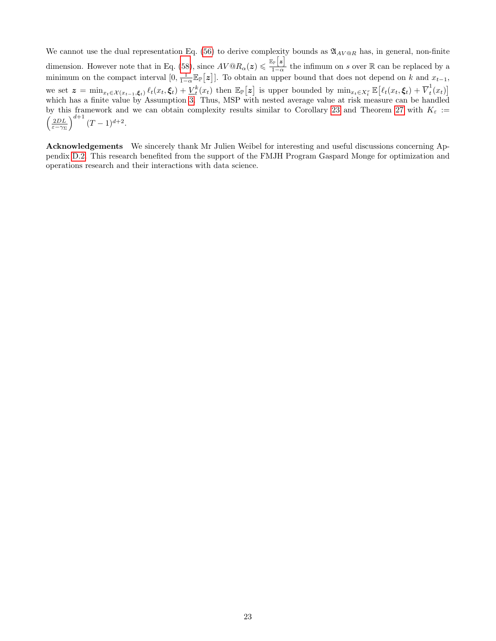We cannot use the dual representation Eq. (56) to derive complexity bounds as  $\mathfrak{A}_{AV@R}$  has, in general, non-finite dimension. However note that in Eq. (58), since  $AV@R_{\alpha}(z) \leq \frac{\mathbb{E}_{\mathbb{P}}[z]}{1-\alpha}$  $\frac{1}{1-\alpha}$  the infimum on s over R can be replaced by a minimum on the compact interval  $[0, \frac{1}{1-\alpha} \mathbb{E}_{\mathbb{P}}[z]]$ . To obtain an upper bound that does not depend on k and  $x_{t-1}$ , we set  $z = \min_{x_t \in \mathcal{X}(x_{t-1}, \xi_t)} \ell_t(x_t, \xi_t) + \underline{V}_t^k(x_t)$  then  $\mathbb{E}_{\mathbb{P}}[z]$  is upper bounded by  $\min_{x_t \in X_t^r} \mathbb{E}[\ell_t(x_t, \xi_t) + \overline{V}_t^1]$  $\frac{1}{t}(x_t)$ which has a finite value by Assumption 3. Thus, MSP with nested average value at risk measure can be handled by this framework and we can obtain complexity results similar to Corollary 23 and Theorem 27 with  $K_{\varepsilon}$  :=  $\left(\frac{2DL}{\varepsilon-\gamma\Sigma}\right)^{d+1}(T-1)^{d+2}.$ 

Acknowledgements We sincerely thank Mr Julien Weibel for interesting and useful discussions concerning Appendix D.2. This research benefited from the support of the FMJH Program Gaspard Monge for optimization and operations research and their interactions with data science.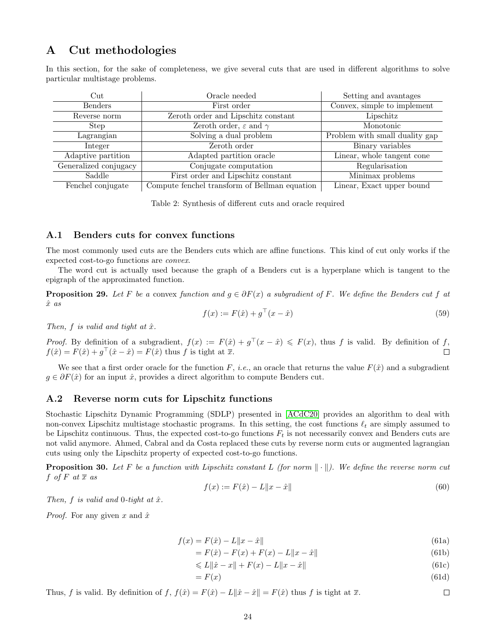## A Cut methodologies

In this section, for the sake of completeness, we give several cuts that are used in different algorithms to solve particular multistage problems.

| $_{\rm Cut}$          | Oracle needed                                 | Setting and avantages          |  |
|-----------------------|-----------------------------------------------|--------------------------------|--|
| <b>Benders</b>        | First order                                   | Convex, simple to implement    |  |
| Reverse norm          | Zeroth order and Lipschitz constant           | Lipschitz                      |  |
| <b>Step</b>           | Zeroth order, $\varepsilon$ and $\gamma$      | Monotonic                      |  |
| Lagrangian            | Solving a dual problem                        | Problem with small duality gap |  |
| Integer               | Zeroth order                                  | Binary variables               |  |
| Adaptive partition    | Adapted partition oracle                      | Linear, whole tangent cone     |  |
| Generalized conjugacy | Conjugate computation                         | Regularisation                 |  |
| Saddle                | First order and Lipschitz constant            | Minimax problems               |  |
| Fenchel conjugate     | Compute fenchel transform of Bellman equation | Linear, Exact upper bound      |  |

Table 2: Synthesis of different cuts and oracle required

#### A.1 Benders cuts for convex functions

The most commonly used cuts are the Benders cuts which are affine functions. This kind of cut only works if the expected cost-to-go functions are convex.

The word cut is actually used because the graph of a Benders cut is a hyperplane which is tangent to the epigraph of the approximated function.

**Proposition 29.** Let F be a convex function and  $g \in \partial F(x)$  a subgradient of F. We define the Benders cut f at  $\hat{x}$  as

$$
f(x) := F(\hat{x}) + g^{\top}(x - \hat{x})
$$
\n(59)

Then, f is valid and tight at  $\hat{x}$ .

*Proof.* By definition of a subgradient,  $f(x) := F(\hat{x}) + g^{\top}(x - \hat{x}) \leq F(x)$ , thus f is valid. By definition of f,  $f(\hat{x}) = F(\hat{x}) + g^{\top}(\hat{x} - \hat{x}) = F(\hat{x})$  thus f is tight at  $\overline{x}$ . П

We see that a first order oracle for the function F, *i.e.*, an oracle that returns the value  $F(\hat{x})$  and a subgradient  $g \in \partial F(\hat{x})$  for an input  $\hat{x}$ , provides a direct algorithm to compute Benders cut.

#### A.2 Reverse norm cuts for Lipschitz functions

Stochastic Lipschitz Dynamic Programming (SDLP) presented in [ACdC20] provides an algorithm to deal with non-convex Lipschitz multistage stochastic programs. In this setting, the cost functions  $\ell_t$  are simply assumed to be Lipschitz continuous. Thus, the expected cost-to-go functions  $F_t$  is not necessarily convex and Benders cuts are not valid anymore. Ahmed, Cabral and da Costa replaced these cuts by reverse norm cuts or augmented lagrangian cuts using only the Lipschitz property of expected cost-to-go functions.

**Proposition 30.** Let F be a function with Lipschitz constant L (for norm  $\|\cdot\|$ ). We define the reverse norm cut f of F at  $\overline{x}$  as

$$
f(x) := F(\hat{x}) - L\|x - \hat{x}\|
$$
\n(60)

Then, f is valid and 0-tight at  $\hat{x}$ .

*Proof.* For any given x and  $\hat{x}$ 

$$
f(x) = F(\hat{x}) - L\|x - \hat{x}\|
$$
\n(61a)

$$
= F(\hat{x}) - F(x) + F(x) - L||x - \hat{x}|| \tag{61b}
$$

$$
\leq L\|\hat{x} - x\| + F(x) - L\|x - \hat{x}\| \tag{61c}
$$

$$
=F(x) \tag{61d}
$$

Thus, f is valid. By definition of f,  $f(\hat{x}) = F(\hat{x}) - L||\hat{x} - \hat{x}|| = F(\hat{x})$  thus f is tight at  $\overline{x}$ .  $\Box$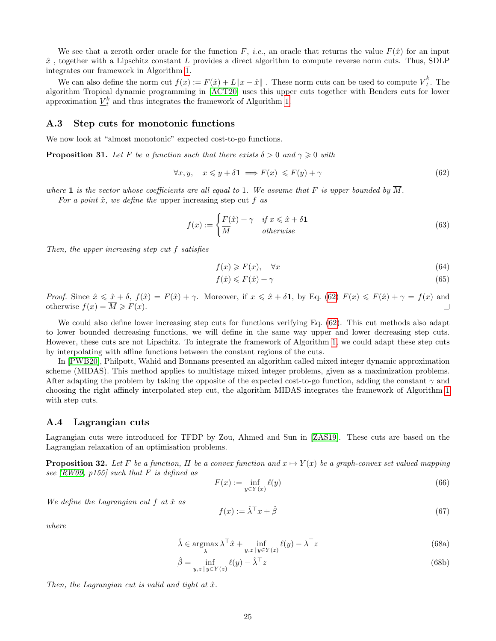We see that a zeroth order oracle for the function F, *i.e.*, an oracle that returns the value  $F(\hat{x})$  for an input  $\hat{x}$ , together with a Lipschitz constant L provides a direct algorithm to compute reverse norm cuts. Thus, SDLP integrates our framework in Algorithm 1.

We can also define the norm cut  $f(x) := F(\hat{x}) + L||x - \hat{x}||$ . These norm cuts can be used to compute  $\overline{V}_t^k$  $\int_t^{\pi}$ . The algorithm Tropical dynamic programming in [ACT20] uses this upper cuts together with Benders cuts for lower approximation  $\underline{V}_t^k$  and thus integrates the framework of Algorithm 1.

#### A.3 Step cuts for monotonic functions

We now look at "almost monotonic" expected cost-to-go functions.

**Proposition 31.** Let F be a function such that there exists  $\delta > 0$  and  $\gamma \geq 0$  with

$$
\forall x, y, \quad x \leq y + \delta \mathbf{1} \implies F(x) \leqslant F(y) + \gamma \tag{62}
$$

where 1 is the vector whose coefficients are all equal to 1. We assume that F is upper bounded by  $\overline{M}$ .

For a point  $\hat{x}$ , we define the upper increasing step cut f as

$$
f(x) := \begin{cases} F(\hat{x}) + \gamma & \text{if } x \leq \hat{x} + \delta \mathbf{1} \\ \overline{M} & \text{otherwise} \end{cases}
$$
 (63)

Then, the upper increasing step cut f satisfies

$$
f(x) \geqslant F(x), \quad \forall x \tag{64}
$$

$$
f(\check{x}) \le F(\check{x}) + \gamma \tag{65}
$$

Proof. Since  $\hat{x} \leq \hat{x} + \delta$ ,  $f(\hat{x}) = F(\hat{x}) + \gamma$ . Moreover, if  $x \leq \hat{x} + \delta \mathbf{1}$ , by Eq. (62)  $F(x) \leq F(\hat{x}) + \gamma = f(x)$  and otherwise  $f(x) = \overline{M} \geq F(x)$ .  $\Box$ 

We could also define lower increasing step cuts for functions verifying Eq. (62). This cut methods also adapt to lower bounded decreasing functions, we will define in the same way upper and lower decreasing step cuts. However, these cuts are not Lipschitz. To integrate the framework of Algorithm 1, we could adapt these step cuts by interpolating with affine functions between the constant regions of the cuts.

In [PWB20], Philpott, Wahid and Bonnans presented an algorithm called mixed integer dynamic approximation scheme (MIDAS). This method applies to multistage mixed integer problems, given as a maximization problems. After adapting the problem by taking the opposite of the expected cost-to-go function, adding the constant  $\gamma$  and choosing the right affinely interpolated step cut, the algorithm MIDAS integrates the framework of Algorithm 1 with step cuts.

#### A.4 Lagrangian cuts

Lagrangian cuts were introduced for TFDP by Zou, Ahmed and Sun in [ZAS19]. These cuts are based on the Lagrangian relaxation of an optimisation problems.

**Proposition 32.** Let F be a function, H be a convex function and  $x \mapsto Y(x)$  be a graph-convex set valued mapping see  $(RW09, p155)$  such that F is defined as

$$
F(x) := \inf_{y \in Y(x)} \ell(y) \tag{66}
$$

We define the Lagrangian cut  $f$  at  $\hat{x}$  as

$$
f(x) := \hat{\lambda}^\top x + \hat{\beta} \tag{67}
$$

where

$$
\hat{\lambda} \in \underset{\lambda}{\operatorname{argmax}} \lambda^{\top} \hat{x} + \underset{y,z}{\operatorname{inf}} \underset{|y \in Y(z)}{\operatorname{inf}} \ell(y) - \lambda^{\top} z \tag{68a}
$$

$$
\hat{\beta} = \inf_{y,z \,|\, y \in Y(z)} \ell(y) - \hat{\lambda}^\top z \tag{68b}
$$

Then, the Lagrangian cut is valid and tight at  $\hat{x}$ .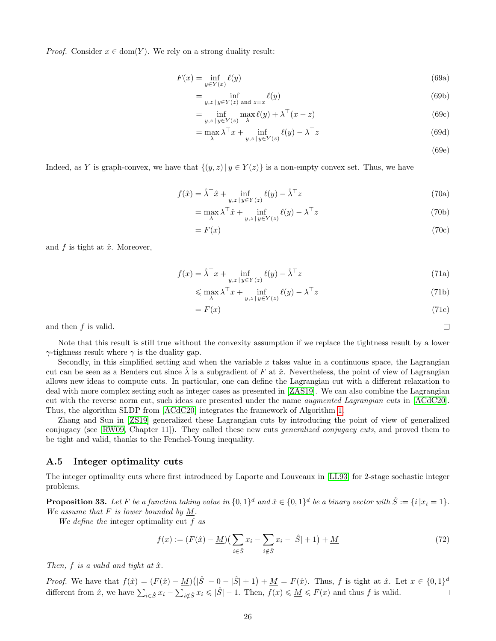*Proof.* Consider  $x \in \text{dom}(Y)$ . We rely on a strong duality result:

$$
F(x) = \inf_{y \in Y(x)} \ell(y) \tag{69a}
$$

$$
=\inf_{y,z\,|\,y\in Y(z)\text{ and }z=x}\ell(y)\tag{69b}
$$

$$
= \inf_{y,z \,|\, y \in Y(z)} \max_{\lambda} \ell(y) + \lambda^{\top}(x-z)
$$
\n(69c)

$$
= \max_{\lambda} \lambda^{\top} x + \inf_{y,z \, | \, y \in Y(z)} \ell(y) - \lambda^{\top} z \tag{69d}
$$

(69e)

 $\Box$ 

Indeed, as Y is graph-convex, we have that  $\{(y, z)| y \in Y(z)\}\$ is a non-empty convex set. Thus, we have

$$
f(\hat{x}) = \hat{\lambda}^{\top}\hat{x} + \inf_{y,z \,|\, y \in Y(z)} \ell(y) - \hat{\lambda}^{\top}z \tag{70a}
$$

$$
= \max_{\lambda} \lambda^{\top} \hat{x} + \inf_{y,z \,|\, y \in Y(z)} \ell(y) - \lambda^{\top} z \tag{70b}
$$

$$
=F(x)\tag{70c}
$$

and  $f$  is tight at  $\hat{x}$ . Moreover,

$$
f(x) = \hat{\lambda}^{\top} x + \inf_{y,z \,|\, y \in Y(z)} \ell(y) - \hat{\lambda}^{\top} z \tag{71a}
$$

$$
\leq \max_{\lambda} \lambda^{\top} x + \inf_{y,z \, | \, y \in Y(z)} \ell(y) - \lambda^{\top} z \tag{71b}
$$

$$
=F(x)\tag{71c}
$$

and then  $f$  is valid.

Note that this result is still true without the convexity assumption if we replace the tightness result by a lower  $\gamma$ -tighness result where  $\gamma$  is the duality gap.

Secondly, in this simplified setting and when the variable x takes value in a continuous space, the Lagrangian cut can be seen as a Benders cut since  $\lambda$  is a subgradient of F at  $\hat{x}$ . Nevertheless, the point of view of Lagrangian allows new ideas to compute cuts. In particular, one can define the Lagrangian cut with a different relaxation to deal with more complex setting such as integer cases as presented in [ZAS19]. We can also combine the Lagrangian cut with the reverse norm cut, such ideas are presented under the name augmented Lagrangian cuts in [ACdC20]. Thus, the algorithm SLDP from [ACdC20] integrates the framework of Algorithm 1.

Zhang and Sun in [ZS19] generalized these Lagrangian cuts by introducing the point of view of generalized conjugacy (see [RW09, Chapter 11]). They called these new cuts generalized conjugacy cuts, and proved them to be tight and valid, thanks to the Fenchel-Young inequality.

#### A.5 Integer optimality cuts

The integer optimality cuts where first introduced by Laporte and Louveaux in [LL93] for 2-stage sochastic integer problems.

**Proposition 33.** Let F be a function taking value in  $\{0,1\}^d$  and  $\hat{x} \in \{0,1\}^d$  be a binary vector with  $\hat{S} := \{i \mid x_i = 1\}$ . We assume that  $F$  is lower bounded by  $M$ .

We define the integer optimality cut  $f$  as

$$
f(x) := (F(\hat{x}) - \underline{M})(\sum_{i \in \hat{S}} x_i - \sum_{i \notin \hat{S}} x_i - |\hat{S}| + 1) + \underline{M}
$$
\n(72)

Then,  $f$  is a valid and tight at  $\hat{x}$ .

*Proof.* We have that  $f(\hat{x}) = (F(\hat{x}) - \underline{M})(|\hat{S}| - 0 - |\hat{S}| + 1) + \underline{M} = F(\hat{x})$ . Thus, f is tight at  $\hat{x}$ . Let  $x \in \{0,1\}^d$ different from  $\hat{x}$ , we have  $\sum_{i \in \hat{S}} x_i - \sum_{i \notin \hat{S}} x_i \leqslant |\hat{S}|-1$ . Then,  $f(x) \leqslant \underline{M} \leqslant F(x)$  and thus f is valid.  $\Box$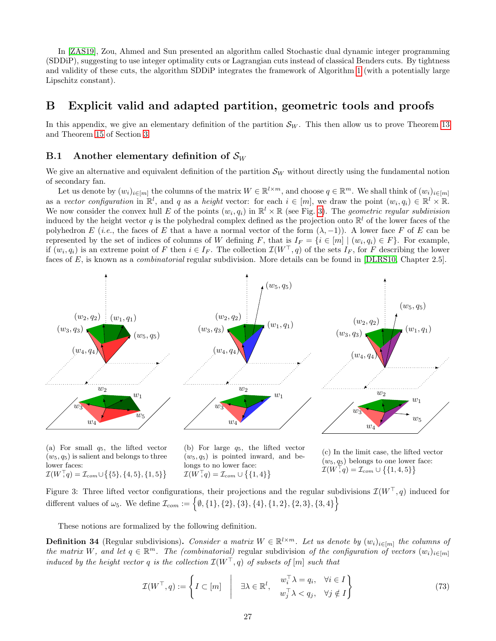In [ZAS19], Zou, Ahmed and Sun presented an algorithm called Stochastic dual dynamic integer programming (SDDiP), suggesting to use integer optimality cuts or Lagrangian cuts instead of classical Benders cuts. By tightness and validity of these cuts, the algorithm SDDiP integrates the framework of Algorithm 1 (with a potentially large Lipschitz constant).

## B Explicit valid and adapted partition, geometric tools and proofs

In this appendix, we give an elementary definition of the partition  $\mathcal{S}_W$ . This then allow us to prove Theorem 13 and Theorem 15 of Section 3.

#### B.1 Another elementary definition of  $\mathcal{S}_W$

We give an alternative and equivalent definition of the partition  $\mathcal{S}_W$  without directly using the fundamental notion of secondary fan.

Let us denote by  $(w_i)_{i \in [m]}$  the columns of the matrix  $W \in \mathbb{R}^{l \times m}$ , and choose  $q \in \mathbb{R}^m$ . We shall think of  $(w_i)_{i \in [m]}$ as a vector configuration in  $\mathbb{R}^l$ , and q as a height vector: for each  $i \in [m]$ , we draw the point  $(w_i, q_i) \in \mathbb{R}^l \times \mathbb{R}$ . We now consider the convex hull E of the points  $(w_i, q_i)$  in  $\mathbb{R}^l \times \mathbb{R}$  (see Fig. 3). The *geometric regular subdivision* induced by the height vector q is the polyhedral complex defined as the projection onto  $\mathbb{R}^l$  of the lower faces of the polyhedron E (i.e., the faces of E that a have a normal vector of the form  $(\lambda, -1)$ ). A lower face F of E can be represented by the set of indices of columns of W defining F, that is  $I_F = \{i \in [m] \mid (w_i, q_i) \in F\}$ . For example, if  $(w_i, q_i)$  is an extreme point of F then  $i \in I_F$ . The collection  $\mathcal{I}(W^{\top}, q)$  of the sets  $I_F$ , for F describing the lower faces of E, is known as a *combinatorial* regular subdivision. More details can be found in [DLRS10, Chapter 2.5].



lower faces:  $\mathcal{I}(W, q) = \mathcal{I}_{com} \cup \{ \{5\}, \{4, 5\}, \{1, 5\} \}$ 

longs to no lower face:  $\mathcal{I}(W, q) = \mathcal{I}_{com} \cup \{ \{1, 4\} \}$ 

 $(w_5, q_5)$  belongs to one lower face:  $\mathcal{I}(W, q) = \mathcal{I}_{com} \cup \{ \{1, 4, 5\} \}$ 

Figure 3: Three lifted vector configurations, their projections and the regular subdivisions  $\mathcal{I}(W^{\top}, q)$  induced for different values of  $\omega_5$ . We define  $\mathcal{I}_{com} := \{ \emptyset, \{1\}, \{2\}, \{3\}, \{4\}, \{1, 2\}, \{2, 3\}, \{3, 4\} \}$ 

These notions are formalized by the following definition.

**Definition 34** (Regular subdivisions). Consider a matrix  $W \in \mathbb{R}^{l \times m}$ . Let us denote by  $(w_i)_{i \in [m]}$  the columns of the matrix W, and let  $q \in \mathbb{R}^m$ . The (combinatorial) regular subdivision of the configuration of vectors  $(w_i)_{i \in [m]}$ induced by the height vector q is the collection  $\mathcal{I}(W^{\top}, q)$  of subsets of  $[m]$  such that

$$
\mathcal{I}(W^{\top}, q) := \left\{ I \subset [m] \quad \middle| \quad \exists \lambda \in \mathbb{R}^l, \quad \begin{array}{l} w_i^{\top} \lambda = q_i, \quad \forall i \in I \\ w_j^{\top} \lambda < q_j, \quad \forall j \notin I \end{array} \right\} \tag{73}
$$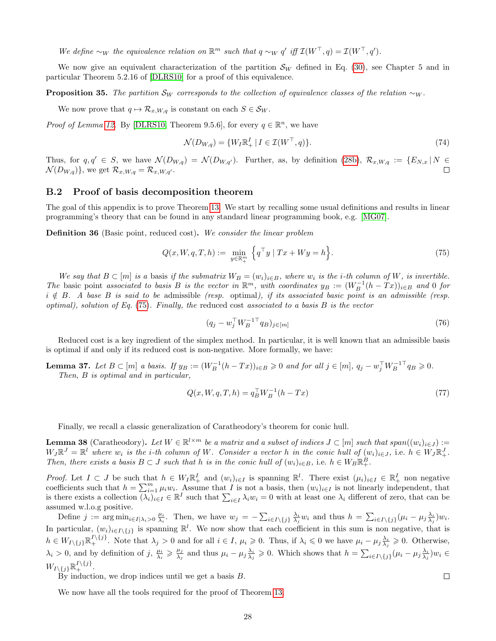We define  $\sim_W$  the equivalence relation on  $\mathbb{R}^m$  such that  $q \sim_W q'$  iff  $\mathcal{I}(W^\top, q) = \mathcal{I}(W^\top, q').$ 

We now give an equivalent characterization of the partition  $\mathcal{S}_W$  defined in Eq. (30), see Chapter 5 and in particular Theorem 5.2.16 of [DLRS10] for a proof of this equivalence.

**Proposition 35.** The partition  $\mathcal{S}_W$  corresponds to the collection of equivalence classes of the relation  $\sim_W$ .

We now prove that  $q \mapsto \mathcal{R}_{x,W,q}$  is constant on each  $S \in \mathcal{S}_W$ .

*Proof of Lemma 12.* By [DLRS10, Theorem 9.5.6], for every  $q \in \mathbb{R}^n$ , we have

$$
\mathcal{N}(D_{W,q}) = \{ W_I \mathbb{R}_+^I \mid I \in \mathcal{I}(W^\top, q) \}.
$$
\n
$$
(74)
$$

Thus, for  $q, q' \in S$ , we have  $\mathcal{N}(D_{W,q}) = \mathcal{N}(D_{W,q'})$ . Further, as, by definition (28b),  $\mathcal{R}_{x,W,q} := \{E_{N,x} | N \in \mathcal{N}(D_{W,q})\}$  $\mathcal{N}(D_{W,q})\},$  we get  $\mathcal{R}_{x,W,q} = \mathcal{R}_{x,W,q}$ .  $\Box$ 

#### B.2 Proof of basis decomposition theorem

The goal of this appendix is to prove Theorem 13. We start by recalling some usual definitions and results in linear programming's theory that can be found in any standard linear programming book, e.g. [MG07].

Definition 36 (Basic point, reduced cost). We consider the linear problem

$$
Q(x, W, q, T, h) := \min_{y \in \mathbb{R}^m_+} \left\{ q^\top y \mid Tx + Wy = h \right\}.
$$
 (75)

We say that  $B \subset [m]$  is a basis if the submatrix  $W_B = (w_i)_{i \in B}$ , where  $w_i$  is the *i*-th column of W, is invertible. The basic point associated to basis B is the vector in  $\mathbb{R}^m$ , with coordinates  $y_B := (W_B^{-1}(h - Tx))_{i \in B}$  and 0 for  $i \notin B$ . A base B is said to be admissible (resp. optimal), if its associated basic point is an admissible (resp. optimal), solution of Eq.  $(75)$ . Finally, the reduced cost associated to a basis B is the vector

$$
(q_j - w_j^\top W_B^{-1 \top} q_B)_{j \in [m]} \tag{76}
$$

Reduced cost is a key ingredient of the simplex method. In particular, it is well known that an admissible basis is optimal if and only if its reduced cost is non-negative. More formally, we have:

**Lemma 37.** Let  $B \subset [m]$  a basis. If  $y_B := (W_B^{-1}(h - Tx))_{i \in B} \geq 0$  and for all  $j \in [m]$ ,  $q_j - w_j^\top W_B^{-1 \top} q_B \geq 0$ . Then, B is optimal and in particular,

$$
Q(x, W, q, T, h) = q_B^{\top} W_B^{-1} (h - Tx)
$$
\n(77)

Finally, we recall a classic generalization of Caratheodory's theorem for conic hull.

**Lemma 38** (Caratheodory). Let  $W \in \mathbb{R}^{l \times m}$  be a matrix and a subset of indices  $J \subset [m]$  such that  $span((w_i)_{i \in J}) :=$  $W_J \mathbb{R}^J = \mathbb{R}^l$  where  $w_i$  is the *i*-th column of W. Consider a vector h in the conic hull of  $(w_i)_{i \in J}$ , i.e.  $h \in W_J \mathbb{R}^J_+$ . Then, there exists a basis  $B \subset J$  such that h is in the conic hull of  $(w_i)_{i \in B}$ , i.e.  $h \in W_B \mathbb{R}^B_+$ .

*Proof.* Let  $I \subset J$  be such that  $h \in W_I \mathbb{R}^I_+$  and  $(w_i)_{i \in I}$  is spanning  $\mathbb{R}^l$ . There exist  $(\mu_i)_{i \in I} \in \mathbb{R}^I_+$  non negative coefficients such that  $h = \sum_{i=1}^{m} \mu_i w_i$ . Assume that I is not a basis, then  $(w_i)_{i \in I}$  is not linearly independent, that is there exists a collection  $\overline{(\lambda_i)}_{i\in I} \in \mathbb{R}^I$  such that  $\sum_{i\in I} \lambda_i w_i = 0$  with at least one  $\lambda_i$  different of zero, that can be assumed w.l.o.g positive.

Define  $j := \arg \min_{i \in I | \lambda_i > 0} \frac{\mu_i}{\lambda_i}$ . Then, we have  $w_j = -\sum_{i \in I \setminus \{j\}} \frac{\lambda_i}{\lambda_j} w_i$  and thus  $h = \sum_{i \in I \setminus \{j\}} (\mu_i - \mu_j \frac{\lambda_i}{\lambda_j}) w_i$ . In particular,  $(w_i)_{i \in I \setminus \{j\}}$  is spanning  $\mathbb{R}^l$ . We now show that each coefficient in this sum is non negative, that is  $h \in W_{I\setminus\{j\}}\mathbb{R}_+^{I\setminus\{j\}}$ . Note that  $\lambda_j > 0$  and for all  $i \in I, \mu_i \geqslant 0$ . Thus, if  $\lambda_i \leqslant 0$  we have  $\mu_i - \mu_j \frac{\lambda_i}{\lambda_j} \geqslant 0$ . Otherwise,  $\lambda_i > 0$ , and by definition of j,  $\frac{\mu_i}{\lambda_i} \geqslant \frac{\mu_j}{\lambda_j}$  $\frac{\mu_j}{\lambda_j}$  and thus  $\mu_i - \mu_j \frac{\lambda_i}{\lambda_j} \geqslant 0$ . Which shows that  $h = \sum_{i \in I \setminus \{j\}} (\mu_i - \mu_j \frac{\lambda_i}{\lambda_j}) w_i \in$  $W_{I\setminus\{j\}}\mathbb{R}_+^{I\setminus\{j\}}.$ 

By induction, we drop indices until we get a basis B.

We now have all the tools required for the proof of Theorem 13.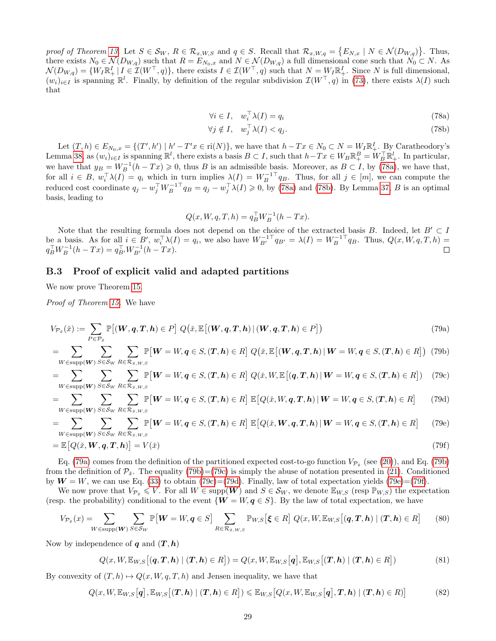proof of Theorem 13. Let  $S \in \mathcal{S}_W$ ,  $R \in \mathcal{R}_{x,W,S}$  and  $q \in S$ . Recall that  $\mathcal{R}_{x,W,q} = \{E_{N,x} \mid N \in \mathcal{N}(D_{W,q})\}$ . Thus, there exists  $N_0 \in \mathcal{N}(D_{W,q})$  such that  $R = E_{N_0,x}$  and  $N \in \mathcal{N}(D_{W,q})$  a full dimensional cone such that  $N_0 \subset N$ . As  $\mathcal{N}(D_{W,q}) = \{W_I \mathbb{R}^I_+ | I \in \mathcal{I}(W^{\top}, q)\},\$  there exists  $I \in \mathcal{I}(W^{\top}, q)$  such that  $N = W_I \mathbb{R}^I_+$ . Since N is full dimensional,  $(w_i)_{i\in I}$  is spanning  $\mathbb{R}^l$ . Finally, by definition of the regular subdivision  $\mathcal{I}(W^{\top}, q)$  in (73), there exists  $\lambda(I)$  such that

$$
\forall i \in I, \quad w_i^{\top} \lambda(I) = q_i \tag{78a}
$$

$$
\forall j \notin I, \quad w_j^\top \lambda(I) < q_j. \tag{78b}
$$

Let  $(T, h) \in E_{N_0, x} = \{(T', h') \mid h' - T'x \in \text{ri}(N)\}\)$ , we have that  $h - Tx \in N_0 \subset N = W_I \mathbb{R}^I_+$ . By Caratheodory's Lemma 38, as  $(w_i)_{i\in I}$  is spanning  $\mathbb{R}^l$ , there exists a basis  $B\subset I$ , such that  $h-Tx\in W_B\mathbb{R}^B_+ = W_B^\top\mathbb{R}^l_+$ . In particular, we have that  $y_B = W_B^{-1}(h - Tx) \geq 0$ , thus B is an admissible basis. Moreover, as  $B \subset I$ , by (78a), we have that, for all  $i \in B$ ,  $w_i^{\top} \lambda(I) = q_i$  which in turn implies  $\lambda(I) = W_B^{-1} q_B$ . Thus, for all  $j \in [m]$ , we can compute the reduced cost coordinate  $q_j - w_j^\top W_B^{-1}^\top q_B = q_j - w_j^\top \lambda(I) \geqslant 0$ , by (78a) and (78b). By Lemma 37, B is an optimal basis, leading to

$$
Q(x, W, q, T, h) = q_B^{\top} W_B^{-1} (h - Tx).
$$

Note that the resulting formula does not depend on the choice of the extracted basis B. Indeed, let  $B' \subset I$ be a basis. As for all  $i \in B'$ ,  $w_i^{\top} \lambda(I) = q_i$ , we also have  $W_{B'}^{-1} q_{B'} = \lambda(I) = W_B^{-1} q_B$ . Thus,  $Q(x, W, q, T, h) =$  $q_B^{\top} W_B^{-1} (h - Tx) = q_{B'}^{\top} W_{B'}^{-1} (h - Tx).$ 

#### B.3 Proof of explicit valid and adapted partitions

We now prove Theorem 15.

Proof of Theorem 15. We have

$$
V_{\mathcal{P}_{\tilde{x}}}(\tilde{x}) := \sum_{P \in \mathcal{P}_{\tilde{x}}} \mathbb{P}[(\boldsymbol{W}, \boldsymbol{q}, \boldsymbol{T}, \boldsymbol{h}) \in P] \ Q(\tilde{x}, \mathbb{E}[(\boldsymbol{W}, \boldsymbol{q}, \boldsymbol{T}, \boldsymbol{h}) \mid (\boldsymbol{W}, \boldsymbol{q}, \boldsymbol{T}, \boldsymbol{h}) \in P]) \tag{79a}
$$

$$
=\sum_{W\in \text{supp}(\boldsymbol{W})}\sum_{S\in \mathcal{S}_W}\sum_{R\in \mathcal{R}_{\tilde{x},W,S}}\mathbb{P}\big[\boldsymbol{W}=\boldsymbol{W},\boldsymbol{q}\in S,(\boldsymbol{T},\boldsymbol{h})\in R\big]\ Q\big(\tilde{x},\mathbb{E}\big[(\boldsymbol{W},\boldsymbol{q},\boldsymbol{T},\boldsymbol{h})\,|\,\boldsymbol{W}=\boldsymbol{W},\boldsymbol{q}\in S,(\boldsymbol{T},\boldsymbol{h})\in R\big]\big)\tag{79b}
$$

$$
=\sum_{W\in \text{supp}(\boldsymbol{W})}\sum_{S\in \mathcal{S}_W}\sum_{R\in \mathcal{R}_{\tilde{x},W,S}}\mathbb{P}\big[\boldsymbol{W}=\boldsymbol{W},\boldsymbol{q}\in S,(\boldsymbol{T},\boldsymbol{h})\in R\big]\ Q(\tilde{x},W,\mathbb{E}\big[(\boldsymbol{q},\boldsymbol{T},\boldsymbol{h})\,|\,\boldsymbol{W}=\boldsymbol{W},\boldsymbol{q}\in S,(\boldsymbol{T},\boldsymbol{h})\in R\big]\big)\tag{79c}
$$

$$
=\sum_{W\in \text{supp}(\boldsymbol{W})} \sum_{S\in \mathcal{S}_W} \sum_{R\in \mathcal{R}_{\tilde{x},W,S}} \mathbb{P}\big[\boldsymbol{W} = W, \boldsymbol{q} \in S, (\boldsymbol{T},\boldsymbol{h}) \in R\big] \, \mathbb{E}\big[Q(\tilde{x},W,\boldsymbol{q},\boldsymbol{T},\boldsymbol{h}) \,|\, \boldsymbol{W} = W, \boldsymbol{q} \in S, (\boldsymbol{T},\boldsymbol{h}) \in R\big] \tag{79d}
$$

$$
= \sum_{W \in \text{supp}(\boldsymbol{W})} \sum_{S \in \mathcal{S}_W} \sum_{R \in \mathcal{R}_{\check{x},W,S}} \mathbb{P}\big[\boldsymbol{W} = W, \boldsymbol{q} \in S, (\boldsymbol{T}, \boldsymbol{h}) \in R\big] \; \mathbb{E}\big[Q(\check{x}, \boldsymbol{W}, \boldsymbol{q}, \boldsymbol{T}, \boldsymbol{h}) \,|\, \boldsymbol{W} = W, \boldsymbol{q} \in S, (\boldsymbol{T}, \boldsymbol{h}) \in R\big] \tag{79e}
$$

$$
= \mathbb{E}\big[Q(\check{x}, \mathbf{W}, \mathbf{q}, \mathbf{T}, \mathbf{h})\big] = V(\check{x})\tag{79f}
$$

Eq. (79a) comes from the definition of the partitioned expected cost-to-go function  $V_{\mathcal{P}_{\tilde{x}}}$  (see (20)), and Eq. (79b) from the definition of  $\mathcal{P}_{\tilde{x}}$ . The equality (79b)=(79c) is simply the abuse of notation presented in (21). Conditioned by  $W = W$ , we can use Eq. (33) to obtain (79c)=(79d). Finally, law of total expectation yields (79e)=(79f).

We now prove that  $V_{\mathcal{P}_{\tilde{x}}}\leq V$ . For all  $W\in \text{supp}(\boldsymbol{W})$  and  $S\in \mathcal{S}_W$ , we denote  $\mathbb{E}_{W,S}$  (resp  $\mathbb{P}_{W,S}$ ) the expectation (resp. the probability) conditional to the event  $\{W = W, q \in S\}$ . By the law of total expectation, we have

$$
V_{\mathcal{P}_{\tilde{x}}}(x) = \sum_{W \in \text{supp}(\mathbf{W})} \sum_{S \in \mathcal{S}_W} \mathbb{P}[\mathbf{W} = W, \mathbf{q} \in S] \sum_{R \in \mathcal{R}_{\tilde{x}, W, S}} \mathbb{P}_{W, S}[\xi \in R] Q(x, W, \mathbb{E}_{W, S}[(\mathbf{q}, \mathbf{T}, \mathbf{h}) \mid (\mathbf{T}, \mathbf{h}) \in R] \tag{80}
$$

Now by independence of  $q$  and  $(T, h)$ 

$$
Q(x, W, \mathbb{E}_{W,S}\big[(\boldsymbol{q}, \boldsymbol{T}, \boldsymbol{h}) \mid (\boldsymbol{T}, \boldsymbol{h}) \in R\big]) = Q(x, W, \mathbb{E}_{W,S}\big[\boldsymbol{q}\big], \mathbb{E}_{W,S}\big[(\boldsymbol{T}, \boldsymbol{h}) \mid (\boldsymbol{T}, \boldsymbol{h}) \in R\big])
$$
(81)

By convexity of  $(T, h) \mapsto Q(x, W, q, T, h)$  and Jensen inequality, we have that

$$
Q(x, W, \mathbb{E}_{W,S}\big[q\big], \mathbb{E}_{W,S}\big[(T, h) \mid (T, h) \in R\big]\big) \leqslant \mathbb{E}_{W,S}\big[Q(x, W, \mathbb{E}_{W,S}\big[q\big], T, h) \mid (T, h) \in R\big)\big] \tag{82}
$$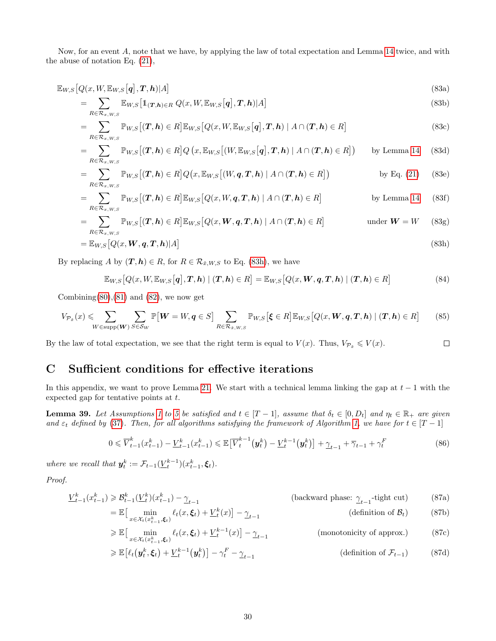Now, for an event A, note that we have, by applying the law of total expectation and Lemma 14 twice, and with the abuse of notation Eq. (21),

$$
\mathbb{E}_{W,S}\big[Q(x,W,\mathbb{E}_{W,S}\big[q\big],\boldsymbol{T},\boldsymbol{h})|A\big] \tag{83a}
$$

$$
= \sum_{R \in \mathcal{R}_{x,W,S}} \mathbb{E}_{W,S} \left[ \mathbb{1}_{(\mathbf{T},\mathbf{h}) \in R} Q(x, W, \mathbb{E}_{W,S}[\mathbf{q}], \mathbf{T}, \mathbf{h}) | A \right]
$$
(83b)

$$
= \sum_{R \in \mathcal{R}_{x,W,S}} \mathbb{P}_{W,S} \left[ (\boldsymbol{T}, \boldsymbol{h}) \in R \right] \mathbb{E}_{W,S} \left[ Q(x, W, \mathbb{E}_{W,S} \left[ \boldsymbol{q} \right], \boldsymbol{T}, \boldsymbol{h}) \mid A \cap (\boldsymbol{T}, \boldsymbol{h}) \in R \right]
$$
(83c)

$$
= \sum_{R \in \mathcal{R}_{x,W,S}} \mathbb{P}_{W,S} \left[ (\boldsymbol{T}, \boldsymbol{h}) \in R \right] Q \left( x, \mathbb{E}_{W,S} \left[ (W, \mathbb{E}_{W,S} \left[ \boldsymbol{q} \right], \boldsymbol{T}, \boldsymbol{h}) \mid A \cap (\boldsymbol{T}, \boldsymbol{h}) \in R \right] \right) \qquad \text{by Lemma 14} \tag{83d}
$$

$$
= \sum_{R \in \mathcal{R}_{x,W,S}} \mathbb{P}_{W,S}\big[ (\boldsymbol{T}, \boldsymbol{h}) \in R \big] Q\big(x, \mathbb{E}_{W,S}\big[ (W, \boldsymbol{q}, \boldsymbol{T}, \boldsymbol{h}) \mid A \cap (\boldsymbol{T}, \boldsymbol{h}) \in R \big] \big) \qquad \qquad \text{by Eq. (21)} \tag{83e}
$$

$$
= \sum_{R \in \mathcal{R}_{x,W,S}} \mathbb{P}_{W,S} \left[ (\boldsymbol{T}, \boldsymbol{h}) \in R \right] \mathbb{E}_{W,S} \left[ Q(x, W, \boldsymbol{q}, \boldsymbol{T}, \boldsymbol{h}) \mid A \cap (\boldsymbol{T}, \boldsymbol{h}) \in R \right] \qquad \qquad \text{by Lemma 14} \tag{83f}
$$

$$
= \sum_{R \in \mathcal{R}_{x,W,S}} \mathbb{P}_{W,S} \left[ (\boldsymbol{T}, \boldsymbol{h}) \in R \right] \mathbb{E}_{W,S} \left[ Q(x, \boldsymbol{W}, \boldsymbol{q}, \boldsymbol{T}, \boldsymbol{h}) \mid A \cap (\boldsymbol{T}, \boldsymbol{h}) \in R \right] \qquad \text{under } \boldsymbol{W} = W \qquad (83g)
$$

$$
= \mathbb{E}_{W,S}\big[Q(x, \boldsymbol{W}, \boldsymbol{q}, \boldsymbol{T}, \boldsymbol{h})|A\big] \tag{83h}
$$

By replacing A by  $(T, h) \in R$ , for  $R \in \mathcal{R}_{\tilde{x},W,S}$  to Eq. (83h), we have

$$
\mathbb{E}_{W,S}\big[Q(x,W,\mathbb{E}_{W,S}\big[q\big],\boldsymbol{T},\boldsymbol{h})\mid(\boldsymbol{T},\boldsymbol{h})\in R\big]=\mathbb{E}_{W,S}\big[Q(x,\boldsymbol{W},\boldsymbol{q},\boldsymbol{T},\boldsymbol{h})\mid(\boldsymbol{T},\boldsymbol{h})\in R\big]\tag{84}
$$

Combining $(80),(81)$  and  $(82)$ , we now get

$$
V_{\mathcal{P}_{\tilde{x}}}(x) \leqslant \sum_{W \in \text{supp}(\boldsymbol{W})} \sum_{S \in \mathcal{S}_W} \mathbb{P}[\boldsymbol{W} = W, \boldsymbol{q} \in S] \sum_{R \in \mathcal{R}_{\tilde{x}, W, S}} \mathbb{P}_{W, S}[\boldsymbol{\xi} \in R] \mathbb{E}_{W, S} [Q(x, \boldsymbol{W}, \boldsymbol{q}, \boldsymbol{T}, \boldsymbol{h}) \mid (\boldsymbol{T}, \boldsymbol{h}) \in R] \tag{85}
$$

By the law of total expectation, we see that the right term is equal to  $V(x)$ . Thus,  $V_{\mathcal{P}_x} \leqslant V(x)$ .  $\Box$ 

## C Sufficient conditions for effective iterations

In this appendix, we want to prove Lemma 21. We start with a technical lemma linking the gap at  $t-1$  with the expected gap for tentative points at t.

**Lemma 39.** Let Assumptions 1 to 5 be satisfied and  $t \in [T-1]$ , assume that  $\delta_t \in [0, D_t]$  and  $\eta_t \in \mathbb{R}_+$  are given and  $\varepsilon_t$  defined by (37). Then, for all algorithms satisfying the framework of Algorithm 1, we have for  $t \in [T-1]$ 

$$
0 \leq \overline{V}_{t-1}^{k}(x_{t-1}^{k}) - \underline{V}_{t-1}^{k}(x_{t-1}^{k}) \leq \mathbb{E}\left[\overline{V}_{t}^{k-1}(\mathbf{y}_{t}^{k}) - \underline{V}_{t}^{k-1}(\mathbf{y}_{t}^{k})\right] + \underline{\gamma}_{t-1} + \overline{\gamma}_{t-1} + \gamma_{t}^{F}
$$
(86)

where we recall that  $y_t^k := \mathcal{F}_{t-1}(\underline{V}_t^{k-1})(x_{t-1}^k, \xi_t)$ .

Proof.

$$
\underline{V}_{t-1}^k(x_{t-1}^k) \geq \mathcal{B}_{t-1}^k(\underline{V}_t^k)(x_{t-1}^k) - \underline{\gamma}_{t-1}
$$
 (backward phase:  $\underline{\gamma}_{t-1}$ -tight cut) (87a)  
=  $\mathbb{E} \begin{bmatrix} \min & \ell_t(x, \xi_t) + \underline{V}_t^k(x) \end{bmatrix} - \underline{\gamma}_{t-1}$  (definition of  $\mathcal{B}_t$ ) (87b)

$$
= \mathbb{E} \left[ \min_{x \in \mathcal{X}_t(x_{t-1}^k, \xi_t)} \ell_t(x, \xi_t) + \underline{V}_t^k(x) \right] - \underline{\gamma}_{t-1}
$$
 (definition of  $\mathcal{B}_t$ ) (87b)  
\n
$$
\geq \mathbb{E} \left[ \min_{x \in \mathcal{X}_t(x_{t-1}^k, \xi_t)} \ell_t(x, \xi_t) + \underline{V}_t^{k-1}(x) \right] - \underline{\gamma}_{t-1}
$$
 (monotonicity of approx.) (87c)

$$
\geqslant \mathbb{E}\left[\ell_t\left(\mathbf{y}_t^k, \boldsymbol{\xi}_t\right) + \underline{V}_t^{k-1}\left(\mathbf{y}_t^k\right)\right] - \gamma_t^F - \underline{\gamma}_{t-1} \tag{87d}
$$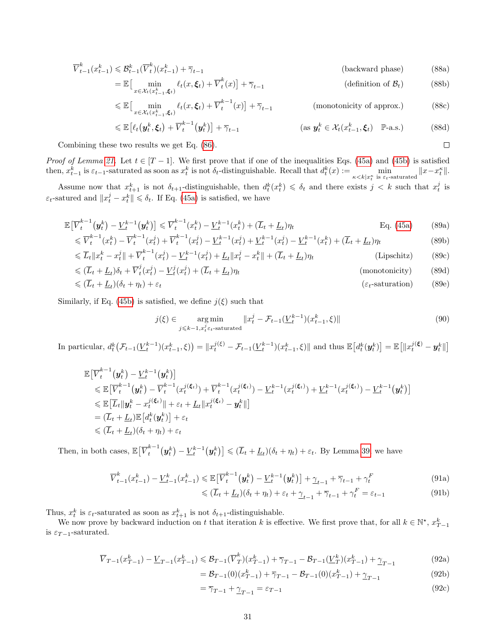$$
\overline{V}_{t-1}^k(x_{t-1}^k) \leqslant \mathcal{B}_{t-1}^k(\overline{V}_t^k)(x_{t-1}^k) + \overline{\gamma}_{t-1}
$$
\n(backward phase)

\n(88a)

$$
= \mathbb{E}\left[\min_{x \in \mathcal{X}_t(x_{t-1}^k, \xi_t)} \ell_t(x, \xi_t) + \overline{V}_t^k(x)\right] + \overline{\gamma}_{t-1}
$$
 (definition of  $\mathcal{B}_t$ ) (88b)

$$
\leq \mathbb{E}\left[\min_{x \in \mathcal{X}_t(x_{t-1}^k, \xi_t)} \ell_t(x, \xi_t) + \overline{V}_t^{k-1}(x)\right] + \overline{\gamma}_{t-1} \qquad \qquad \text{(monotonicity of approx.)} \tag{88c}
$$

$$
\leq \mathbb{E}\left[\ell_t\left(\mathbf{y}_t^k, \boldsymbol{\xi}_t\right) + \overline{V}_t^{k-1}\left(\mathbf{y}_t^k\right)\right] + \overline{\gamma}_{t-1} \tag{88d}
$$

Combining these two results we get Eq. (86).

*Proof of Lemma 21.* Let  $t \in [T-1]$ . We first prove that if one of the inequalities Eqs. (45a) and (45b) is satisfied then,  $x_{t-1}^k$  is  $\varepsilon_{t-1}$ -saturated as soon as  $x_t^k$  is not  $\delta_t$ -distinguishable. Recall that  $d_t^k(x) := \min_{\kappa \le k | x_t^{\kappa} \text{ is } \varepsilon_t\text{-saturated}} ||x - x_t^{\kappa}||$ .

Assume now that  $x_{t+1}^k$  is not  $\delta_{t+1}$ -distinguishable, then  $d_t^k(x_t^k) \leq \delta_t$  and there exists  $j < k$  such that  $x_t^j$  is  $\varepsilon_t$ -satured and  $||x_t^j - x_t^k|| \leq \delta_t$ . If Eq. (45a) is satisfied, we have

$$
\mathbb{E}\left[\overline{V}_{t}^{k-1}(\mathbf{y}_{t}^{k}) - \underline{V}_{t}^{k-1}(\mathbf{y}_{t}^{k})\right] \leq \overline{V}_{t}^{k-1}(x_{t}^{k}) - \underline{V}_{t}^{k-1}(x_{t}^{k}) + (\overline{L}_{t} + \underline{L}_{t})\eta_{t}
$$
\n
$$
< \overline{V}_{t}^{k-1}(x_{t}^{k}) - \overline{V}_{t}^{k-1}(x_{t}^{j}) + \overline{V}_{t}^{k-1}(x_{t}^{j}) - V_{t}^{k-1}(x_{t}^{j}) + V_{t}^{k-1}(x_{t}^{j}) - V_{t}^{k-1}(x_{t}^{k}) + (\overline{L}_{t} + L)\eta_{t}
$$
\n(89a)

$$
\leq \overline{V}_t^{k-1}(x_t^k) - \overline{V}_t^{k-1}(x_t^j) + \overline{V}_t^{k-1}(x_t^j) - \underline{V}_t^{k-1}(x_t^j) + \underline{V}_t^{k-1}(x_t^j) - \underline{V}_t^{k-1}(x_t^k) + (\overline{L}_t + \underline{L}_t)\eta_t
$$
\n
$$
\leq \overline{L}_t \|x_t^k - x_t^j\| + \overline{V}_t^{k-1}(x_t^j) - \underline{V}_t^{k-1}(x_t^j) + \underline{L}_t \|x_t^j - x_t^k\| + (\overline{L}_t + \underline{L}_t)\eta_t
$$
\n(Lipschitz) (89c)

$$
\leq L_t \|x_t - x_t\| + V_t \quad (x_t) - \underline{V}_t \quad (x_t) + \underline{L}_t \|x_t - x_t\| + (L_t + \underline{L}_t) \eta_t \tag{69C}
$$
\n
$$
\leq (\overline{L}_t + \underline{L}_t)\delta_t + \overline{V}_t^j(x_t^j) - \underline{V}_t^j(x_t^j) + (\overline{L}_t + \underline{L}_t)\eta_t \tag{89d}
$$

$$
\leq (\overline{L}_t + \underline{L}_t)(\delta_t + \eta_t) + \varepsilon_t \tag{89e}
$$

$$
\langle \cdot, \cdot \rangle = t \quad \langle \cdot, \cdot \rangle = t \quad \langle \cdot, \cdot \rangle = t
$$

Similarly, if Eq. (45b) is satisfied, we define  $j(\xi)$  such that

$$
j(\xi) \in \underset{j \le k-1, x_t^j \varepsilon_t\text{-saturated}}{\arg \min} \|x_t^j - \mathcal{F}_{t-1}(\underline{V}_t^{k-1})(x_{t-1}^k, \xi)\|
$$
\n
$$
(90)
$$

In particular,  $d_t^k(\mathcal{F}_{t-1}(\underline{V}_t^{k-1})(x_{t-1}^k,\xi)) = \|x_t^{j(\xi)} - \mathcal{F}_{t-1}(\underline{V}_t^{k-1})(x_{t-1}^k,\xi)\|$  and thus  $\mathbb{E}\big[d_t^k(\boldsymbol{y}_t^k)\big] = \mathbb{E}\big[\|x_t^{j(\xi)} - \boldsymbol{y}_t^k\|\big]$ 

$$
\mathbb{E}\left[\overline{V}_{t}^{k-1}(\boldsymbol{y}_{t}^{k})-\underline{V}_{t}^{k-1}(\boldsymbol{y}_{t}^{k})\right] \n\leq \mathbb{E}\left[\overline{V}_{t}^{k-1}(\boldsymbol{y}_{t}^{k})-\overline{V}_{t}^{k-1}(x_{t}^{j(\xi_{t})})+\overline{V}_{t}^{k-1}(x_{t}^{j(\xi_{t})})-\underline{V}_{t}^{k-1}(x_{t}^{j(\xi_{t})})+\underline{V}_{t}^{k-1}(x_{t}^{j(\xi_{t})})-\underline{V}_{t}^{k-1}(x_{t}^{j(\xi_{t})})\right] \n\leq \mathbb{E}\left[\overline{L}_{t}\|\mathbf{y}_{t}^{k}-x_{t}^{j(\xi_{t})}\|+\varepsilon_{t}+\underline{L}_{t}\|x_{t}^{j(\xi_{t})}-\mathbf{y}_{t}^{k}\|\right] \n= (\overline{L}_{t}+\underline{L}_{t})\mathbb{E}\left[d_{t}^{k}(\mathbf{y}_{t}^{k})\right]+\varepsilon_{t} \n\leq (\overline{L}_{t}+\underline{L}_{t})(\delta_{t}+\eta_{t})+\varepsilon_{t}
$$

Then, in both cases,  $\mathbb{E}[\overline{V}_t^{k-1}]$  $\left[\mathbf{y}_t^{k-1}(\mathbf{y}_t^k)-\underline{V}_t^{k-1}(\mathbf{y}_t^k)\right] \leqslant (\overline{L}_t+\underline{L}_t)(\delta_t+\eta_t)+\varepsilon_t$ . By Lemma 39, we have

$$
\overline{V}_{t-1}^k(x_{t-1}^k) - \underline{V}_{t-1}^k(x_{t-1}^k) \le \mathbb{E}\left[\overline{V}_t^{k-1}(\mathbf{y}_t^k) - \underline{V}_t^{k-1}(\mathbf{y}_t^k)\right] + \underline{\gamma}_{t-1} + \overline{\gamma}_{t-1} + \gamma_t^F
$$
\n(91a)

$$
\leq (\overline{L}_t + \underline{L}_t)(\delta_t + \eta_t) + \varepsilon_t + \underline{\gamma}_{t-1} + \overline{\gamma}_{t-1} + \gamma_t^F = \varepsilon_{t-1}
$$
\n(91b)

Thus,  $x_t^k$  is  $\varepsilon_t$ -saturated as soon as  $x_{t+1}^k$  is not  $\delta_{t+1}$ -distinguishable.

We now prove by backward induction on t that iteration k is effective. We first prove that, for all  $k \in \mathbb{N}^*$ ,  $x_{T-1}^k$ is  $\varepsilon_{T-1}$ -saturated.

$$
\overline{V}_{T-1}(x_{T-1}^k) - \underline{V}_{T-1}(x_{T-1}^k) \leq \mathcal{B}_{T-1}(\overline{V}_T^k)(x_{T-1}^k) + \overline{\gamma}_{T-1} - \mathcal{B}_{T-1}(\underline{V}_T^k)(x_{T-1}^k) + \underline{\gamma}_{T-1}
$$
\n(92a)

$$
= \mathcal{B}_{T-1}(0)(x_{T-1}^k) + \overline{\gamma}_{T-1} - \mathcal{B}_{T-1}(0)(x_{T-1}^k) + \underline{\gamma}_{T-1}
$$
(92b)

$$
=\overline{\gamma}_{T-1}+\underline{\gamma}_{T-1}=\varepsilon_{T-1}\tag{92c}
$$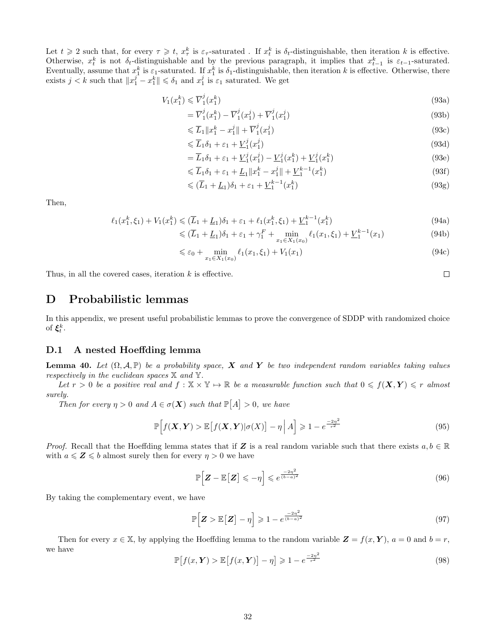Let  $t \geq 2$  such that, for every  $\tau \geq t$ ,  $x_{\tau}^{k}$  is  $\varepsilon_{\tau}$ -saturated. If  $x_{t}^{k}$  is  $\delta_{t}$ -distinguishable, then iteration k is effective. Otherwise,  $x_t^k$  is not  $\delta_t$ -distinguishable and by the previous paragraph, it implies that  $x_{t-1}^k$  is  $\varepsilon_{t-1}$ -saturated. Eventually, assume that  $x_1^k$  is  $\varepsilon_1$ -saturated. If  $x_1^k$  is  $\delta_1$ -distinguishable, then iteration k is effective. Otherwise, there exists  $j < k$  such that  $||x_1^j - x_1^k|| \le \delta_1$  and  $x_1^j$  is  $\varepsilon_1$  saturated. We get

$$
V_1(x_1^k) \leqslant \overline{V}_1^j(x_1^k) \tag{93a}
$$

$$
= \overline{V}_1^j(x_1^k) - \overline{V}_1^j(x_1^j) + \overline{V}_1^j(x_1^j)
$$
\n(93b)

$$
\leqslant \overline{L}_1 \|x_1^k - x_1^j\| + \overline{V}_1^j(x_1^j) \tag{93c}
$$

$$
\leq \overline{L}_1 \delta_1 + \varepsilon_1 + \underline{V}_1^j(x_1^j) \tag{93d}
$$

$$
= \overline{L}_1 \delta_1 + \varepsilon_1 + \underline{V}_1^j (x_1^j) - \underline{V}_1^j (x_1^k) + \underline{V}_1^j (x_1^k)
$$
\n(93e)

$$
\leq \overline{L}_1 \delta_1 + \varepsilon_1 + \underline{L}_1 \|x_1^k - x_1^j\| + \underline{V}_1^{k-1}(x_1^k) \tag{93f}
$$

$$
\leqslant (\overline{L}_1 + \underline{L}_1)\delta_1 + \varepsilon_1 + \underline{V}_1^{k-1}(x_1^k) \tag{93g}
$$

Then,

$$
\ell_1(x_1^k, \xi_1) + V_1(x_1^k) \le (\overline{L}_1 + \underline{L}_1)\delta_1 + \varepsilon_1 + \ell_1(x_1^k, \xi_1) + \underline{V}_1^{k-1}(x_1^k)
$$
\n(94a)

$$
\leq (L_1 + L_1)\delta_1 + \varepsilon_1 + \gamma_1^F + \min_{x_1 \in X_1(x_0)} \ell_1(x_1, \xi_1) + \underline{V}_1^{k-1}(x_1)
$$
\n(94b)

$$
\leq \varepsilon_0 + \min_{x_1 \in X_1(x_0)} \ell_1(x_1, \xi_1) + V_1(x_1) \tag{94c}
$$

Thus, in all the covered cases, iteration  $k$  is effective.

## D Probabilistic lemmas

In this appendix, we present useful probabilistic lemmas to prove the convergence of SDDP with randomized choice of  $\xi_t^k$ .

#### D.1 A nested Hoeffding lemma

**Lemma 40.** Let  $(\Omega, \mathcal{A}, \mathbb{P})$  be a probability space, X and Y be two independent random variables taking values respectively in the euclidean spaces  $X$  and  $Y$ .

Let  $r > 0$  be a positive real and  $f : \mathbb{X} \times \mathbb{Y} \mapsto \mathbb{R}$  be a measurable function such that  $0 \leq f(\mathbf{X}, \mathbf{Y}) \leq r$  almost surely.

Then for every  $\eta > 0$  and  $A \in \sigma(\mathbf{X})$  such that  $\mathbb{P}[A] > 0$ , we have

$$
\mathbb{P}\Big[f(\boldsymbol{X},\boldsymbol{Y}) > \mathbb{E}\big[f(\boldsymbol{X},\boldsymbol{Y})|\sigma(X)\big] - \eta \Big| A\Big] \geqslant 1 - e^{\frac{-2\eta^2}{r^2}}\tag{95}
$$

*Proof.* Recall that the Hoeffding lemma states that if Z is a real random variable such that there exists  $a, b \in \mathbb{R}$ with  $a \leqslant Z \leqslant b$  almost surely then for every  $\eta > 0$  we have

$$
\mathbb{P}\Big[\mathbf{Z} - \mathbb{E}\big[\mathbf{Z}\big] \leqslant -\eta\Big] \leqslant e^{\frac{-2\eta^2}{(b-a)^2}}\tag{96}
$$

By taking the complementary event, we have

$$
\mathbb{P}\Big[\boldsymbol{Z} > \mathbb{E}\big[\boldsymbol{Z}\big] - \eta\Big] \geqslant 1 - e^{\frac{-2\eta^2}{(b-a)^2}}\tag{97}
$$

Then for every  $x \in \mathbb{X}$ , by applying the Hoeffding lemma to the random variable  $\mathbf{Z} = f(x, \mathbf{Y})$ ,  $a = 0$  and  $b = r$ , we have

$$
\mathbb{P}\left[f(x,\boldsymbol{Y}) > \mathbb{E}\left[f(x,\boldsymbol{Y})\right] - \eta\right] \geqslant 1 - e^{\frac{-2\eta^2}{r^2}}\tag{98}
$$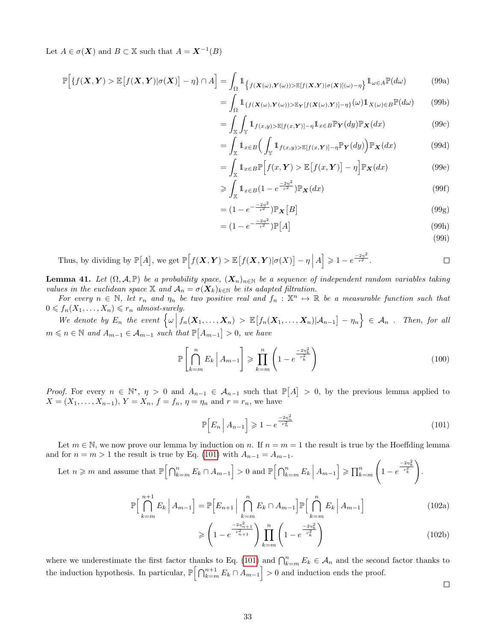Let  $A \in \sigma(\mathbf{X})$  and  $B \subset \mathbb{X}$  such that  $A = \mathbf{X}^{-1}(B)$ 

$$
\mathbb{P}\Big[\{f(\boldsymbol{X},\boldsymbol{Y}) > \mathbb{E}\big[f(\boldsymbol{X},\boldsymbol{Y})|\sigma(\boldsymbol{X})\big] - \eta\} \cap A\Big] = \int_{\Omega} \mathbb{1}_{\{f(\boldsymbol{X}(\omega),\boldsymbol{Y}(\omega)) > \mathbb{E}[f(\boldsymbol{X},\boldsymbol{Y})|\sigma(\boldsymbol{X})](\omega) - \eta\}} \mathbb{1}_{\omega \in A} \mathbb{P}(d\omega) \tag{99a}
$$

$$
= \int_{\Omega} \mathbb{1}_{\{f(\mathbf{X}(\omega), \mathbf{Y}(\omega)) > \mathbb{E}_{\mathbf{Y}}[f(\mathbf{X}(\omega), \mathbf{Y})] - \eta\}}(\omega) \mathbb{1}_{X(\omega) \in B} \mathbb{P}(d\omega) \tag{99b}
$$

$$
= \int_{\mathbb{X}} \int_{\mathbb{Y}} \mathbb{1}_{f(x,y) > \mathbb{E}[f(x,\boldsymbol{Y})] - \eta} \mathbb{1}_{x \in B} \mathbb{P}_{\boldsymbol{Y}}(dy) \mathbb{P}_{\boldsymbol{X}}(dx)
$$
(99c)  

$$
= \int_{\mathbb{Y}} \mathbb{1}_{\{x \in \mathbb{Y}\}} \int_{\mathbb{Y}} \mathbb{1}_{\{x \in \mathbb{Y}\}} \mathbb{P}_{\mathbb{Y}}(dy) \mathbb{P}_{\boldsymbol{X}}(dx)
$$
(99d)

$$
= \int_{\mathbb{X}} \mathbb{1}_{x \in B} \Big( \int_{\mathbb{Y}} \mathbb{1}_{f(x,y) > \mathbb{E}[f(x,\mathbf{Y})] - \eta} \mathbb{P}_{\mathbf{Y}}(dy) \Big) \mathbb{P}_{\mathbf{X}}(dx) \tag{99d}
$$

$$
= \int_{\mathbb{X}} \mathbb{1}_{x \in B} \mathbb{P}\Big[f(x, \boldsymbol{Y}) > \mathbb{E}\big[f(x, \boldsymbol{Y})\big] - \eta\Big] \mathbb{P}_{\boldsymbol{X}}(dx) \tag{99e}
$$

$$
\geqslant \int_{\mathbb{X}} \mathbb{1}_{x \in B} (1 - e^{\frac{-2\eta^2}{r^2}}) \mathbb{P}_{\mathbf{X}}(dx) \tag{99f}
$$

$$
= (1 - e^{-\frac{-2\eta^2}{r^2}}) \mathbb{P}_X [B]
$$
\n(99g)

$$
= (1 - e^{-\frac{-2\eta^2}{r^2}}) \mathbb{P}[A] \tag{99h}
$$

(99i)

Thus, by dividing by  $\mathbb{P}[A]$ , we get  $\mathbb{P}\Big[f(\mathbf{X}, \mathbf{Y}) > \mathbb{E}\big[f(\mathbf{X}, \mathbf{Y}) | \sigma(X)\big] - \eta \Big| A\Big] \geqslant 1 - e^{\frac{-2\eta^2}{r^2}}$ .  $\Box$ 

**Lemma 41.** Let  $(\Omega, \mathcal{A}, \mathbb{P})$  be a probability space,  $(X_n)_{n\in\mathbb{N}}$  be a sequence of independent random variables taking values in the euclidean space X and  $A_n = \sigma(X_k)_{k \in \mathbb{N}}$  be its adapted filtration.

For every  $n \in \mathbb{N}$ , let  $r_n$  and  $\eta_n$  be two positive real and  $f_n : \mathbb{X}^n \to \mathbb{R}$  be a measurable function such that  $0 \leqslant f_n(X_1, \ldots, X_n) \leqslant r_n \text{ almost-surely.}$ 

We denote by  $E_n$  the event  $\left\{\omega \middle| f_n(\mathbf{X}_1,\ldots,\mathbf{X}_n) > \mathbb{E}\big[f_n(\mathbf{X}_1,\ldots,\mathbf{X}_n)|\mathcal{A}_{n-1}\big] - \eta_n\right\} \in \mathcal{A}_n$ . Then, for all  $m \leq n \in \mathbb{N}$  and  $A_{m-1} \in \mathcal{A}_{m-1}$  such that  $\mathbb{P}[A_{m-1}] > 0$ , we have

$$
\mathbb{P}\left[\bigcap_{k=m}^{n} E_k \mid A_{m-1}\right] \geqslant \prod_{k=m}^{n} \left(1 - e^{\frac{-2\eta_k^2}{r_k^2}}\right) \tag{100}
$$

*Proof.* For every  $n \in \mathbb{N}^*$ ,  $\eta > 0$  and  $A_{n-1} \in \mathcal{A}_{n-1}$  such that  $\mathbb{P}[A] > 0$ , by the previous lemma applied to  $X = (X_1, \ldots, X_{n-1}), Y = X_n, f = f_n, \eta = \eta_n$  and  $r = r_n$ , we have

$$
\mathbb{P}\Big[E_n \Big| A_{n-1}\Big] \geqslant 1 - e^{\frac{-2n_n^2}{r_n^2}}\tag{101}
$$

Let  $m \in \mathbb{N}$ , we now prove our lemma by induction on n. If  $n = m = 1$  the result is true by the Hoeffding lemma and for  $n = m > 1$  the result is true by Eq. (101) with  $A_{n-1} = A_{m-1}$ .

Let  $n \geqslant m$  and assume that  $\mathbb{P}\left[\bigcap_{k=m}^{n} E_k \cap A_{m-1}\right] > 0$  and  $\mathbb{P}\left[\bigcap_{k=m}^{n} E_k \middle| A_{m-1}\right] \geqslant \prod_{k=m}^{n}$  $\sqrt{ }$  $1 - e$  $\frac{-2\eta_k^2}{r_k^2}$ .

$$
\mathbb{P}\Big[\bigcap_{k=m}^{n+1} E_k \Big| A_{m-1} \Big] = \mathbb{P}\Big[E_{n+1} \Big| \bigcap_{k=m}^{n} E_k \cap A_{m-1} \Big] \mathbb{P}\Big[\bigcap_{k=m}^{n} E_k \Big| A_{m-1} \Big] \tag{102a}
$$

$$
\geqslant \left(1 - e^{\frac{-2\eta_{n+1}^2}{r_{n+1}^2}}\right) \prod_{k=m}^n \left(1 - e^{\frac{-2\eta_k^2}{r_k^2}}\right) \tag{102b}
$$

where we underestimate the first factor thanks to Eq. (101) and  $\bigcap_{k=m}^{n} E_k \in \mathcal{A}_n$  and the second factor thanks to the induction hypothesis. In particular,  $\mathbb{P}\left[\bigcap_{k=m}^{n+1} E_k \cap A_{m-1}\right] > 0$  and induction ends the proof.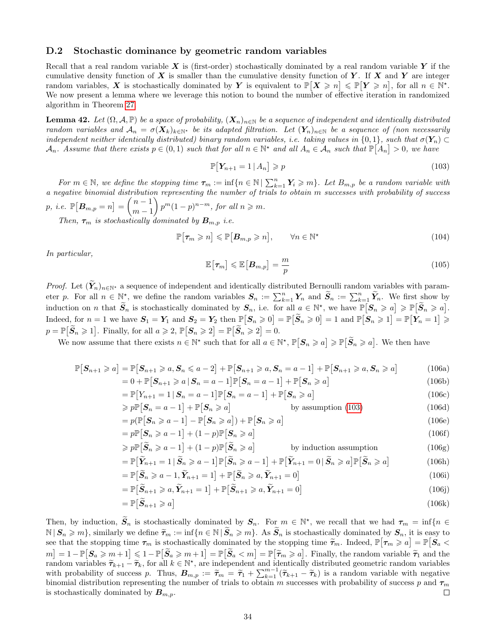#### D.2 Stochastic dominance by geometric random variables

Recall that a real random variable X is (first-order) stochastically dominated by a real random variable Y if the cumulative density function of  $X$  is smaller than the cumulative density function of Y. If X and Y are integer random variables, X is stochastically dominated by Y is equivalent to  $\mathbb{P}[X \geq n] \leq \mathbb{P}[Y \geq n]$ , for all  $n \in \mathbb{N}^*$ . We now present a lemma where we leverage this notion to bound the number of effective iteration in randomized algorithm in Theorem 27.

**Lemma 42.** Let  $(\Omega, \mathcal{A}, \mathbb{P})$  be a space of probability,  $(\mathbf{X}_n)_{n \in \mathbb{N}}$  be a sequence of independent and identically distributed random variables and  $\mathcal{A}_n = \sigma(\mathbf{X}_k)_{k \in \mathbb{N}^*}$  be its adapted filtration. Let  $(\mathbf{Y}_n)_{n \in \mathbb{N}}$  be a sequence of (non necessarily independent neither identically distributed) binary random variables, i.e. taking values in  $\{0,1\}$ , such that  $\sigma(Y_n) \subset$  $\mathcal{A}_n$ . Assume that there exists  $p \in (0,1)$  such that for all  $n \in \mathbb{N}^*$  and all  $A_n \in \mathcal{A}_n$  such that  $\mathbb{P}[A_n] > 0$ , we have

$$
\mathbb{P}\big[\mathbf{Y}_{n+1} = 1 \,|\, A_n\big] \geqslant p \tag{103}
$$

For  $m \in \mathbb{N}$ , we define the stopping time  $\tau_m := \inf\{n \in \mathbb{N} \mid \sum_{k=1}^n Y_i \geqslant m\}$ . Let  $B_{m,p}$  be a random variable with a negative binomial distribution representing the number of trials to obtain m successes with probability of success p, i.e.  $\mathbb{P}[B_{m,p}=n] = \begin{pmatrix} n-1 \\ m-1 \end{pmatrix}$  $m-1$  $\binom{m}{1-p}^{n-m}$ , for all  $n \geq m$ .

Then,  $\tau_m$  is stochastically dominated by  $B_{m,p}$  i.e.

$$
\mathbb{P}[\tau_m \geqslant n] \leqslant \mathbb{P}[B_{m,p} \geqslant n], \qquad \forall n \in \mathbb{N}^\star \tag{104}
$$

In particular,

$$
\mathbb{E}\left[\tau_m\right] \leqslant \mathbb{E}\left[B_{m,p}\right] = \frac{m}{p} \tag{105}
$$

*Proof.* Let  $(Y_n)_{n\in\mathbb{N}^*}$  a sequence of independent and identically distributed Bernoulli random variables with parameter p. For all  $n \in \mathbb{N}^*$ , we define the random variables  $S_n := \sum_{k=1}^n Y_n$  and  $\widetilde{S}_n := \sum_{k=1}^n \widetilde{Y}_n$ . We first show by induction on n that  $\widetilde{S}_n$  is stochastically dominated by  $S_n$ , i.e. for all  $a \in \mathbb{N}^*$ , we have  $\mathbb{P}[S_n \geq a] \geq \mathbb{P}[\widetilde{S}_n \geq a]$ .  $\text{Indeed, for } n = 1 \text{ we have } S_1 = Y_1 \text{ and } S_2 = Y_2 \text{ then } \mathbb{P}[S_n \geq 0] = \mathbb{P}[\widetilde{S}_n \geq 0] = 1 \text{ and } \mathbb{P}[S_n \geq 1] = \mathbb{P}[Y_n = 1] \geq 1$  $p = \mathbb{P}[\widetilde{S}_n \geq 1].$  Finally, for all  $a \geq 2$ ,  $\mathbb{P}[S_n \geq 2] = \mathbb{P}[\widetilde{S}_n \geq 2] = 0.$ 

We now assume that there exists  $n \in \mathbb{N}^*$  such that for all  $a \in \mathbb{N}^*, \mathbb{P}[S_n \geq a] \geq \mathbb{P}[\widetilde{S}_n \geq a]$ . We then have

$$
\mathbb{P}[S_{n+1} \geq a] = \mathbb{P}[S_{n+1} \geq a, S_n \leq a-2] + \mathbb{P}[S_{n+1} \geq a, S_n = a-1] + \mathbb{P}[S_{n+1} \geq a, S_n \geq a]
$$
(106a)

$$
= 0 + \mathbb{P}\left[S_{n+1} \geq a \mid S_n = a-1\right] \mathbb{P}\left[S_n = a-1\right] + \mathbb{P}\left[S_n \geq a\right]
$$
  
\n
$$
= \mathbb{P}\left[Y_{n+1} = 1 \mid S_n = a-1\right] \mathbb{P}\left[S_n = a-1\right] + \mathbb{P}\left[S_n \geq a\right]
$$
\n(106c)

$$
\geq p \mathbb{P} \big[ S_n = a - 1 \big] + \mathbb{P} \big[ S_n \geq a \big] \qquad \qquad \text{by assumption (103)} \tag{106d}
$$

$$
= p(\mathbb{P}[S_n \geq a-1] - \mathbb{P}[S_n \geq a]) + \mathbb{P}[S_n \geq a]
$$
\n(106e)

$$
= p\mathbb{P}\big[\mathbf{S}_n \geqslant a-1\big] + (1-p)\mathbb{P}\big[\mathbf{S}_n \geqslant a\big] \tag{106f}
$$

$$
\geqslant p\mathbb{P}\big[\widetilde{S}_n\geqslant a-1\big]+(1-p)\mathbb{P}\big[\widetilde{S}_n\geqslant a\big] \qquad \text{by induction assumption} \tag{106g}
$$
\n
$$
=\mathbb{P}\big[\widetilde{Y}_{n+1}=1\,|\,\widetilde{S}_n\geqslant a-1\big]\mathbb{P}\big[\widetilde{S}_n\geqslant a-1\big]+\mathbb{P}\big[\widetilde{Y}_{n+1}=0\,|\,\widetilde{S}_n\geqslant a\big]\mathbb{P}\big[\widetilde{S}_n\geqslant a\big] \tag{106h}
$$

$$
= \mathbb{P}\big[\widetilde{Y}_{n+1} = 1 \,|\, \widetilde{S}_n \geqslant a - 1\big] \mathbb{P}\big[\widetilde{S}_n \geqslant a - 1\big] + \mathbb{P}\big[\widetilde{Y}_{n+1} = 0 \,|\, \widetilde{S}_n \geqslant a\big] \mathbb{P}\big[\widetilde{S}_n \geqslant a\big] \tag{106h}
$$
\n
$$
= \mathbb{P}\big[\widetilde{S}_n \geqslant a - 1, \widetilde{Y}_{n+1} = 1\big] + \mathbb{P}\big[\widetilde{S}_n \geqslant a, \widetilde{Y}_{n+1} = 0\big] \tag{106i}
$$

$$
= \mathbb{P}\left[\widetilde{S}_n \geqslant a-1, \widetilde{Y}_{n+1} = 1\right] + \mathbb{P}\left[\widetilde{S}_n \geqslant a, \widetilde{Y}_{n+1} = 0\right]
$$
\n
$$
= \mathbb{P}\left[\widetilde{S}_{n+1} \geqslant a, \widetilde{Y}_{n+1} = 1\right] + \mathbb{P}\left[\widetilde{S}_{n+1} \geqslant a, \widetilde{Y}_{n+1} = 0\right]
$$
\n
$$
(106i)
$$
\n
$$
(106j)
$$

$$
= \mathbb{P}\big[\widetilde{S}_{n+1} \geqslant a, \widetilde{Y}_{n+1} = 1\big] + \mathbb{P}\big[\widetilde{S}_{n+1} \geqslant a, \widetilde{Y}_{n+1} = 0\big] \tag{106j}
$$
\n
$$
= \mathbb{P}\big[\widetilde{S}_{n+1} \geqslant a\big] \tag{106k}
$$

Then, by induction,  $\widetilde{S}_n$  is stochastically dominated by  $S_n$ . For  $m \in \mathbb{N}^*$ , we recall that we had  $\tau_m = \inf\{n \in \mathbb{N}^* | n \geq 1\}$  $\mathbb{N} \setminus \mathbf{S}_n \geqslant m$ , similarly we define  $\widetilde{\tau}_m := \inf \{ n \in \mathbb{N} \mid \widetilde{\mathbf{S}}_n \geqslant m \}.$  As  $\widetilde{\mathbf{S}}_n$  is stochastically dominated by  $\mathbf{S}_n$ , it is easy to see that the stopping time  $\tau_m$  is stochastically dominated by the stopping time  $\widetilde{\tau}_m$ . Indeed,  $\mathbb{P}[\tau_m \ge a] = \mathbb{P}[S_a \le a]$  $\mathbb{E}[S_{a} \geq m+1] \leq 1-\mathbb{P}[\widetilde{S}_{a} \geq m+1] = \mathbb{P}[\widetilde{S}_{a} < m] = \mathbb{P}[\widetilde{\tau}_{m} \geq a]$ . Finally, the random variable  $\widetilde{\tau}_{1}$  and the random variables  $\widetilde{\tau}_{k+1} - \widetilde{\tau}_k$ , for all  $k \in \mathbb{N}^*$ , are independent and identically distributed geometric random variables with probability of success p. Thus,  $B_{m,p} := \tilde{\tau}_m = \tilde{\tau}_1 + \sum_{k=1}^{m-1} (\tilde{\tau}_{k+1} - \tilde{\tau}_k)$  is a random variable with negative<br>binomial distribution representing the number of trials to obtain m successors with probabili binomial distribution representing the number of trials to obtain m successes with probability of success p and  $\tau_m$ is stochastically dominated by  $B_{m,n}$ .  $\Box$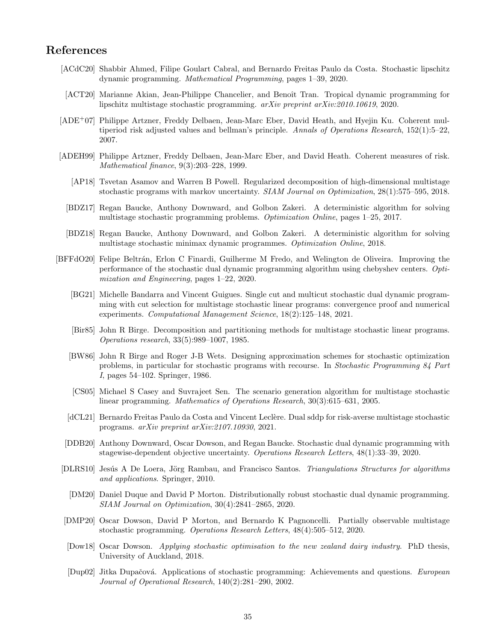## References

- [ACdC20] Shabbir Ahmed, Filipe Goulart Cabral, and Bernardo Freitas Paulo da Costa. Stochastic lipschitz dynamic programming. Mathematical Programming, pages 1–39, 2020.
- [ACT20] Marianne Akian, Jean-Philippe Chancelier, and Benoît Tran. Tropical dynamic programming for lipschitz multistage stochastic programming. arXiv preprint arXiv:2010.10619, 2020.
- [ADE+07] Philippe Artzner, Freddy Delbaen, Jean-Marc Eber, David Heath, and Hyejin Ku. Coherent multiperiod risk adjusted values and bellman's principle. Annals of Operations Research, 152(1):5–22, 2007.
- [ADEH99] Philippe Artzner, Freddy Delbaen, Jean-Marc Eber, and David Heath. Coherent measures of risk. Mathematical finance, 9(3):203–228, 1999.
	- [AP18] Tsvetan Asamov and Warren B Powell. Regularized decomposition of high-dimensional multistage stochastic programs with markov uncertainty. SIAM Journal on Optimization, 28(1):575–595, 2018.
	- [BDZ17] Regan Baucke, Anthony Downward, and Golbon Zakeri. A deterministic algorithm for solving multistage stochastic programming problems. Optimization Online, pages 1–25, 2017.
	- [BDZ18] Regan Baucke, Anthony Downward, and Golbon Zakeri. A deterministic algorithm for solving multistage stochastic minimax dynamic programmes. Optimization Online, 2018.
- [BFFdO20] Felipe Beltrán, Erlon C Finardi, Guilherme M Fredo, and Welington de Oliveira. Improving the performance of the stochastic dual dynamic programming algorithm using chebyshev centers. Optimization and Engineering, pages 1–22, 2020.
	- [BG21] Michelle Bandarra and Vincent Guigues. Single cut and multicut stochastic dual dynamic programming with cut selection for multistage stochastic linear programs: convergence proof and numerical experiments. Computational Management Science, 18(2):125–148, 2021.
	- [Bir85] John R Birge. Decomposition and partitioning methods for multistage stochastic linear programs. Operations research, 33(5):989–1007, 1985.
	- [BW86] John R Birge and Roger J-B Wets. Designing approximation schemes for stochastic optimization problems, in particular for stochastic programs with recourse. In Stochastic Programming 84 Part I, pages 54–102. Springer, 1986.
	- [CS05] Michael S Casey and Suvrajeet Sen. The scenario generation algorithm for multistage stochastic linear programming. Mathematics of Operations Research, 30(3):615–631, 2005.
	- [dCL21] Bernardo Freitas Paulo da Costa and Vincent Leclère. Dual sddp for risk-averse multistage stochastic programs. arXiv preprint arXiv:2107.10930, 2021.
	- [DDB20] Anthony Downward, Oscar Dowson, and Regan Baucke. Stochastic dual dynamic programming with stagewise-dependent objective uncertainty. Operations Research Letters, 48(1):33–39, 2020.
- [DLRS10] Jesús A De Loera, Jörg Rambau, and Francisco Santos. Triangulations Structures for algorithms and applications. Springer, 2010.
	- [DM20] Daniel Duque and David P Morton. Distributionally robust stochastic dual dynamic programming. SIAM Journal on Optimization, 30(4):2841–2865, 2020.
- [DMP20] Oscar Dowson, David P Morton, and Bernardo K Pagnoncelli. Partially observable multistage stochastic programming. Operations Research Letters, 48(4):505–512, 2020.
- [Dow18] Oscar Dowson. Applying stochastic optimisation to the new zealand dairy industry. PhD thesis, University of Auckland, 2018.
- [Dup02] Jitka Dupačová. Applications of stochastic programming: Achievements and questions. European Journal of Operational Research, 140(2):281–290, 2002.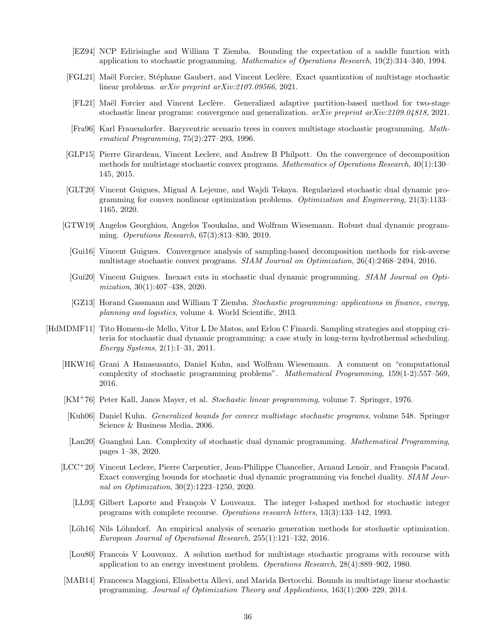- [EZ94] NCP Edirisinghe and William T Ziemba. Bounding the expectation of a saddle function with application to stochastic programming. Mathematics of Operations Research, 19(2):314–340, 1994.
- [FGL21] Maël Forcier, Stéphane Gaubert, and Vincent Leclère. Exact quantization of multistage stochastic linear problems. *arXiv preprint arXiv:2107.09566*, 2021.
- [FL21] Maël Forcier and Vincent Leclère. Generalized adaptive partition-based method for two-stage stochastic linear programs: convergence and generalization. *arXiv preprint arXiv:2109.04818*, 2021.
- [Fra96] Karl Frauendorfer. Barycentric scenario trees in convex multistage stochastic programming. Mathematical Programming, 75(2):277–293, 1996.
- [GLP15] Pierre Girardeau, Vincent Leclere, and Andrew B Philpott. On the convergence of decomposition methods for multistage stochastic convex programs. Mathematics of Operations Research, 40(1):130– 145, 2015.
- [GLT20] Vincent Guigues, Migual A Lejeune, and Wajdi Tekaya. Regularized stochastic dual dynamic programming for convex nonlinear optimization problems. Optimization and Engineering, 21(3):1133– 1165, 2020.
- [GTW19] Angelos Georghiou, Angelos Tsoukalas, and Wolfram Wiesemann. Robust dual dynamic programming. Operations Research, 67(3):813–830, 2019.
	- [Gui16] Vincent Guigues. Convergence analysis of sampling-based decomposition methods for risk-averse multistage stochastic convex programs. SIAM Journal on Optimization, 26(4):2468–2494, 2016.
	- [Gui20] Vincent Guigues. Inexact cuts in stochastic dual dynamic programming. SIAM Journal on Optimization, 30(1):407–438, 2020.
	- [GZ13] Horand Gassmann and William T Ziemba. Stochastic programming: applications in finance, energy, planning and logistics, volume 4. World Scientific, 2013.
- [HdMDMF11] Tito Homem-de Mello, Vitor L De Matos, and Erlon C Finardi. Sampling strategies and stopping criteria for stochastic dual dynamic programming: a case study in long-term hydrothermal scheduling. Energy Systems, 2(1):1–31, 2011.
	- [HKW16] Grani A Hanasusanto, Daniel Kuhn, and Wolfram Wiesemann. A comment on "computational complexity of stochastic programming problems". Mathematical Programming, 159(1-2):557–569, 2016.
	- [KM+76] Peter Kall, Janos Mayer, et al. Stochastic linear programming, volume 7. Springer, 1976.
	- [Kuh06] Daniel Kuhn. Generalized bounds for convex multistage stochastic programs, volume 548. Springer Science & Business Media, 2006.
	- [Lan20] Guanghui Lan. Complexity of stochastic dual dynamic programming. Mathematical Programming, pages 1–38, 2020.
	- [LCC<sup>+</sup>20] Vincent Leclere, Pierre Carpentier, Jean-Philippe Chancelier, Arnaud Lenoir, and François Pacaud. Exact converging bounds for stochastic dual dynamic programming via fenchel duality. SIAM Journal on Optimization, 30(2):1223–1250, 2020.
		- [LL93] Gilbert Laporte and François V Louveaux. The integer l-shaped method for stochastic integer programs with complete recourse. Operations research letters, 13(3):133–142, 1993.
		- [Löh16] Nils Löhndorf. An empirical analysis of scenario generation methods for stochastic optimization. European Journal of Operational Research, 255(1):121–132, 2016.
		- [Lou80] Francois V Louveaux. A solution method for multistage stochastic programs with recourse with application to an energy investment problem. Operations Research, 28(4):889–902, 1980.
	- [MAB14] Francesca Maggioni, Elisabetta Allevi, and Marida Bertocchi. Bounds in multistage linear stochastic programming. Journal of Optimization Theory and Applications, 163(1):200–229, 2014.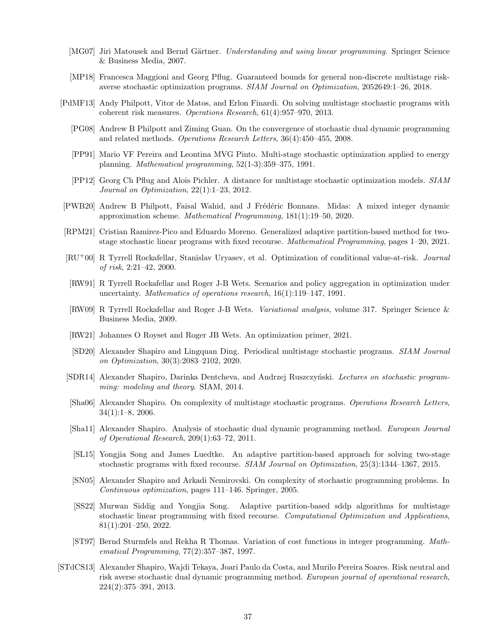- [MG07] Jiri Matousek and Bernd Gärtner. *Understanding and using linear programming*. Springer Science & Business Media, 2007.
- [MP18] Francesca Maggioni and Georg Pflug. Guaranteed bounds for general non-discrete multistage riskaverse stochastic optimization programs. SIAM Journal on Optimization, 2052649:1–26, 2018.
- [PdMF13] Andy Philpott, Vitor de Matos, and Erlon Finardi. On solving multistage stochastic programs with coherent risk measures. Operations Research, 61(4):957–970, 2013.
	- [PG08] Andrew B Philpott and Ziming Guan. On the convergence of stochastic dual dynamic programming and related methods. Operations Research Letters, 36(4):450–455, 2008.
	- [PP91] Mario VF Pereira and Leontina MVG Pinto. Multi-stage stochastic optimization applied to energy planning. Mathematical programming, 52(1-3):359–375, 1991.
	- [PP12] Georg Ch Pflug and Alois Pichler. A distance for multistage stochastic optimization models. SIAM Journal on Optimization, 22(1):1–23, 2012.
- [PWB20] Andrew B Philpott, Faisal Wahid, and J Frédéric Bonnans. Midas: A mixed integer dynamic approximation scheme. Mathematical Programming, 181(1):19–50, 2020.
- [RPM21] Cristian Ramirez-Pico and Eduardo Moreno. Generalized adaptive partition-based method for twostage stochastic linear programs with fixed recourse. Mathematical Programming, pages 1–20, 2021.
- [RU+00] R Tyrrell Rockafellar, Stanislav Uryasev, et al. Optimization of conditional value-at-risk. Journal of risk, 2:21–42, 2000.
- [RW91] R Tyrrell Rockafellar and Roger J-B Wets. Scenarios and policy aggregation in optimization under uncertainty. Mathematics of operations research, 16(1):119–147, 1991.
- [RW09] R Tyrrell Rockafellar and Roger J-B Wets. Variational analysis, volume 317. Springer Science & Business Media, 2009.
- [RW21] Johannes O Royset and Roger JB Wets. An optimization primer, 2021.
- [SD20] Alexander Shapiro and Lingquan Ding. Periodical multistage stochastic programs. SIAM Journal on Optimization, 30(3):2083–2102, 2020.
- [SDR14] Alexander Shapiro, Darinka Dentcheva, and Andrzej Ruszczyński. Lectures on stochastic programming: modeling and theory. SIAM, 2014.
- [Sha06] Alexander Shapiro. On complexity of multistage stochastic programs. Operations Research Letters, 34(1):1–8, 2006.
- [Sha11] Alexander Shapiro. Analysis of stochastic dual dynamic programming method. European Journal of Operational Research, 209(1):63–72, 2011.
- [SL15] Yongjia Song and James Luedtke. An adaptive partition-based approach for solving two-stage stochastic programs with fixed recourse. SIAM Journal on Optimization, 25(3):1344–1367, 2015.
- [SN05] Alexander Shapiro and Arkadi Nemirovski. On complexity of stochastic programming problems. In Continuous optimization, pages 111–146. Springer, 2005.
- [SS22] Murwan Siddig and Yongjia Song. Adaptive partition-based sddp algorithms for multistage stochastic linear programming with fixed recourse. Computational Optimization and Applications, 81(1):201–250, 2022.
- [ST97] Bernd Sturmfels and Rekha R Thomas. Variation of cost functions in integer programming. Mathematical Programming, 77(2):357–387, 1997.
- [STdCS13] Alexander Shapiro, Wajdi Tekaya, Joari Paulo da Costa, and Murilo Pereira Soares. Risk neutral and risk averse stochastic dual dynamic programming method. European journal of operational research, 224(2):375–391, 2013.